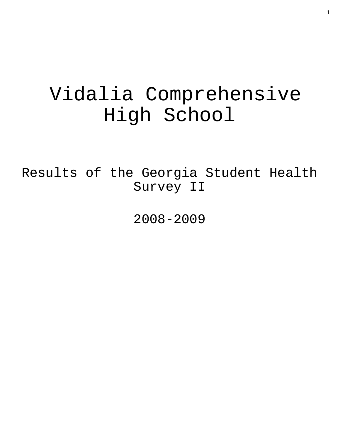# Vidalia Comprehensive High School

Results of the Georgia Student Health Survey II

2008-2009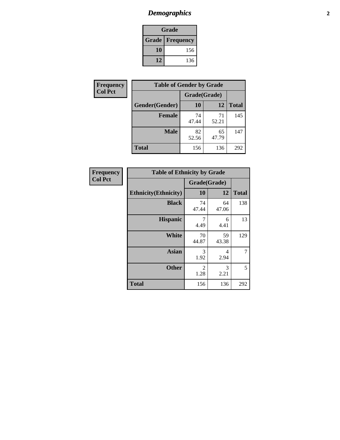## *Demographics* **2**

| Grade                  |     |  |  |
|------------------------|-----|--|--|
| <b>Grade Frequency</b> |     |  |  |
| 10                     | 156 |  |  |
| 12                     | 136 |  |  |

| Frequency      | <b>Table of Gender by Grade</b> |              |             |              |  |
|----------------|---------------------------------|--------------|-------------|--------------|--|
| <b>Col Pct</b> |                                 | Grade(Grade) |             |              |  |
|                | Gender(Gender)                  | 10           | 12          | <b>Total</b> |  |
|                | <b>Female</b>                   | 74<br>47.44  | 71<br>52.21 | 145          |  |
|                | <b>Male</b>                     | 82<br>52.56  | 65<br>47.79 | 147          |  |
|                | <b>Total</b>                    | 156          | 136         | 292          |  |

| <b>Frequency</b> |
|------------------|
| <b>Col Pct</b>   |

| <b>Table of Ethnicity by Grade</b> |             |              |              |  |  |
|------------------------------------|-------------|--------------|--------------|--|--|
|                                    |             | Grade(Grade) |              |  |  |
| <b>Ethnicity</b> (Ethnicity)       | 10          | 12           | <b>Total</b> |  |  |
| <b>Black</b>                       | 74<br>47.44 | 64<br>47.06  | 138          |  |  |
| <b>Hispanic</b>                    | 7<br>4.49   | 6<br>4.41    | 13           |  |  |
| White                              | 70<br>44.87 | 59<br>43.38  | 129          |  |  |
| <b>Asian</b>                       | 3<br>1.92   | 4<br>2.94    | 7            |  |  |
| <b>Other</b>                       | 2<br>1.28   | 3<br>2.21    | 5            |  |  |
| <b>Total</b>                       | 156         | 136          | 292          |  |  |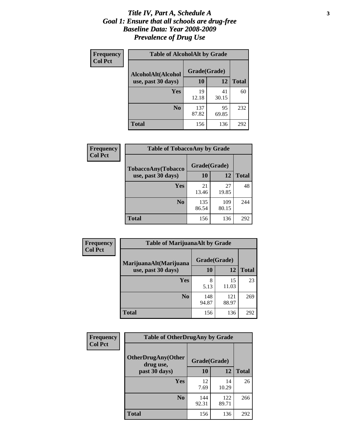#### *Title IV, Part A, Schedule A* **3** *Goal 1: Ensure that all schools are drug-free Baseline Data: Year 2008-2009 Prevalence of Drug Use*

| Frequency<br><b>Col Pct</b> | <b>Table of AlcoholAlt by Grade</b> |              |             |              |  |
|-----------------------------|-------------------------------------|--------------|-------------|--------------|--|
|                             | AlcoholAlt(Alcohol                  | Grade(Grade) |             |              |  |
|                             | use, past 30 days)                  | <b>10</b>    | 12          | <b>Total</b> |  |
|                             | Yes                                 | 19<br>12.18  | 41<br>30.15 | 60           |  |
|                             | N <sub>0</sub>                      | 137<br>87.82 | 95<br>69.85 | 232          |  |
|                             | Total                               | 156          | 136         | 292          |  |

| Frequency      | <b>Table of TobaccoAny by Grade</b> |              |              |              |  |
|----------------|-------------------------------------|--------------|--------------|--------------|--|
| <b>Col Pct</b> | <b>TobaccoAny(Tobacco</b>           | Grade(Grade) |              |              |  |
|                | use, past 30 days)                  | 10           | 12           | <b>Total</b> |  |
|                | Yes                                 | 21<br>13.46  | 27<br>19.85  | 48           |  |
|                | N <sub>0</sub>                      | 135<br>86.54 | 109<br>80.15 | 244          |  |
|                | <b>Total</b>                        | 156          | 136          | 292          |  |

| Frequency<br><b>Col Pct</b> | <b>Table of MarijuanaAlt by Grade</b> |              |              |              |  |
|-----------------------------|---------------------------------------|--------------|--------------|--------------|--|
|                             | MarijuanaAlt(Marijuana                | Grade(Grade) |              |              |  |
|                             | use, past 30 days)                    | 10           | 12           | <b>Total</b> |  |
|                             | <b>Yes</b>                            | 8<br>5.13    | 15<br>11.03  | 23           |  |
|                             | N <sub>0</sub>                        | 148<br>94.87 | 121<br>88.97 | 269          |  |
|                             | <b>Total</b>                          | 156          | 136          | 292          |  |

| Frequency<br><b>Col Pct</b> | <b>Table of OtherDrugAny by Grade</b>  |              |              |              |
|-----------------------------|----------------------------------------|--------------|--------------|--------------|
|                             | <b>OtherDrugAny(Other</b><br>drug use, | Grade(Grade) |              |              |
|                             | past 30 days)                          | 10           | 12           | <b>Total</b> |
|                             | Yes                                    | 12<br>7.69   | 14<br>10.29  | 26           |
|                             | N <sub>0</sub>                         | 144<br>92.31 | 122<br>89.71 | 266          |
|                             | <b>Total</b>                           | 156          | 136          | 292          |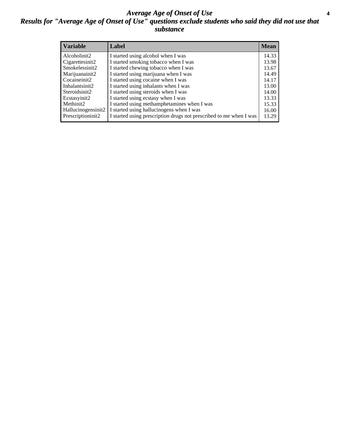#### *Average Age of Onset of Use* **4** *Results for "Average Age of Onset of Use" questions exclude students who said they did not use that substance*

| <b>Variable</b>       | Label                                                              | <b>Mean</b> |
|-----------------------|--------------------------------------------------------------------|-------------|
| Alcoholinit2          | I started using alcohol when I was                                 | 14.33       |
| Cigarettesinit2       | I started smoking tobacco when I was                               | 13.98       |
| Smokelessinit2        | I started chewing tobacco when I was                               | 13.67       |
| Marijuanainit2        | I started using marijuana when I was                               | 14.49       |
| Cocaineinit2          | I started using cocaine when I was                                 | 14.17       |
| Inhalantsinit2        | I started using inhalants when I was                               | 13.00       |
| Steroidsinit2         | I started using steroids when I was                                | 14.00       |
| Ecstasyinit2          | I started using ecstasy when I was                                 | 13.33       |
| Methinit <sub>2</sub> | I started using methamphetamines when I was                        | 15.33       |
| Hallucinogensinit2    | I started using hallucinogens when I was                           | 16.00       |
| Prescriptioninit2     | I started using prescription drugs not prescribed to me when I was | 13.29       |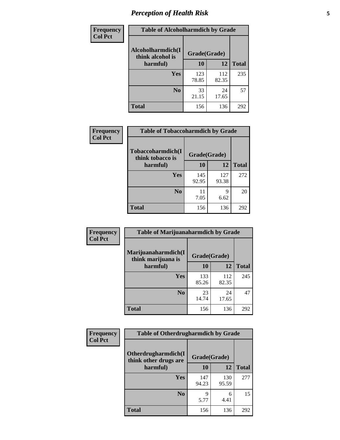## *Perception of Health Risk* **5**

| Frequency      | <b>Table of Alcoholharmdich by Grade</b> |              |              |              |
|----------------|------------------------------------------|--------------|--------------|--------------|
| <b>Col Pct</b> | Alcoholharmdich(I<br>think alcohol is    | Grade(Grade) |              |              |
|                | harmful)                                 | 10           | 12           | <b>Total</b> |
|                | <b>Yes</b>                               | 123<br>78.85 | 112<br>82.35 | 235          |
|                | N <sub>0</sub>                           | 33<br>21.15  | 24<br>17.65  | 57           |
|                | <b>Total</b>                             | 156          | 136          | 292          |

| <b>Frequency</b> | <b>Table of Tobaccoharmdich by Grade</b> |              |              |              |  |
|------------------|------------------------------------------|--------------|--------------|--------------|--|
| <b>Col Pct</b>   | Tobaccoharmdich(I<br>think tobacco is    | Grade(Grade) |              |              |  |
|                  | harmful)                                 | 10           | 12           | <b>Total</b> |  |
|                  | Yes                                      | 145<br>92.95 | 127<br>93.38 | 272          |  |
|                  | N <sub>0</sub>                           | 11<br>7.05   | 9<br>6.62    | 20           |  |
|                  | Total                                    | 156          | 136          | 292          |  |

| Frequency      | <b>Table of Marijuanaharmdich by Grade</b> |              |              |              |  |
|----------------|--------------------------------------------|--------------|--------------|--------------|--|
| <b>Col Pct</b> | Marijuanaharmdich(I<br>think marijuana is  | Grade(Grade) |              |              |  |
|                | harmful)                                   | 10           | 12           | <b>Total</b> |  |
|                | Yes                                        | 133<br>85.26 | 112<br>82.35 | 245          |  |
|                | N <sub>0</sub>                             | 23<br>14.74  | 24<br>17.65  | 47           |  |
|                | <b>Total</b>                               | 156          | 136          | 292          |  |

| <b>Frequency</b> | <b>Table of Otherdrugharmdich by Grade</b>                   |              |              |              |  |  |  |  |
|------------------|--------------------------------------------------------------|--------------|--------------|--------------|--|--|--|--|
| <b>Col Pct</b>   | Otherdrugharmdich(I<br>Grade(Grade)<br>think other drugs are |              |              |              |  |  |  |  |
|                  | harmful)                                                     | <b>10</b>    | 12           | <b>Total</b> |  |  |  |  |
|                  | Yes                                                          | 147<br>94.23 | 130<br>95.59 | 277          |  |  |  |  |
|                  | N <sub>0</sub>                                               | q<br>5.77    | 6<br>4.41    | 15           |  |  |  |  |
|                  | <b>Total</b>                                                 | 156          | 136          | 292          |  |  |  |  |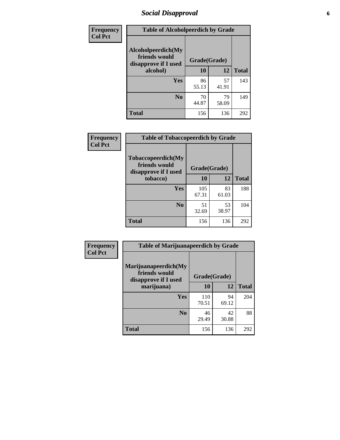## *Social Disapproval* **6**

| Frequency      | <b>Table of Alcoholpeerdich by Grade</b>                    |              |             |              |  |  |  |  |
|----------------|-------------------------------------------------------------|--------------|-------------|--------------|--|--|--|--|
| <b>Col Pct</b> | Alcoholpeerdich(My<br>friends would<br>disapprove if I used | Grade(Grade) |             |              |  |  |  |  |
|                | alcohol)                                                    | 10           | 12          | <b>Total</b> |  |  |  |  |
|                | <b>Yes</b>                                                  | 86<br>55.13  | 57<br>41.91 | 143          |  |  |  |  |
|                | N <sub>0</sub>                                              | 70<br>44.87  | 79<br>58.09 | 149          |  |  |  |  |
|                | <b>Total</b>                                                | 156          | 136         | 292          |  |  |  |  |

| <b>Frequency</b> |
|------------------|
| <b>Col Pct</b>   |

| <b>Table of Tobaccopeerdich by Grade</b>                            |              |             |              |  |  |  |  |
|---------------------------------------------------------------------|--------------|-------------|--------------|--|--|--|--|
| <b>Tobaccopeerdich</b> (My<br>friends would<br>disapprove if I used | Grade(Grade) |             |              |  |  |  |  |
| tobacco)                                                            | 10           | 12          | <b>Total</b> |  |  |  |  |
| Yes                                                                 | 105<br>67.31 | 83<br>61.03 | 188          |  |  |  |  |
| N <sub>0</sub>                                                      | 51<br>32.69  | 53<br>38.97 | 104          |  |  |  |  |
| <b>Total</b>                                                        | 156          | 136         | 292          |  |  |  |  |

| Frequency      | <b>Table of Marijuanapeerdich by Grade</b>                    |              |             |              |  |  |  |  |
|----------------|---------------------------------------------------------------|--------------|-------------|--------------|--|--|--|--|
| <b>Col Pct</b> | Marijuanapeerdich(My<br>friends would<br>disapprove if I used | Grade(Grade) |             |              |  |  |  |  |
|                | marijuana)                                                    | 10           | 12          | <b>Total</b> |  |  |  |  |
|                | <b>Yes</b>                                                    | 110<br>70.51 | 94<br>69.12 | 204          |  |  |  |  |
|                | N <sub>0</sub>                                                | 46<br>29.49  | 42<br>30.88 | 88           |  |  |  |  |
|                | <b>Total</b>                                                  | 156          | 136         | 292          |  |  |  |  |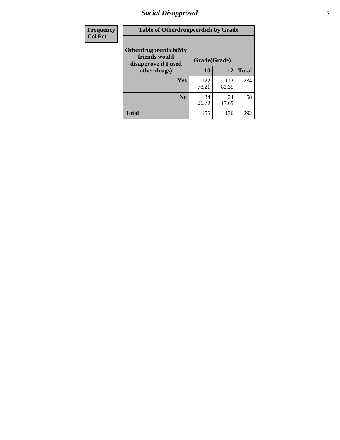## *Social Disapproval* **7**

| Frequency      | <b>Table of Otherdrugpeerdich by Grade</b>                    |              |              |              |  |  |  |  |
|----------------|---------------------------------------------------------------|--------------|--------------|--------------|--|--|--|--|
| <b>Col Pct</b> | Otherdrugpeerdich(My<br>friends would<br>disapprove if I used | Grade(Grade) |              |              |  |  |  |  |
|                | other drugs)                                                  | 10           | 12           | <b>Total</b> |  |  |  |  |
|                | Yes                                                           | 122<br>78.21 | 112<br>82.35 | 234          |  |  |  |  |
|                | N <sub>0</sub>                                                | 34<br>21.79  | 24<br>17.65  | 58           |  |  |  |  |
|                | <b>Total</b>                                                  | 156          | 136          | 292          |  |  |  |  |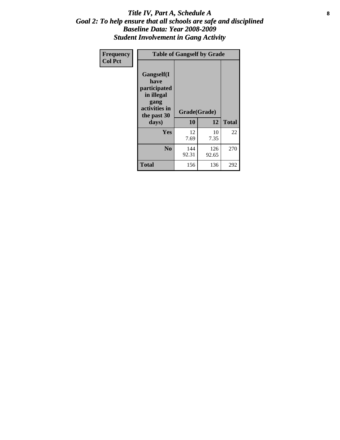#### Title IV, Part A, Schedule A **8** *Goal 2: To help ensure that all schools are safe and disciplined Baseline Data: Year 2008-2009 Student Involvement in Gang Activity*

| Frequency      | <b>Table of Gangself by Grade</b>                                                                 |                    |              |              |
|----------------|---------------------------------------------------------------------------------------------------|--------------------|--------------|--------------|
| <b>Col Pct</b> | Gangself(I<br>have<br>participated<br>in illegal<br>gang<br>activities in<br>the past 30<br>days) | Grade(Grade)<br>10 | 12           | <b>Total</b> |
|                | Yes                                                                                               | 12<br>7.69         | 10<br>7.35   | 22           |
|                | N <sub>0</sub>                                                                                    | 144<br>92.31       | 126<br>92.65 | 270          |
|                | <b>Total</b>                                                                                      | 156                | 136          | 292          |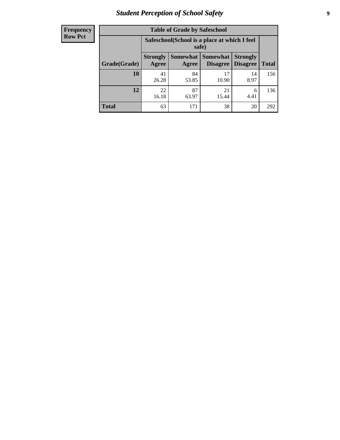## *Student Perception of School Safety* **9**

| <b>Frequency</b><br>Row Pct |
|-----------------------------|
|                             |

| <b>Table of Grade by Safeschool</b> |                                                        |             |                                        |                                    |              |  |  |
|-------------------------------------|--------------------------------------------------------|-------------|----------------------------------------|------------------------------------|--------------|--|--|
|                                     | Safeschool (School is a place at which I feel<br>safe) |             |                                        |                                    |              |  |  |
| Grade(Grade)                        | <b>Strongly</b><br>Agree                               | Agree       | <b>Somewhat   Somewhat</b><br>Disagree | <b>Strongly</b><br><b>Disagree</b> | <b>Total</b> |  |  |
| <b>10</b>                           | 41<br>26.28                                            | 84<br>53.85 | 17<br>10.90                            | 14<br>8.97                         | 156          |  |  |
| 12                                  | 22<br>16.18                                            | 87<br>63.97 | 21<br>15.44                            | 6<br>4.41                          | 136          |  |  |
| <b>Total</b>                        | 63                                                     | 171         | 38                                     | 20                                 | 292          |  |  |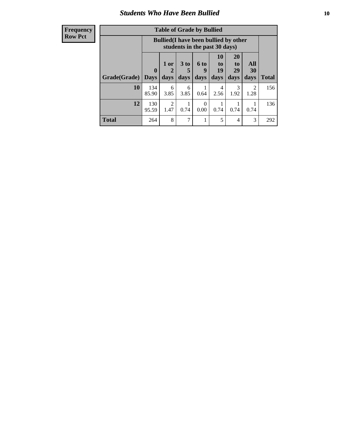#### *Students Who Have Been Bullied* **10**

| <b>Frequency</b> |
|------------------|
| Row Pct          |

| <b>Table of Grade by Bullied</b> |                         |                                                                               |                              |                   |                        |                        |                          |              |
|----------------------------------|-------------------------|-------------------------------------------------------------------------------|------------------------------|-------------------|------------------------|------------------------|--------------------------|--------------|
|                                  |                         | <b>Bullied</b> (I have been bullied by other<br>students in the past 30 days) |                              |                   |                        |                        |                          |              |
| Grade(Grade)                     | $\bf{0}$<br><b>Days</b> | 1 or<br>days                                                                  | 3 <sub>to</sub><br>5<br>days | 6 to<br>9<br>days | 10<br>to<br>19<br>days | 20<br>to<br>29<br>days | All<br><b>30</b><br>days | <b>Total</b> |
| 10                               | 134<br>85.90            | 6<br>3.85                                                                     | 6<br>3.85                    | 0.64              | 4<br>2.56              | 3<br>1.92              | 2<br>1.28                | 156          |
| 12                               | 130<br>95.59            | 2<br>1.47                                                                     | 0.74                         | $\Omega$<br>0.00  | 0.74                   | 0.74                   | 0.74                     | 136          |
| <b>Total</b>                     | 264                     | 8                                                                             | 7                            |                   | 5                      | 4                      | 3                        | 292          |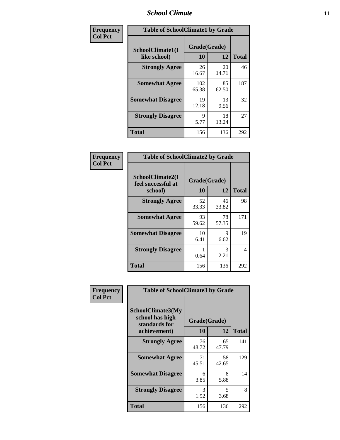#### *School Climate* **11**

| Frequency      | <b>Table of SchoolClimate1 by Grade</b> |                    |             |              |  |  |  |
|----------------|-----------------------------------------|--------------------|-------------|--------------|--|--|--|
| <b>Col Pct</b> | SchoolClimate1(I<br>like school)        | Grade(Grade)<br>10 | 12          | <b>Total</b> |  |  |  |
|                | <b>Strongly Agree</b>                   | 26<br>16.67        | 20<br>14.71 | 46           |  |  |  |
|                | <b>Somewhat Agree</b>                   | 102<br>65.38       | 85<br>62.50 | 187          |  |  |  |
|                | <b>Somewhat Disagree</b>                | 19<br>12.18        | 13<br>9.56  | 32           |  |  |  |
|                | <b>Strongly Disagree</b>                | 9<br>5.77          | 18<br>13.24 | 27           |  |  |  |
|                | <b>Total</b>                            | 156                | 136         | 292          |  |  |  |

| Frequency      | <b>Table of SchoolClimate2 by Grade</b>           |                    |             |              |
|----------------|---------------------------------------------------|--------------------|-------------|--------------|
| <b>Col Pct</b> | SchoolClimate2(I<br>feel successful at<br>school) | Grade(Grade)<br>10 | 12          | <b>Total</b> |
|                | <b>Strongly Agree</b>                             | 52<br>33.33        | 46<br>33.82 | 98           |
|                | <b>Somewhat Agree</b>                             | 93<br>59.62        | 78<br>57.35 | 171          |
|                | <b>Somewhat Disagree</b>                          | 10<br>6.41         | 9<br>6.62   | 19           |
|                | <b>Strongly Disagree</b>                          | 0.64               | 3<br>2.21   | 4            |
|                | <b>Total</b>                                      | 156                | 136         | 292          |

| Frequency      | <b>Table of SchoolClimate3 by Grade</b>                      |              |             |              |  |
|----------------|--------------------------------------------------------------|--------------|-------------|--------------|--|
| <b>Col Pct</b> | <b>SchoolClimate3(My</b><br>school has high<br>standards for | Grade(Grade) |             |              |  |
|                | achievement)                                                 | <b>10</b>    | 12          | <b>Total</b> |  |
|                | <b>Strongly Agree</b>                                        | 76<br>48.72  | 65<br>47.79 | 141          |  |
|                | <b>Somewhat Agree</b>                                        | 71<br>45.51  | 58<br>42.65 | 129          |  |
|                | <b>Somewhat Disagree</b>                                     | 6<br>3.85    | 8<br>5.88   | 14           |  |
|                | <b>Strongly Disagree</b>                                     | 3<br>1.92    | 5<br>3.68   | 8            |  |
|                | Total                                                        | 156          | 136         | 292          |  |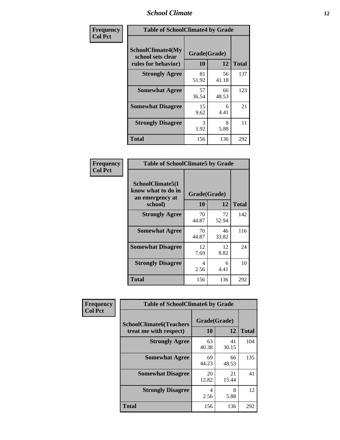#### *School Climate* **12**

| Frequency      | <b>Table of SchoolClimate4 by Grade</b>                              |                    |             |              |
|----------------|----------------------------------------------------------------------|--------------------|-------------|--------------|
| <b>Col Pct</b> | <b>SchoolClimate4(My</b><br>school sets clear<br>rules for behavior) | Grade(Grade)<br>10 | 12          | <b>Total</b> |
|                | <b>Strongly Agree</b>                                                | 81<br>51.92        | 56<br>41.18 | 137          |
|                | <b>Somewhat Agree</b>                                                | 57<br>36.54        | 66<br>48.53 | 123          |
|                | <b>Somewhat Disagree</b>                                             | 15<br>9.62         | 6<br>4.41   | 21           |
|                | <b>Strongly Disagree</b>                                             | 3<br>1.92          | 8<br>5.88   | 11           |
|                | <b>Total</b>                                                         | 156                | 136         | 292          |

| <b>Table of SchoolClimate5 by Grade</b>                   |                    |             |              |  |  |
|-----------------------------------------------------------|--------------------|-------------|--------------|--|--|
| SchoolClimate5(I<br>know what to do in<br>an emergency at | Grade(Grade)<br>10 |             |              |  |  |
| school)                                                   |                    | 12          | <b>Total</b> |  |  |
| <b>Strongly Agree</b>                                     | 70<br>44.87        | 72<br>52.94 | 142          |  |  |
| <b>Somewhat Agree</b>                                     | 70<br>44.87        | 46<br>33.82 | 116          |  |  |
| <b>Somewhat Disagree</b>                                  | 12<br>7.69         | 12<br>8.82  | 24           |  |  |
| <b>Strongly Disagree</b>                                  | 4<br>2.56          | 6<br>4.41   | 10           |  |  |
| Total                                                     | 156                | 136         | 292          |  |  |

| Frequency      | <b>Table of SchoolClimate6 by Grade</b>                  |                    |             |              |  |
|----------------|----------------------------------------------------------|--------------------|-------------|--------------|--|
| <b>Col Pct</b> | <b>SchoolClimate6(Teachers</b><br>treat me with respect) | Grade(Grade)<br>10 | 12          | <b>Total</b> |  |
|                | <b>Strongly Agree</b>                                    | 63<br>40.38        | 41<br>30.15 | 104          |  |
|                | <b>Somewhat Agree</b>                                    | 69<br>44.23        | 66<br>48.53 | 135          |  |
|                | <b>Somewhat Disagree</b>                                 | 20<br>12.82        | 21<br>15.44 | 41           |  |
|                | <b>Strongly Disagree</b>                                 | 4<br>2.56          | 8<br>5.88   | 12           |  |
|                | <b>Total</b>                                             | 156                | 136         | 292          |  |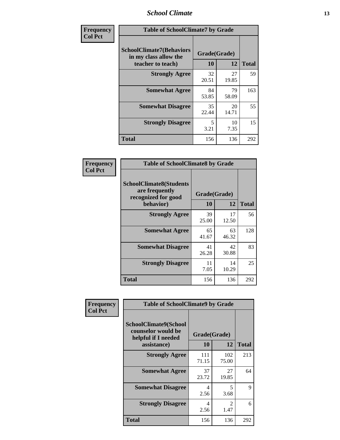#### *School Climate* **13**

| Frequency      | <b>Table of SchoolClimate7 by Grade</b>                                       |                           |             |              |
|----------------|-------------------------------------------------------------------------------|---------------------------|-------------|--------------|
| <b>Col Pct</b> | <b>SchoolClimate7(Behaviors</b><br>in my class allow the<br>teacher to teach) | Grade(Grade)<br><b>10</b> | 12          | <b>Total</b> |
|                | <b>Strongly Agree</b>                                                         | 32<br>20.51               | 27<br>19.85 | 59           |
|                | <b>Somewhat Agree</b>                                                         | 84<br>53.85               | 79<br>58.09 | 163          |
|                | <b>Somewhat Disagree</b>                                                      | 35<br>22.44               | 20<br>14.71 | 55           |
|                | <b>Strongly Disagree</b>                                                      | 5<br>3.21                 | 10<br>7.35  | 15           |
|                | <b>Total</b>                                                                  | 156                       | 136         | 292          |

| Frequency      | <b>Table of SchoolClimate8 by Grade</b>                                              |                    |             |              |
|----------------|--------------------------------------------------------------------------------------|--------------------|-------------|--------------|
| <b>Col Pct</b> | <b>SchoolClimate8(Students</b><br>are frequently<br>recognized for good<br>behavior) | Grade(Grade)<br>10 | 12          | <b>Total</b> |
|                | <b>Strongly Agree</b>                                                                | 39<br>25.00        | 17<br>12.50 | 56           |
|                | <b>Somewhat Agree</b>                                                                | 65<br>41.67        | 63<br>46.32 | 128          |
|                | <b>Somewhat Disagree</b>                                                             | 41<br>26.28        | 42<br>30.88 | 83           |
|                | <b>Strongly Disagree</b>                                                             | 11<br>7.05         | 14<br>10.29 | 25           |
|                | <b>Total</b>                                                                         | 156                | 136         | 292          |

| Frequency      | <b>Table of SchoolClimate9 by Grade</b>                            |              |                        |              |
|----------------|--------------------------------------------------------------------|--------------|------------------------|--------------|
| <b>Col Pct</b> | SchoolClimate9(School<br>counselor would be<br>helpful if I needed | Grade(Grade) |                        |              |
|                | assistance)                                                        | 10           | 12                     | <b>Total</b> |
|                | <b>Strongly Agree</b>                                              | 111<br>71.15 | 102<br>75.00           | 213          |
|                | <b>Somewhat Agree</b>                                              | 37<br>23.72  | 27<br>19.85            | 64           |
|                | <b>Somewhat Disagree</b>                                           | 4<br>2.56    | 5<br>3.68              | 9            |
|                | <b>Strongly Disagree</b>                                           | 4<br>2.56    | $\mathfrak{D}$<br>1.47 | 6            |
|                | Total                                                              | 156          | 136                    | 292          |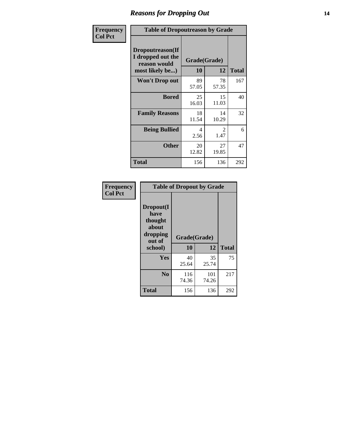## *Reasons for Dropping Out* **14**

| Frequency      | <b>Table of Dropoutreason by Grade</b>                                   |             |                       |              |
|----------------|--------------------------------------------------------------------------|-------------|-----------------------|--------------|
| <b>Col Pct</b> | Dropoutreason(If<br>I dropped out the<br>reason would<br>most likely be) | 10          | Grade(Grade)<br>12    | <b>Total</b> |
|                | Won't Drop out                                                           | 89<br>57.05 | 78<br>57.35           | 167          |
|                | <b>Bored</b>                                                             | 25<br>16.03 | 15<br>11.03           | 40           |
|                | <b>Family Reasons</b>                                                    | 18<br>11.54 | 14<br>10.29           | 32           |
|                | <b>Being Bullied</b>                                                     | 4<br>2.56   | $\mathcal{L}$<br>1.47 | 6            |
|                | <b>Other</b>                                                             | 20<br>12.82 | 27<br>19.85           | 47           |
|                | <b>Total</b>                                                             | 156         | 136                   | 292          |

| Frequency<br><b>Col Pct</b> | <b>Table of Dropout by Grade</b>                            |              |              |              |  |  |
|-----------------------------|-------------------------------------------------------------|--------------|--------------|--------------|--|--|
|                             | Dropout(I<br>have<br>thought<br>about<br>dropping<br>out of | Grade(Grade) |              |              |  |  |
|                             | school)                                                     | 10           | 12           | <b>Total</b> |  |  |
|                             | <b>Yes</b>                                                  | 40<br>25.64  | 35<br>25.74  | 75           |  |  |
|                             |                                                             |              |              |              |  |  |
|                             | N <sub>0</sub>                                              | 116<br>74.36 | 101<br>74.26 | 217          |  |  |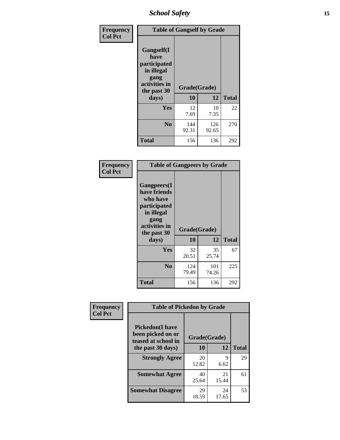*School Safety* **15**

| Frequency      | <b>Table of Gangself by Grade</b>                                                                 |                          |              |              |
|----------------|---------------------------------------------------------------------------------------------------|--------------------------|--------------|--------------|
| <b>Col Pct</b> | Gangself(I<br>have<br>participated<br>in illegal<br>gang<br>activities in<br>the past 30<br>days) | Grade(Grade)<br>10<br>12 |              | <b>Total</b> |
|                | Yes                                                                                               | 12<br>7.69               | 10<br>7.35   | 22           |
|                | N <sub>0</sub>                                                                                    | 144<br>92.31             | 126<br>92.65 | 270          |
|                | Total                                                                                             | 156                      | 136          | 292          |

| Frequency<br><b>Col Pct</b> | <b>Table of Gangpeers by Grade</b>                                                                                             |                    |              |              |
|-----------------------------|--------------------------------------------------------------------------------------------------------------------------------|--------------------|--------------|--------------|
|                             | <b>Gangpeers</b> (I<br>have friends<br>who have<br>participated<br>in illegal<br>gang<br>activities in<br>the past 30<br>days) | Grade(Grade)<br>10 | 12           | <b>Total</b> |
|                             | <b>Yes</b>                                                                                                                     | 32<br>20.51        | 35<br>25.74  | 67           |
|                             | N <sub>0</sub>                                                                                                                 | 124<br>79.49       | 101<br>74.26 | 225          |
|                             | <b>Total</b>                                                                                                                   | 156                | 136          | 292          |

| <b>Table of Pickedon by Grade</b>                                   |             |             |              |  |  |  |  |  |  |  |
|---------------------------------------------------------------------|-------------|-------------|--------------|--|--|--|--|--|--|--|
| <b>Pickedon</b> (I have<br>been picked on or<br>teased at school in |             |             |              |  |  |  |  |  |  |  |
| the past 30 days)                                                   | 10          | 12          | <b>Total</b> |  |  |  |  |  |  |  |
| <b>Strongly Agree</b>                                               | 20          | 9           | 29           |  |  |  |  |  |  |  |
|                                                                     |             | 6.62        |              |  |  |  |  |  |  |  |
| <b>Somewhat Agree</b>                                               | 40          | 21          | 61           |  |  |  |  |  |  |  |
|                                                                     | 25.64       | 15.44       |              |  |  |  |  |  |  |  |
| <b>Somewhat Disagree</b>                                            | 29<br>18.59 | 24<br>17.65 | 53           |  |  |  |  |  |  |  |
|                                                                     |             | 12.82       | Grade(Grade) |  |  |  |  |  |  |  |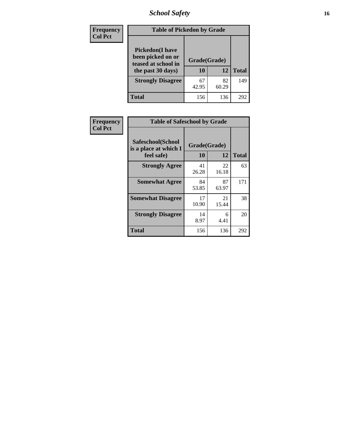## *School Safety* **16**

| <b>Frequency</b> |                                                                                          | <b>Table of Pickedon by Grade</b> |             |              |  |  |  |  |  |  |  |  |
|------------------|------------------------------------------------------------------------------------------|-----------------------------------|-------------|--------------|--|--|--|--|--|--|--|--|
| <b>Col Pct</b>   | <b>Pickedon</b> (I have<br>been picked on or<br>teased at school in<br>the past 30 days) | Grade(Grade)<br>10                | 12          | <b>Total</b> |  |  |  |  |  |  |  |  |
|                  | <b>Strongly Disagree</b>                                                                 | 67<br>42.95                       | 82<br>60.29 | 149          |  |  |  |  |  |  |  |  |
|                  | Total                                                                                    | 156                               | 136         | 292          |  |  |  |  |  |  |  |  |

| Frequency      | <b>Table of Safeschool by Grade</b>                      |                    |             |              |
|----------------|----------------------------------------------------------|--------------------|-------------|--------------|
| <b>Col Pct</b> | Safeschool(School<br>is a place at which I<br>feel safe) | Grade(Grade)<br>10 | 12          | <b>Total</b> |
|                | <b>Strongly Agree</b>                                    | 41<br>26.28        | 22<br>16.18 | 63           |
|                | <b>Somewhat Agree</b>                                    | 84<br>53.85        | 87<br>63.97 | 171          |
|                | <b>Somewhat Disagree</b>                                 | 17<br>10.90        | 21<br>15.44 | 38           |
|                | <b>Strongly Disagree</b>                                 | 14<br>8.97         | 6<br>4.41   | 20           |
|                | <b>Total</b>                                             | 156                | 136         | 292          |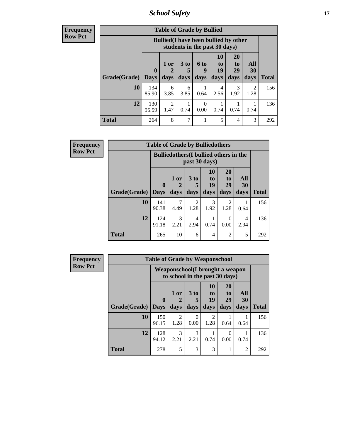*School Safety* **17**

| <b>Frequency</b> |
|------------------|
| <b>Row Pct</b>   |

| <b>Table of Grade by Bullied</b> |                                 |                                                                               |                         |                     |                        |                               |                   |              |  |  |  |
|----------------------------------|---------------------------------|-------------------------------------------------------------------------------|-------------------------|---------------------|------------------------|-------------------------------|-------------------|--------------|--|--|--|
|                                  |                                 | <b>Bullied</b> (I have been bullied by other<br>students in the past 30 days) |                         |                     |                        |                               |                   |              |  |  |  |
| Grade(Grade)                     | $\boldsymbol{0}$<br><b>Days</b> | 1 or<br>2<br>days                                                             | 3 <sub>to</sub><br>days | <b>6 to</b><br>days | 10<br>to<br>19<br>days | <b>20</b><br>to<br>29<br>days | All<br>30<br>days | <b>Total</b> |  |  |  |
| 10                               | 134<br>85.90                    | 6<br>3.85                                                                     | 6<br>3.85               | 0.64                | 4<br>2.56              | 3<br>1.92                     | 2<br>1.28         | 156          |  |  |  |
| 12                               | 130<br>95.59                    | $\overline{2}$<br>1.47                                                        | 0.74                    | 0<br>0.00           | 0.74                   | 0.74                          | 0.74              | 136          |  |  |  |
| <b>Total</b>                     | 264                             | 8                                                                             | 7                       |                     | 5                      | $\overline{\mathcal{A}}$      | 3                 | 292          |  |  |  |

| <b>Frequency</b> |              | <b>Table of Grade by Bulliedothers</b>        |                       |                 |                |                       |           |              |
|------------------|--------------|-----------------------------------------------|-----------------------|-----------------|----------------|-----------------------|-----------|--------------|
| <b>Row Pct</b>   |              | <b>Bulliedothers</b> (I bullied others in the |                       |                 |                |                       |           |              |
|                  |              | $\mathbf{0}$                                  | 1 or<br>2             | 3 <sub>to</sub> | 10<br>to<br>19 | <b>20</b><br>to<br>29 | All<br>30 |              |
|                  | Grade(Grade) | <b>Days</b>                                   | days                  | days            | days           | days                  | days      | <b>Total</b> |
|                  | 10           | 141<br>90.38                                  | 7<br>4.49             | 2<br>1.28       | 3<br>1.92      | 2<br>1.28             | 1<br>0.64 | 156          |
|                  | 12           | 124<br>91.18                                  | $\mathcal{R}$<br>2.21 | 4<br>2.94       | 0.74           | $\Omega$<br>0.00      | 4<br>2.94 | 136          |
|                  | <b>Total</b> | 265                                           | 10                    | 6               | $\overline{4}$ | $\overline{2}$        | 5         | 292          |

| <b>Frequency</b> | <b>Table of Grade by Weaponschool</b> |                                                                    |                        |                       |                        |                               |                   |              |  |  |  |
|------------------|---------------------------------------|--------------------------------------------------------------------|------------------------|-----------------------|------------------------|-------------------------------|-------------------|--------------|--|--|--|
| <b>Row Pct</b>   |                                       | Weaponschool (I brought a weapon<br>to school in the past 30 days) |                        |                       |                        |                               |                   |              |  |  |  |
|                  | Grade(Grade)                          | $\mathbf{0}$<br><b>Days</b>                                        | 1 or<br>days           | 3 to<br>days          | 10<br>to<br>19<br>days | <b>20</b><br>to<br>29<br>days | All<br>30<br>days | <b>Total</b> |  |  |  |
|                  | 10                                    | 150<br>96.15                                                       | $\mathfrak{D}$<br>1.28 | 0<br>0.00             | $\mathfrak{D}$<br>1.28 | 0.64                          | 0.64              | 156          |  |  |  |
|                  | 12                                    | 128<br>94.12                                                       | $\mathcal{R}$<br>2.21  | $\mathcal{R}$<br>2.21 | 0.74                   | 0<br>0.00                     | 0.74              | 136          |  |  |  |
|                  | <b>Total</b>                          | 278                                                                | 5                      | 3                     | 3                      |                               | $\overline{2}$    | 292          |  |  |  |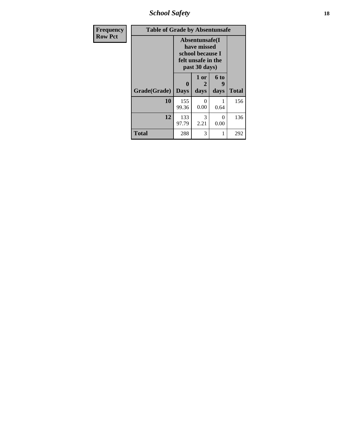*School Safety* **18**

| <b>Frequency</b> | <b>Table of Grade by Absentunsafe</b> |                                                                                          |                   |                   |              |  |  |  |  |  |
|------------------|---------------------------------------|------------------------------------------------------------------------------------------|-------------------|-------------------|--------------|--|--|--|--|--|
| <b>Row Pct</b>   |                                       | Absentunsafe(I<br>have missed<br>school because I<br>felt unsafe in the<br>past 30 days) |                   |                   |              |  |  |  |  |  |
|                  | Grade(Grade)                          | $\mathbf{0}$<br><b>Days</b>                                                              | 1 or<br>2<br>days | 6 to<br>9<br>days | <b>Total</b> |  |  |  |  |  |
|                  | 10                                    | 155<br>99.36                                                                             | 0<br>0.00         | 0.64              | 156          |  |  |  |  |  |
|                  | 12                                    | 133<br>97.79                                                                             | 3<br>2.21         | $\Omega$<br>0.00  | 136          |  |  |  |  |  |
|                  | <b>Total</b>                          | 288                                                                                      | 3                 | 1                 | 292          |  |  |  |  |  |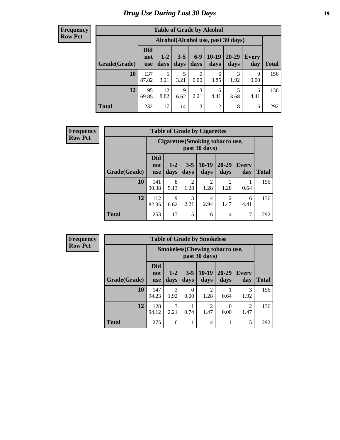## *Drug Use During Last 30 Days* **19**

#### **Frequency Row Pct**

| <b>Table of Grade by Alcohol</b> |                          |                                    |                 |                  |                 |               |                  |              |  |  |  |  |
|----------------------------------|--------------------------|------------------------------------|-----------------|------------------|-----------------|---------------|------------------|--------------|--|--|--|--|
|                                  |                          | Alcohol(Alcohol use, past 30 days) |                 |                  |                 |               |                  |              |  |  |  |  |
| Grade(Grade)                     | Did<br>not<br><b>use</b> | $1 - 2$<br>days                    | $3 - 5$<br>days | $6-9$<br>days    | $10-19$<br>days | 20-29<br>days | Every<br>day     | <b>Total</b> |  |  |  |  |
| 10                               | 137<br>87.82             | 5<br>3.21                          | 5<br>3.21       | $\theta$<br>0.00 | 6<br>3.85       | 3<br>1.92     | $\theta$<br>0.00 | 156          |  |  |  |  |
| 12                               | 95<br>69.85              | 12<br>8.82                         | 9<br>6.62       | 3<br>2.21        | 6<br>4.41       | 5<br>3.68     | 6<br>4.41        | 136          |  |  |  |  |
| <b>Total</b>                     | 232                      | 17                                 | 14              | 3                | 12              | 8             | 6                | 292          |  |  |  |  |

| <b>Frequency</b> |              |                                                          |                     | <b>Table of Grade by Cigarettes</b> |                 |                        |              |              |  |  |
|------------------|--------------|----------------------------------------------------------|---------------------|-------------------------------------|-----------------|------------------------|--------------|--------------|--|--|
| <b>Row Pct</b>   |              | <b>Cigarettes (Smoking tobacco use,</b><br>past 30 days) |                     |                                     |                 |                        |              |              |  |  |
|                  | Grade(Grade) | <b>Did</b><br>not<br><b>use</b>                          | $1-2$<br>days       | $3 - 5$<br>days                     | $10-19$<br>days | $20 - 29$<br>days      | Every<br>day | <b>Total</b> |  |  |
|                  | 10           | 141<br>90.38                                             | 8<br>5.13           | $\mathfrak{D}$<br>1.28              | 2<br>1.28       | $\mathcal{D}$<br>1.28  | 0.64         | 156          |  |  |
|                  | 12           | 112<br>82.35                                             | $\mathbf Q$<br>6.62 | 3<br>2.21                           | 4<br>2.94       | $\overline{2}$<br>1.47 | 6<br>4.41    | 136          |  |  |
|                  | <b>Total</b> | 253                                                      | 17                  | 5                                   | 6               | 4                      | 7            | 292          |  |  |

**Frequency Row Pct**

| <b>Table of Grade by Smokeless</b> |                                 |                                                        |                  |                        |                   |                     |              |  |  |  |  |
|------------------------------------|---------------------------------|--------------------------------------------------------|------------------|------------------------|-------------------|---------------------|--------------|--|--|--|--|
|                                    |                                 | <b>Smokeless</b> (Chewing tobaccouse,<br>past 30 days) |                  |                        |                   |                     |              |  |  |  |  |
| Grade(Grade)                       | <b>Did</b><br>not<br><b>use</b> | $1-2$<br>days                                          | $3 - 5$<br>days  | $10-19$<br>days        | $20 - 29$<br>days | <b>Every</b><br>day | <b>Total</b> |  |  |  |  |
| 10                                 | 147<br>94.23                    | 3<br>1.92                                              | $\theta$<br>0.00 | 2<br>1.28              | 0.64              | 3<br>1.92           | 156          |  |  |  |  |
| 12                                 | 128<br>94.12                    | 3<br>2.21                                              | 0.74             | $\mathfrak{D}$<br>1.47 | 0<br>0.00         | 2<br>1.47           | 136          |  |  |  |  |
| <b>Total</b>                       | 275                             | 6                                                      |                  | 4                      |                   | 5                   | 292          |  |  |  |  |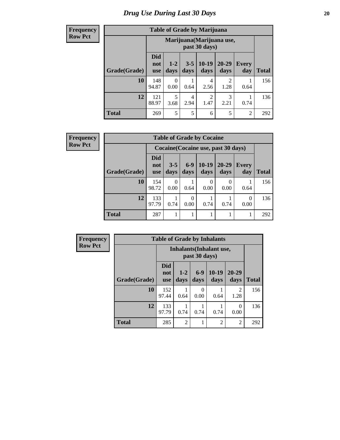#### **Frequency Row Pct**

| <b>Table of Grade by Marijuana</b> |                                 |                                            |                 |                        |                   |                     |              |  |  |  |  |
|------------------------------------|---------------------------------|--------------------------------------------|-----------------|------------------------|-------------------|---------------------|--------------|--|--|--|--|
|                                    |                                 | Marijuana (Marijuana use,<br>past 30 days) |                 |                        |                   |                     |              |  |  |  |  |
| Grade(Grade)                       | <b>Did</b><br>not<br><b>use</b> | $1-2$<br>days                              | $3 - 5$<br>days | $10-19$<br>days        | $20 - 29$<br>days | <b>Every</b><br>day | <b>Total</b> |  |  |  |  |
| 10                                 | 148<br>94.87                    | 0<br>0.00                                  | 0.64            | 4<br>2.56              | 2<br>1.28         | 0.64                | 156          |  |  |  |  |
| 12                                 | 121<br>88.97                    | 5<br>3.68                                  | 4<br>2.94       | $\mathfrak{D}$<br>1.47 | 3<br>2.21         | 0.74                | 136          |  |  |  |  |
| <b>Total</b>                       | 269                             | 5                                          | 5               | 6                      | 5                 | 2                   | 292          |  |  |  |  |

| <b>Frequency</b> |  |
|------------------|--|
| <b>Row Pct</b>   |  |

| <b>Table of Grade by Cocaine</b>    |                                 |                 |               |                 |                   |                     |              |  |  |
|-------------------------------------|---------------------------------|-----------------|---------------|-----------------|-------------------|---------------------|--------------|--|--|
| Cocaine (Cocaine use, past 30 days) |                                 |                 |               |                 |                   |                     |              |  |  |
| Grade(Grade)                        | <b>Did</b><br>not<br><b>use</b> | $3 - 5$<br>days | $6-9$<br>days | $10-19$<br>days | $20 - 29$<br>days | <b>Every</b><br>day | <b>Total</b> |  |  |
| 10                                  | 154<br>98.72                    | 0.00            | 0.64          | 0.00            | 0.00              | 0.64                | 156          |  |  |
| 12                                  | 133<br>97.79                    | 0.74            | 0<br>0.00     | 0.74            | 0.74              | 0<br>0.00           | 136          |  |  |
| <b>Total</b>                        | 287                             |                 | 1             |                 |                   |                     | 292          |  |  |

| Frequency      | <b>Table of Grade by Inhalants</b> |                                 |                 |               |                                 |                        |              |
|----------------|------------------------------------|---------------------------------|-----------------|---------------|---------------------------------|------------------------|--------------|
| <b>Row Pct</b> |                                    |                                 |                 | past 30 days) | <b>Inhalants</b> (Inhalant use, |                        |              |
|                | Grade(Grade)                       | <b>Did</b><br>not<br><b>use</b> | $1 - 2$<br>days | $6-9$<br>days | $10-19$<br>days                 | 20-29<br>days          | <b>Total</b> |
|                | 10                                 | 152<br>97.44                    | 0.64            | 0<br>0.00     | 0.64                            | $\overline{2}$<br>1.28 | 156          |
|                | 12                                 | 133<br>97.79                    | 0.74            | 0.74          | 0.74                            | 0<br>0.00              | 136          |
|                | <b>Total</b>                       | 285                             | $\mathfrak{D}$  |               | $\overline{c}$                  | $\overline{2}$         | 292          |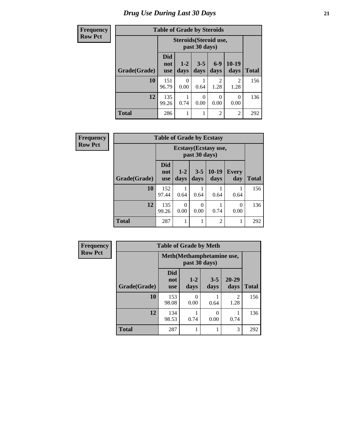## *Drug Use During Last 30 Days* **21**

| <b>Frequency</b> | <b>Table of Grade by Steroids</b> |                                         |                  |                  |                        |                        |              |  |
|------------------|-----------------------------------|-----------------------------------------|------------------|------------------|------------------------|------------------------|--------------|--|
| <b>Row Pct</b>   |                                   | Steroids (Steroid use,<br>past 30 days) |                  |                  |                        |                        |              |  |
|                  | Grade(Grade)                      | <b>Did</b><br>not<br><b>use</b>         | $1 - 2$<br>days  | $3 - 5$<br>days  | $6-9$<br>days          | 10-19<br>days          | <b>Total</b> |  |
|                  | 10                                | 151<br>96.79                            | $\Omega$<br>0.00 | 0.64             | $\mathfrak{D}$<br>1.28 | $\mathfrak{D}$<br>1.28 | 156          |  |
|                  | 12                                | 135<br>99.26                            | 0.74             | $\Omega$<br>0.00 | $\Omega$<br>0.00       | 0<br>0.00              | 136          |  |
|                  | <b>Total</b>                      | 286                                     | 1                |                  | $\overline{2}$         | $\overline{2}$         | 292          |  |

| Frequency      | <b>Table of Grade by Ecstasy</b> |                                 |                  |                  |                       |                     |              |  |
|----------------|----------------------------------|---------------------------------|------------------|------------------|-----------------------|---------------------|--------------|--|
| <b>Row Pct</b> |                                  |                                 |                  | past 30 days)    | Ecstasy (Ecstasy use, |                     |              |  |
|                | Grade(Grade)                     | <b>Did</b><br>not<br><b>use</b> | $1 - 2$<br>days  | $3 - 5$<br>days  | 10-19<br>days         | <b>Every</b><br>day | <b>Total</b> |  |
|                | 10                               | 152<br>97.44                    | 0.64             | 0.64             | 0.64                  | 0.64                | 156          |  |
|                | 12                               | 135<br>99.26                    | $\Omega$<br>0.00 | $\theta$<br>0.00 | 0.74                  | $\Omega$<br>0.00    | 136          |  |
|                | <b>Total</b>                     | 287                             |                  |                  | $\overline{c}$        | 1                   | 292          |  |

| <b>Frequency</b> | <b>Table of Grade by Meth</b>              |                                 |                 |                 |               |              |  |
|------------------|--------------------------------------------|---------------------------------|-----------------|-----------------|---------------|--------------|--|
| <b>Row Pct</b>   | Meth(Methamphetamine use,<br>past 30 days) |                                 |                 |                 |               |              |  |
|                  | Grade(Grade)                               | <b>Did</b><br>not<br><b>use</b> | $1 - 2$<br>days | $3 - 5$<br>days | 20-29<br>days | <b>Total</b> |  |
|                  | 10                                         | 153<br>98.08                    | 0<br>0.00       | 0.64            | 2<br>1.28     | 156          |  |
|                  | 12                                         | 134<br>98.53                    | 0.74            | 0<br>0.00       | 0.74          | 136          |  |
|                  | <b>Total</b>                               | 287                             |                 |                 | 3             | 292          |  |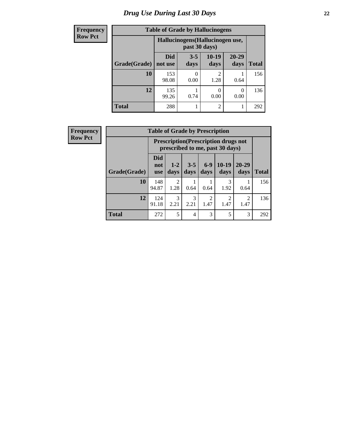## *Drug Use During Last 30 Days* **22**

| <b>Frequency</b> | <b>Table of Grade by Hallucinogens</b> |                |                                                   |                       |                  |              |  |  |
|------------------|----------------------------------------|----------------|---------------------------------------------------|-----------------------|------------------|--------------|--|--|
| <b>Row Pct</b>   |                                        |                | Hallucinogens (Hallucinogen use,<br>past 30 days) |                       |                  |              |  |  |
|                  | Grade(Grade)                           | Did<br>not use | $3 - 5$<br>days                                   | $10-19$<br>days       | 20-29<br>days    | <b>Total</b> |  |  |
|                  | 10                                     | 153<br>98.08   | 0.00                                              | $\mathcal{D}$<br>1.28 | 0.64             | 156          |  |  |
|                  | 12                                     | 135<br>99.26   | 0.74                                              | 0<br>0.00             | $\Omega$<br>0.00 | 136          |  |  |
|                  | <b>Total</b>                           | 288            |                                                   | $\overline{2}$        |                  | 292          |  |  |

| <b>Frequency</b> |                                                                                | <b>Table of Grade by Prescription</b> |                        |                 |                        |                 |                        |              |
|------------------|--------------------------------------------------------------------------------|---------------------------------------|------------------------|-----------------|------------------------|-----------------|------------------------|--------------|
| <b>Row Pct</b>   | <b>Prescription</b> (Prescription drugs not<br>prescribed to me, past 30 days) |                                       |                        |                 |                        |                 |                        |              |
|                  | Grade(Grade)                                                                   | Did<br>not<br><b>use</b>              | $1 - 2$<br>days        | $3 - 5$<br>days | $6-9$<br>days          | $10-19$<br>days | $20 - 29$<br>days      | <b>Total</b> |
|                  | 10                                                                             | 148<br>94.87                          | $\overline{2}$<br>1.28 | 0.64            | 0.64                   | 3<br>1.92       | 0.64                   | 156          |
|                  | 12                                                                             | 124<br>91.18                          | 3<br>2.21              | 3<br>2.21       | $\overline{2}$<br>1.47 | റ<br>1.47       | $\overline{c}$<br>1.47 | 136          |
|                  | <b>Total</b>                                                                   | 272                                   | 5                      | $\overline{4}$  | 3                      | 5               | 3                      | 292          |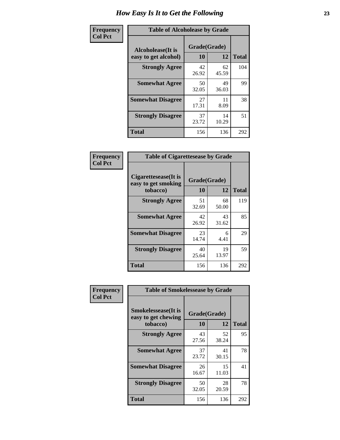| Frequency      | <b>Table of Alcoholease by Grade</b>              |                    |             |              |  |  |  |
|----------------|---------------------------------------------------|--------------------|-------------|--------------|--|--|--|
| <b>Col Pct</b> | <b>Alcoholease</b> (It is<br>easy to get alcohol) | Grade(Grade)<br>10 | 12          | <b>Total</b> |  |  |  |
|                | <b>Strongly Agree</b>                             | 42<br>26.92        | 62<br>45.59 | 104          |  |  |  |
|                | <b>Somewhat Agree</b>                             | 50<br>32.05        | 49<br>36.03 | 99           |  |  |  |
|                | <b>Somewhat Disagree</b>                          | 27<br>17.31        | 11<br>8.09  | 38           |  |  |  |
|                | <b>Strongly Disagree</b>                          | 37<br>23.72        | 14<br>10.29 | 51           |  |  |  |
|                | <b>Total</b>                                      | 156                | 136         | 292          |  |  |  |

| Frequency<br>Col Pct |  |
|----------------------|--|
|                      |  |

| <b>Table of Cigarettesease by Grade</b>                 |                    |             |              |  |  |  |  |
|---------------------------------------------------------|--------------------|-------------|--------------|--|--|--|--|
| Cigarettesease(It is<br>easy to get smoking<br>tobacco) | Grade(Grade)<br>10 | 12          | <b>Total</b> |  |  |  |  |
| <b>Strongly Agree</b>                                   | 51<br>32.69        | 68<br>50.00 | 119          |  |  |  |  |
| <b>Somewhat Agree</b>                                   | 42<br>26.92        | 43<br>31.62 | 85           |  |  |  |  |
| <b>Somewhat Disagree</b>                                | 23<br>14.74        | 6<br>4.41   | 29           |  |  |  |  |
| <b>Strongly Disagree</b>                                | 40<br>25.64        | 19<br>13.97 | 59           |  |  |  |  |
| Total                                                   | 156                | 136         | 292          |  |  |  |  |

| Frequency      | <b>Table of Smokelessease by Grade</b>                         |                    |             |              |
|----------------|----------------------------------------------------------------|--------------------|-------------|--------------|
| <b>Col Pct</b> | <b>Smokelessease</b> (It is<br>easy to get chewing<br>tobacco) | Grade(Grade)<br>10 | 12          | <b>Total</b> |
|                | <b>Strongly Agree</b>                                          | 43<br>27.56        | 52<br>38.24 | 95           |
|                | <b>Somewhat Agree</b>                                          | 37<br>23.72        | 41<br>30.15 | 78           |
|                | <b>Somewhat Disagree</b>                                       | 26<br>16.67        | 15<br>11.03 | 41           |
|                | <b>Strongly Disagree</b>                                       | 50<br>32.05        | 28<br>20.59 | 78           |
|                | <b>Total</b>                                                   | 156                | 136         | 292          |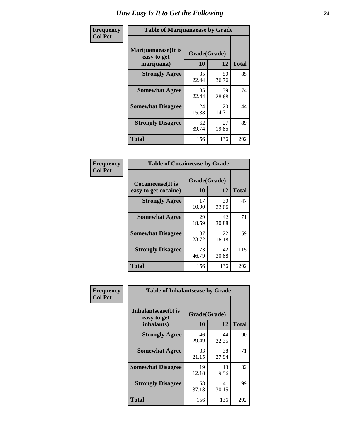| Frequency      | <b>Table of Marijuanaease by Grade</b>           |                           |              |     |  |  |  |  |  |  |
|----------------|--------------------------------------------------|---------------------------|--------------|-----|--|--|--|--|--|--|
| <b>Col Pct</b> | Marijuanaease(It is<br>easy to get<br>marijuana) | Grade(Grade)<br><b>10</b> | <b>Total</b> |     |  |  |  |  |  |  |
|                | <b>Strongly Agree</b>                            | 35<br>22.44               | 50<br>36.76  | 85  |  |  |  |  |  |  |
|                | <b>Somewhat Agree</b>                            | 35<br>22.44               | 39<br>28.68  | 74  |  |  |  |  |  |  |
|                | <b>Somewhat Disagree</b>                         | 24<br>15.38               | 20<br>14.71  | 44  |  |  |  |  |  |  |
|                | <b>Strongly Disagree</b>                         | 62<br>39.74               | 27<br>19.85  | 89  |  |  |  |  |  |  |
|                | <b>Total</b>                                     | 156                       | 136          | 292 |  |  |  |  |  |  |

| <b>Table of Cocaineease by Grade</b>      |                    |              |     |  |  |  |  |  |  |  |
|-------------------------------------------|--------------------|--------------|-----|--|--|--|--|--|--|--|
| Cocaineease(It is<br>easy to get cocaine) | Grade(Grade)<br>10 | <b>Total</b> |     |  |  |  |  |  |  |  |
| <b>Strongly Agree</b>                     | 17<br>10.90        | 30<br>22.06  | 47  |  |  |  |  |  |  |  |
| <b>Somewhat Agree</b>                     | 29<br>18.59        | 42<br>30.88  | 71  |  |  |  |  |  |  |  |
| <b>Somewhat Disagree</b>                  | 37<br>23.72        | 22<br>16.18  | 59  |  |  |  |  |  |  |  |
| <b>Strongly Disagree</b>                  | 73<br>46.79        | 42<br>30.88  | 115 |  |  |  |  |  |  |  |
| <b>Total</b>                              | 156                | 136          | 292 |  |  |  |  |  |  |  |

| Frequency      | <b>Table of Inhalantsease by Grade</b>                   |                           |              |     |  |  |  |  |  |  |
|----------------|----------------------------------------------------------|---------------------------|--------------|-----|--|--|--|--|--|--|
| <b>Col Pct</b> | <b>Inhalantsease</b> (It is<br>easy to get<br>inhalants) | Grade(Grade)<br><b>10</b> | <b>Total</b> |     |  |  |  |  |  |  |
|                | <b>Strongly Agree</b>                                    | 46<br>29.49               | 44<br>32.35  | 90  |  |  |  |  |  |  |
|                | <b>Somewhat Agree</b>                                    | 33<br>21.15               | 38<br>27.94  | 71  |  |  |  |  |  |  |
|                | <b>Somewhat Disagree</b>                                 | 19<br>12.18               | 13<br>9.56   | 32  |  |  |  |  |  |  |
|                | <b>Strongly Disagree</b>                                 | 58<br>37.18               | 41<br>30.15  | 99  |  |  |  |  |  |  |
|                | <b>Total</b>                                             | 156                       | 136          | 292 |  |  |  |  |  |  |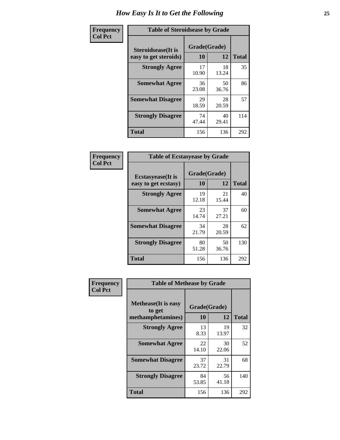| Frequency      | <b>Table of Steroidsease by Grade</b>               |                    |             |              |  |  |  |  |  |  |
|----------------|-----------------------------------------------------|--------------------|-------------|--------------|--|--|--|--|--|--|
| <b>Col Pct</b> | <b>Steroidsease</b> (It is<br>easy to get steroids) | Grade(Grade)<br>10 | 12          | <b>Total</b> |  |  |  |  |  |  |
|                | <b>Strongly Agree</b>                               | 17<br>10.90        | 18<br>13.24 | 35           |  |  |  |  |  |  |
|                | <b>Somewhat Agree</b>                               | 36<br>23.08        | 50<br>36.76 | 86           |  |  |  |  |  |  |
|                | <b>Somewhat Disagree</b>                            | 29<br>18.59        | 28<br>20.59 | 57           |  |  |  |  |  |  |
|                | <b>Strongly Disagree</b>                            | 74<br>47.44        | 40<br>29.41 | 114          |  |  |  |  |  |  |
|                | <b>Total</b>                                        | 156                | 136         | 292          |  |  |  |  |  |  |

| Frequency      | <b>Table of Ecstasyease by Grade</b>              |                    |             |              |  |  |  |  |  |
|----------------|---------------------------------------------------|--------------------|-------------|--------------|--|--|--|--|--|
| <b>Col Pct</b> | <b>Ecstasyease</b> (It is<br>easy to get ecstasy) | Grade(Grade)<br>10 | 12          | <b>Total</b> |  |  |  |  |  |
|                | <b>Strongly Agree</b>                             | 19<br>12.18        | 21<br>15.44 | 40           |  |  |  |  |  |
|                | <b>Somewhat Agree</b>                             | 23<br>14.74        | 37<br>27.21 | 60           |  |  |  |  |  |
|                | <b>Somewhat Disagree</b>                          | 34<br>21.79        | 28<br>20.59 | 62           |  |  |  |  |  |
|                | <b>Strongly Disagree</b>                          | 80<br>51.28        | 50<br>36.76 | 130          |  |  |  |  |  |
|                | <b>Total</b>                                      | 156                | 136         | 292          |  |  |  |  |  |

| Frequency      | <b>Table of Methease by Grade</b>                          |                    |             |              |  |  |  |  |  |
|----------------|------------------------------------------------------------|--------------------|-------------|--------------|--|--|--|--|--|
| <b>Col Pct</b> | <b>Methease</b> (It is easy<br>to get<br>methamphetamines) | Grade(Grade)<br>10 | 12          | <b>Total</b> |  |  |  |  |  |
|                | <b>Strongly Agree</b>                                      | 13<br>8.33         | 19<br>13.97 | 32           |  |  |  |  |  |
|                | <b>Somewhat Agree</b>                                      | 22<br>14.10        | 30<br>22.06 | 52           |  |  |  |  |  |
|                | <b>Somewhat Disagree</b>                                   | 37<br>23.72        | 31<br>22.79 | 68           |  |  |  |  |  |
|                | <b>Strongly Disagree</b>                                   | 84<br>53.85        | 56<br>41.18 | 140          |  |  |  |  |  |
|                | Total                                                      | 156                | 136         | 292          |  |  |  |  |  |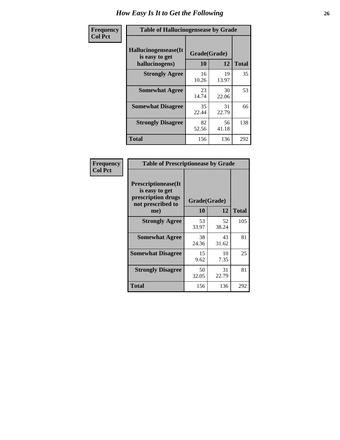| <b>Frequency</b> | <b>Table of Hallucinogensease by Grade</b>               |                    |             |              |  |  |  |  |  |  |
|------------------|----------------------------------------------------------|--------------------|-------------|--------------|--|--|--|--|--|--|
| <b>Col Pct</b>   | Hallucinogensease(It<br>is easy to get<br>hallucinogens) | Grade(Grade)<br>10 | 12          | <b>Total</b> |  |  |  |  |  |  |
|                  | <b>Strongly Agree</b>                                    | 16<br>10.26        | 19<br>13.97 | 35           |  |  |  |  |  |  |
|                  | <b>Somewhat Agree</b>                                    | 23<br>14.74        | 30<br>22.06 | 53           |  |  |  |  |  |  |
|                  | <b>Somewhat Disagree</b>                                 | 35<br>22.44        | 31<br>22.79 | 66           |  |  |  |  |  |  |
|                  | <b>Strongly Disagree</b>                                 | 82<br>52.56        | 56<br>41.18 | 138          |  |  |  |  |  |  |
|                  | <b>Total</b>                                             | 156                | 136         | 292          |  |  |  |  |  |  |

| Frequency<br>  Col Pct |
|------------------------|
|                        |

| <b>Table of Prescriptionease by Grade</b>                                                |             |              |              |  |  |  |  |  |  |  |
|------------------------------------------------------------------------------------------|-------------|--------------|--------------|--|--|--|--|--|--|--|
| <b>Prescriptionease</b> (It<br>is easy to get<br>prescription drugs<br>not prescribed to |             | Grade(Grade) |              |  |  |  |  |  |  |  |
| me)                                                                                      | 10          | 12           | <b>Total</b> |  |  |  |  |  |  |  |
| <b>Strongly Agree</b>                                                                    | 53<br>33.97 | 52<br>38.24  | 105          |  |  |  |  |  |  |  |
| <b>Somewhat Agree</b>                                                                    | 38<br>24.36 | 43<br>31.62  | 81           |  |  |  |  |  |  |  |
| <b>Somewhat Disagree</b>                                                                 | 15<br>9.62  | 10<br>7.35   | 25           |  |  |  |  |  |  |  |
| <b>Strongly Disagree</b>                                                                 | 50<br>32.05 | 31<br>22.79  | 81           |  |  |  |  |  |  |  |
| Total                                                                                    | 156         | 136          | 292          |  |  |  |  |  |  |  |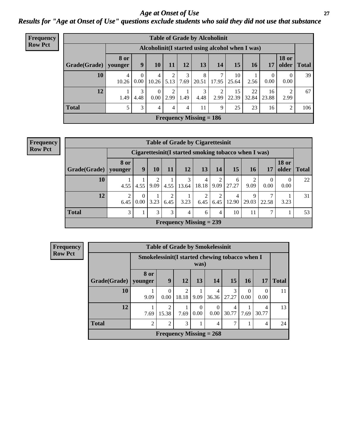*Age at Onset of Use* **27** *Results for "Age at Onset of Use" questions exclude students who said they did not use that substance*

| Frequency      | <b>Table of Grade by Alcoholinit</b> |             |                                                  |                  |           |           |                           |            |             |             |                  |                        |              |
|----------------|--------------------------------------|-------------|--------------------------------------------------|------------------|-----------|-----------|---------------------------|------------|-------------|-------------|------------------|------------------------|--------------|
| <b>Row Pct</b> |                                      |             | Alcoholinit (I started using alcohol when I was) |                  |           |           |                           |            |             |             |                  |                        |              |
|                | $Grade(Grade)$ younger               | <b>8 or</b> | 9                                                | 10               | 11        | 12        | 13                        | 14         | 15          | <b>16</b>   | 17               | <b>18 or</b><br>older  | <b>Total</b> |
|                | 10                                   | 4<br>10.26  | $\theta$<br>0.00                                 | 4<br>10.26       | 5.13      | 3<br>7.69 | 8<br>20.51                | ℸ<br>17.95 | 10<br>25.64 | 2.56        | $\theta$<br>0.00 | $\theta$<br>0.00       | 39           |
|                | 12                                   | 1.49        | 3<br>4.48                                        | $\Omega$<br>0.00 | ↑<br>2.99 | 1.49      | 3<br>4.48                 | 2<br>2.99  | 15<br>22.39 | 22<br>32.84 | 16<br>23.88      | $\overline{2}$<br>2.99 | 67           |
|                | <b>Total</b>                         | 5           | 3                                                | 4                | 4         | 4         | 11                        | 9          | 25          | 23          | 16               | 2                      | 106          |
|                |                                      |             |                                                  |                  |           |           | Frequency Missing $= 186$ |            |             |             |                  |                        |              |

| <b>Frequency</b> |
|------------------|
| <b>Row Pct</b>   |

| <b>Table of Grade by Cigarettesinit</b> |                                |                                                       |           |           |            |            |           |            |            |                  |                       |              |
|-----------------------------------------|--------------------------------|-------------------------------------------------------|-----------|-----------|------------|------------|-----------|------------|------------|------------------|-----------------------|--------------|
|                                         |                                | Cigarettesinit (I started smoking tobacco when I was) |           |           |            |            |           |            |            |                  |                       |              |
| Grade(Grade)                            | <b>8 or</b><br>younger         | 9                                                     | 10        | 11        | 12         | 13         | 14        | 15         | 16         | 17               | <b>18 or</b><br>older | <b>Total</b> |
| 10                                      | 4.55                           | 4.55                                                  | 2<br>9.09 | 4.55      | 3<br>13.64 | 4<br>18.18 | 2<br>9.09 | 6<br>27.27 | 9.09       | $\Omega$<br>0.00 | $\Omega$<br>0.00      | 22           |
| 12                                      | $\overline{2}$<br>6.45         | $\Omega$<br>0.00                                      | 3.23      | 2<br>6.45 | 3.23       | 2<br>6.45  | 2<br>6.45 | 4<br>12.90 | 9<br>29.03 | ⇁<br>22.58       | 3.23                  | 31           |
| <b>Total</b>                            | 3                              |                                                       | 3         | 3         | 4          | 6          | 4         | 10         | 11         | 7                |                       | 53           |
|                                         | <b>Frequency Missing = 239</b> |                                                       |           |           |            |            |           |            |            |                  |                       |              |

| Frequency      |              |                                                 |                |                         |                  | <b>Table of Grade by Smokelessinit</b> |            |                  |            |              |
|----------------|--------------|-------------------------------------------------|----------------|-------------------------|------------------|----------------------------------------|------------|------------------|------------|--------------|
| <b>Row Pct</b> |              | Smokelessinit (I started chewing tobacco when I |                |                         | was)             |                                        |            |                  |            |              |
|                | Grade(Grade) | 8 or<br>vounger                                 | 9              | 12                      | 13               | <b>14</b>                              | <b>15</b>  | 16 <sup>1</sup>  | 17         | <b>Total</b> |
|                | 10           | 9.09                                            | 0<br>0.00      | $\overline{2}$<br>18.18 | 9.09             | $\overline{4}$<br>36.36                | 3<br>27.27 | $\Omega$<br>0.00 | 0<br>0.00  | 11           |
|                | 12           | 7.69                                            | 2<br>15.38     | 7.69                    | $\Omega$<br>0.00 | $\theta$<br>0.00                       | 4<br>30.77 | 7.69             | 4<br>30.77 | 13           |
|                | <b>Total</b> | $\mathfrak{D}$                                  | $\overline{c}$ | 3                       | 1                | 4                                      |            | 1                | 4          | 24           |
|                |              |                                                 |                |                         |                  | Frequency Missing $= 268$              |            |                  |            |              |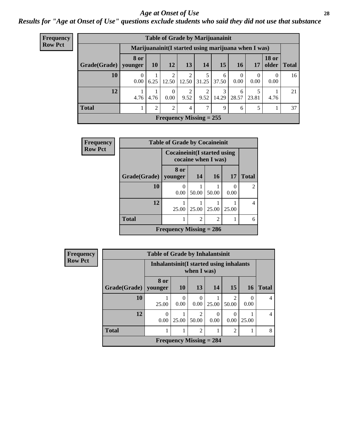#### *Age at Onset of Use* **28**

*Results for "Age at Onset of Use" questions exclude students who said they did not use that substance*

| <b>Frequency</b> |              | <b>Table of Grade by Marijuanainit</b> |                |                         |                         |                                                      |            |                  |                  |                       |              |  |
|------------------|--------------|----------------------------------------|----------------|-------------------------|-------------------------|------------------------------------------------------|------------|------------------|------------------|-----------------------|--------------|--|
| <b>Row Pct</b>   |              |                                        |                |                         |                         | Marijuanainit (I started using marijuana when I was) |            |                  |                  |                       |              |  |
|                  | Grade(Grade) | <b>8 or</b><br>younger                 | 10             | 12                      | 13                      | 14                                                   | 15         | 16               | 17               | <b>18 or</b><br>older | <b>Total</b> |  |
|                  | 10           | $\theta$<br>0.00                       | 6.25           | $\mathfrak{D}$<br>12.50 | $\overline{c}$<br>12.50 | 5<br>31.25                                           | 6<br>37.50 | $\Omega$<br>0.00 | $\Omega$<br>0.00 | $\Omega$<br>0.00      | 16           |  |
|                  | 12           | 4.76                                   | 4.76           | $\theta$<br>$0.00\,$    | $\overline{2}$<br>9.52  | ◠<br>9.52                                            | 3<br>14.29 | 6<br>28.57       | 23.81            | 4.76                  | 21           |  |
|                  | <b>Total</b> |                                        | $\mathfrak{D}$ | $\overline{2}$          | $\overline{4}$          | 7                                                    | 9          | 6                | 5                |                       | 37           |  |
|                  |              |                                        |                |                         |                         | Frequency Missing $= 255$                            |            |                  |                  |                       |              |  |

| Frequency      |              | <b>Table of Grade by Cocaineinit</b> |                     |                             |           |                |  |
|----------------|--------------|--------------------------------------|---------------------|-----------------------------|-----------|----------------|--|
| <b>Row Pct</b> |              | <b>Cocaineinit</b> (I started using  | cocaine when I was) |                             |           |                |  |
|                | Grade(Grade) | 8 or<br>younger                      | 14                  | 16                          | <b>17</b> | <b>Total</b>   |  |
|                | 10           | 0<br>0.00                            | 50.00               | 50.00                       | 0<br>0.00 | $\overline{2}$ |  |
|                | 12           | 25.00                                | 25.00               | 25.00                       | 25.00     | 4              |  |
|                | <b>Total</b> |                                      | $\overline{2}$      | $\mathcal{D}_{\mathcal{A}}$ |           | 6              |  |
|                |              | Frequency Missing $= 286$            |                     |                             |           |                |  |

| <b>Frequency</b> |              | <b>Table of Grade by Inhalantsinit</b>   |                     |                                |           |                          |           |                |  |  |
|------------------|--------------|------------------------------------------|---------------------|--------------------------------|-----------|--------------------------|-----------|----------------|--|--|
| <b>Row Pct</b>   |              | Inhalantsinit (I started using inhalants |                     | when I was)                    |           |                          |           |                |  |  |
|                  | Grade(Grade) | 8 or<br>vounger                          | 10                  | 13                             | 14        | <b>15</b>                | <b>16</b> | <b>Total</b>   |  |  |
|                  | 10           | 25.00                                    | 0<br>0.00           | $\Omega$<br>0.00               | 25.00     | $\mathfrak{D}$<br>50.00  | 0<br>0.00 | $\overline{4}$ |  |  |
|                  | 12           | $\theta$<br>0.00                         | 25.00               | 2<br>50.00                     | 0<br>0.00 | $\left( \right)$<br>0.00 | 25.00     | $\overline{4}$ |  |  |
|                  | <b>Total</b> |                                          | 2<br>$\overline{2}$ |                                |           |                          |           |                |  |  |
|                  |              |                                          |                     | <b>Frequency Missing = 284</b> |           |                          |           |                |  |  |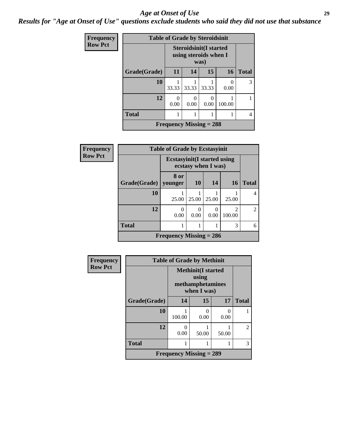#### *Age at Onset of Use* **29**

*Results for "Age at Onset of Use" questions exclude students who said they did not use that substance*

| <b>Frequency</b> |              | <b>Table of Grade by Steroidsinit</b> |                                                        |       |           |              |
|------------------|--------------|---------------------------------------|--------------------------------------------------------|-------|-----------|--------------|
| <b>Row Pct</b>   |              |                                       | <b>Steroidsinit(I started</b><br>using steroids when I | was)  |           |              |
|                  | Grade(Grade) | <b>11</b>                             | 14                                                     | 15    | <b>16</b> | <b>Total</b> |
|                  | 10           | 33.33                                 | 33.33                                                  | 33.33 | 0<br>0.00 | 3            |
|                  | 12           | $\theta$<br>0.00                      | $\mathcal{O}$<br>0.00                                  | 0.00  | 100.00    |              |
|                  | <b>Total</b> |                                       |                                                        |       |           |              |
|                  |              | Frequency Missing $= 288$             |                                                        |       |           |              |

| Frequency      | <b>Table of Grade by Ecstasyinit</b> |                                     |                     |       |                                       |                             |
|----------------|--------------------------------------|-------------------------------------|---------------------|-------|---------------------------------------|-----------------------------|
| <b>Row Pct</b> |                                      | <b>Ecstasyinit</b> (I started using | ecstasy when I was) |       |                                       |                             |
|                | Grade(Grade)                         | 8 or<br>younger                     | <b>10</b>           | 14    | 16                                    | <b>Total</b>                |
|                | 10                                   | 25.00                               | 25.00               | 25.00 | 25.00                                 |                             |
|                | 12                                   | 0<br>0.00                           | 0<br>0.00           | 0.00  | $\mathcal{D}_{\mathcal{L}}$<br>100.00 | $\mathcal{D}_{\mathcal{L}}$ |
|                | <b>Total</b>                         |                                     |                     |       | 3                                     | 6                           |
|                |                                      | Frequency Missing $= 286$           |                     |       |                                       |                             |

| Frequency      |              | <b>Table of Grade by Methinit</b>                            |           |       |                |
|----------------|--------------|--------------------------------------------------------------|-----------|-------|----------------|
| <b>Row Pct</b> |              | <b>Methinit(I started</b><br>methamphetamines<br>when I was) |           |       |                |
|                | Grade(Grade) | 14                                                           | 15        | 17    | <b>Total</b>   |
|                | 10           | 100.00                                                       | 0<br>0.00 | 0.00  |                |
|                | 12           | 0.00                                                         | 50.00     | 50.00 | $\overline{2}$ |
|                | <b>Total</b> | 1                                                            |           |       | 3              |
|                |              | <b>Frequency Missing = 289</b>                               |           |       |                |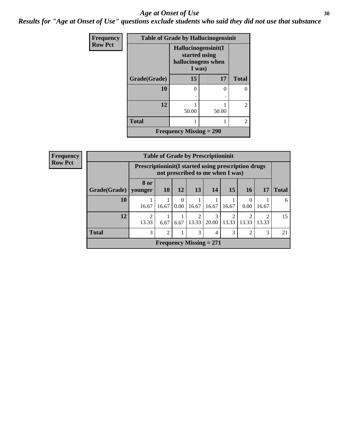#### Age at Onset of Use **30**

*Results for "Age at Onset of Use" questions exclude students who said they did not use that substance*

| Frequency      |              |                                                                      | <b>Table of Grade by Hallucinogensinit</b> |                |
|----------------|--------------|----------------------------------------------------------------------|--------------------------------------------|----------------|
| <b>Row Pct</b> |              | Hallucinogensinit(I<br>started using<br>hallucinogens when<br>I was) |                                            |                |
|                | Grade(Grade) | 15                                                                   | 17                                         | <b>Total</b>   |
|                | 10           | $\Omega$                                                             | 0                                          | 0              |
|                | 12           | 50.00                                                                | 50.00                                      | $\overline{c}$ |
|                | <b>Total</b> | 1                                                                    |                                            | $\overline{c}$ |
|                |              | <b>Frequency Missing = 290</b>                                       |                                            |                |

| <b>Frequency</b> |              |                                                     |                |                        |           | <b>Table of Grade by Prescriptioninit</b> |                         |                  |            |              |
|------------------|--------------|-----------------------------------------------------|----------------|------------------------|-----------|-------------------------------------------|-------------------------|------------------|------------|--------------|
| <b>Row Pct</b>   |              | Prescriptioninit(I started using prescription drugs |                |                        |           | not prescribed to me when I was)          |                         |                  |            |              |
|                  | Grade(Grade) | 8 or<br>younger                                     | <b>10</b>      | 12                     | <b>13</b> | 14                                        | 15                      | 16 <sup>1</sup>  | 17         | <b>Total</b> |
|                  | 10           | 16.67                                               | 16.67          | $\overline{0}$<br>0.00 | 16.67     | 16.67                                     | 16.67                   | $\Omega$<br>0.00 | 16.67      | 6            |
|                  | 12           | $\mathcal{L}$<br>13.33                              | 6.67           | 6.67                   | 13.33     | $\mathcal{R}$<br>20.00                    | $\mathfrak{D}$<br>13.33 | 2<br>13.33       | ာ<br>13.33 | 15           |
|                  | <b>Total</b> | 3                                                   | $\overline{2}$ |                        | 3         | 4                                         | 3                       | 2                | 3          | 21           |
|                  |              |                                                     |                |                        |           | Frequency Missing $= 271$                 |                         |                  |            |              |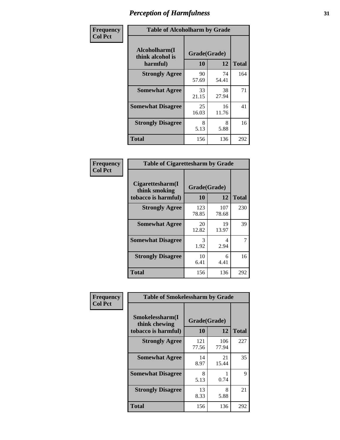| Frequency      |                                               | <b>Table of Alcoholharm by Grade</b> |             |              |  |  |  |  |  |
|----------------|-----------------------------------------------|--------------------------------------|-------------|--------------|--|--|--|--|--|
| <b>Col Pct</b> | Alcoholharm(I<br>think alcohol is<br>harmful) | Grade(Grade)<br>10                   | 12          | <b>Total</b> |  |  |  |  |  |
|                | <b>Strongly Agree</b>                         | 90<br>57.69                          | 74<br>54.41 | 164          |  |  |  |  |  |
|                | <b>Somewhat Agree</b>                         | 33<br>21.15                          | 38<br>27.94 | 71           |  |  |  |  |  |
|                | <b>Somewhat Disagree</b>                      | 25<br>16.03                          | 16<br>11.76 | 41           |  |  |  |  |  |
|                | <b>Strongly Disagree</b>                      | 8<br>5.13                            | 8<br>5.88   | 16           |  |  |  |  |  |
|                | <b>Total</b>                                  | 156                                  | 136         | 292          |  |  |  |  |  |

| <b>Table of Cigarettesharm by Grade</b>                  |                    |              |              |  |  |  |  |  |
|----------------------------------------------------------|--------------------|--------------|--------------|--|--|--|--|--|
| Cigarettesharm(I<br>think smoking<br>tobacco is harmful) | Grade(Grade)<br>10 | 12           | <b>Total</b> |  |  |  |  |  |
| <b>Strongly Agree</b>                                    | 123<br>78.85       | 107<br>78.68 | 230          |  |  |  |  |  |
| <b>Somewhat Agree</b>                                    | 20<br>12.82        | 19<br>13.97  | 39           |  |  |  |  |  |
| <b>Somewhat Disagree</b>                                 | 3<br>1.92          | 4<br>2.94    | 7            |  |  |  |  |  |
| <b>Strongly Disagree</b>                                 | 10<br>6.41         | 6<br>4.41    | 16           |  |  |  |  |  |
| <b>Total</b>                                             | 156                | 136          | 292          |  |  |  |  |  |

| Frequency      | <b>Table of Smokelessharm by Grade</b>                  |                    |              |     |
|----------------|---------------------------------------------------------|--------------------|--------------|-----|
| <b>Col Pct</b> | Smokelessharm(I<br>think chewing<br>tobacco is harmful) | Grade(Grade)<br>10 | <b>Total</b> |     |
|                | <b>Strongly Agree</b>                                   | 121<br>77.56       | 106<br>77.94 | 227 |
|                | <b>Somewhat Agree</b>                                   | 14<br>8.97         | 21<br>15.44  | 35  |
|                | <b>Somewhat Disagree</b>                                | 8<br>5.13          | 0.74         | 9   |
|                | <b>Strongly Disagree</b>                                | 13<br>8.33         | 8<br>5.88    | 21  |
|                | <b>Total</b>                                            | 156                | 136          | 292 |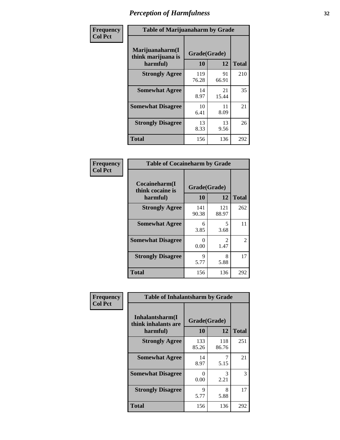| Frequency      | <b>Table of Marijuanaharm by Grade</b>            |                    |             |              |
|----------------|---------------------------------------------------|--------------------|-------------|--------------|
| <b>Col Pct</b> | Marijuanaharm(I<br>think marijuana is<br>harmful) | Grade(Grade)<br>10 | 12          | <b>Total</b> |
|                | <b>Strongly Agree</b>                             | 119<br>76.28       | 91<br>66.91 | 210          |
|                | <b>Somewhat Agree</b>                             | 14<br>8.97         | 21<br>15.44 | 35           |
|                | <b>Somewhat Disagree</b>                          | 10<br>6.41         | 11<br>8.09  | 21           |
|                | <b>Strongly Disagree</b>                          | 13<br>8.33         | 13<br>9.56  | 26           |
|                | <b>Total</b>                                      | 156                | 136         | 292          |

| <b>Table of Cocaineharm by Grade</b>          |                    |                        |                |  |  |
|-----------------------------------------------|--------------------|------------------------|----------------|--|--|
| Cocaineharm(I<br>think cocaine is<br>harmful) | Grade(Grade)<br>10 | <b>Total</b>           |                |  |  |
| <b>Strongly Agree</b>                         | 141<br>90.38       | 121<br>88.97           | 262            |  |  |
| <b>Somewhat Agree</b>                         | 6<br>3.85          | 5<br>3.68              | 11             |  |  |
| <b>Somewhat Disagree</b>                      | $\Omega$<br>0.00   | $\mathfrak{D}$<br>1.47 | $\overline{2}$ |  |  |
| <b>Strongly Disagree</b>                      | 9<br>5.77          | 8<br>5.88              | 17             |  |  |
| <b>Total</b>                                  | 156                | 136                    | 292            |  |  |

| Frequency      | <b>Table of Inhalantsharm by Grade</b>             |                    |              |              |
|----------------|----------------------------------------------------|--------------------|--------------|--------------|
| <b>Col Pct</b> | Inhalantsharm(I<br>think inhalants are<br>harmful) | Grade(Grade)<br>10 | 12           | <b>Total</b> |
|                | <b>Strongly Agree</b>                              | 133<br>85.26       | 118<br>86.76 | 251          |
|                | <b>Somewhat Agree</b>                              | 14<br>8.97         | 5.15         | 21           |
|                | <b>Somewhat Disagree</b>                           | 0<br>0.00          | 3<br>2.21    | 3            |
|                | <b>Strongly Disagree</b>                           | 9<br>5.77          | 8<br>5.88    | 17           |
|                | <b>Total</b>                                       | 156                | 136          | 292          |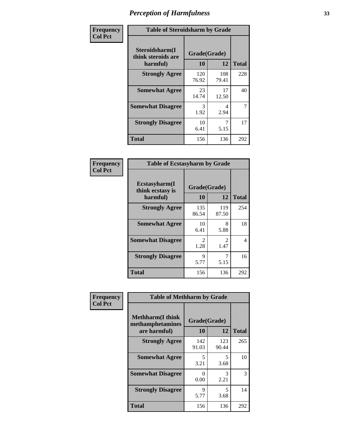| Frequency      | <b>Table of Steroidsharm by Grade</b>            |                    |              |              |
|----------------|--------------------------------------------------|--------------------|--------------|--------------|
| <b>Col Pct</b> | Steroidsharm(I<br>think steroids are<br>harmful) | Grade(Grade)<br>10 | 12           | <b>Total</b> |
|                | <b>Strongly Agree</b>                            | 120<br>76.92       | 108<br>79.41 | 228          |
|                | <b>Somewhat Agree</b>                            | 23<br>14.74        | 17<br>12.50  | 40           |
|                | <b>Somewhat Disagree</b>                         | 3<br>1.92          | 4<br>2.94    | 7            |
|                | <b>Strongly Disagree</b>                         | 10<br>6.41         | 7<br>5.15    | 17           |
|                | <b>Total</b>                                     | 156                | 136          | 292          |

| <b>Table of Ecstasyharm by Grade</b>          |                        |                        |     |  |
|-----------------------------------------------|------------------------|------------------------|-----|--|
| Ecstasyharm(I<br>think ecstasy is<br>harmful) | Grade(Grade)<br>10     | <b>Total</b>           |     |  |
| <b>Strongly Agree</b>                         | 135<br>86.54           | 119<br>87.50           | 254 |  |
| <b>Somewhat Agree</b>                         | 10<br>6.41             | 8<br>5.88              | 18  |  |
| <b>Somewhat Disagree</b>                      | $\mathfrak{D}$<br>1.28 | $\mathfrak{D}$<br>1.47 | 4   |  |
| <b>Strongly Disagree</b>                      | 9<br>5.77              | 5.15                   | 16  |  |
| Total                                         | 156                    | 136                    | 292 |  |

| Frequency      | <b>Table of Methharm by Grade</b>                            |                    |              |              |
|----------------|--------------------------------------------------------------|--------------------|--------------|--------------|
| <b>Col Pct</b> | <b>Methharm</b> (I think<br>methamphetamines<br>are harmful) | Grade(Grade)<br>10 | 12           | <b>Total</b> |
|                | <b>Strongly Agree</b>                                        | 142<br>91.03       | 123<br>90.44 | 265          |
|                | <b>Somewhat Agree</b>                                        | 5<br>3.21          | 5<br>3.68    | 10           |
|                | <b>Somewhat Disagree</b>                                     | 0<br>0.00          | 3<br>2.21    | 3            |
|                | <b>Strongly Disagree</b>                                     | 9<br>5.77          | 5<br>3.68    | 14           |
|                | <b>Total</b>                                                 | 156                | 136          | 292          |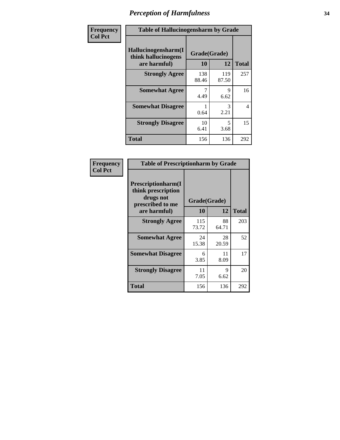| Frequency      | <b>Table of Hallucinogensharm by Grade</b>                 |                    |              |              |
|----------------|------------------------------------------------------------|--------------------|--------------|--------------|
| <b>Col Pct</b> | Hallucinogensharm(I<br>think hallucinogens<br>are harmful) | Grade(Grade)<br>10 | 12           | <b>Total</b> |
|                | <b>Strongly Agree</b>                                      | 138<br>88.46       | 119<br>87.50 | 257          |
|                | <b>Somewhat Agree</b>                                      | 4.49               | 9<br>6.62    | 16           |
|                | <b>Somewhat Disagree</b>                                   | 0.64               | 3<br>2.21    | 4            |
|                | <b>Strongly Disagree</b>                                   | 10<br>6.41         | 5<br>3.68    | 15           |
|                | <b>Total</b>                                               | 156                | 136          | 292          |

| <b>Table of Prescriptionharm by Grade</b>                                         |              |             |              |  |
|-----------------------------------------------------------------------------------|--------------|-------------|--------------|--|
| <b>Prescriptionharm</b> (I<br>think prescription<br>drugs not<br>prescribed to me | Grade(Grade) |             |              |  |
| are harmful)                                                                      | 10           | 12          | <b>Total</b> |  |
| <b>Strongly Agree</b>                                                             | 115<br>73.72 | 88<br>64.71 | 203          |  |
| <b>Somewhat Agree</b>                                                             | 24<br>15.38  | 28<br>20.59 | 52           |  |
| <b>Somewhat Disagree</b>                                                          | 6<br>3.85    | 11<br>8.09  | 17           |  |
| <b>Strongly Disagree</b>                                                          | 11<br>7.05   | 9<br>6.62   | 20           |  |
| <b>Total</b>                                                                      | 156          | 136         | 292          |  |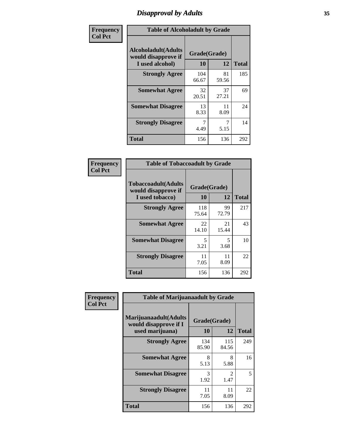## *Disapproval by Adults* **35**

| Frequency      | <b>Table of Alcoholadult by Grade</b>                                 |              |                    |              |
|----------------|-----------------------------------------------------------------------|--------------|--------------------|--------------|
| <b>Col Pct</b> | <b>Alcoholadult</b> (Adults<br>would disapprove if<br>I used alcohol) | 10           | Grade(Grade)<br>12 | <b>Total</b> |
|                | <b>Strongly Agree</b>                                                 | 104<br>66.67 | 81<br>59.56        | 185          |
|                | <b>Somewhat Agree</b>                                                 | 32<br>20.51  | 37<br>27.21        | 69           |
|                | <b>Somewhat Disagree</b>                                              | 13<br>8.33   | 11<br>8.09         | 24           |
|                | <b>Strongly Disagree</b>                                              | 7<br>4.49    | 5.15               | 14           |
|                | <b>Total</b>                                                          | 156          | 136                | 292          |

| <b>Table of Tobaccoadult by Grade</b>                                 |                    |             |              |
|-----------------------------------------------------------------------|--------------------|-------------|--------------|
| <b>Tobaccoadult</b> (Adults<br>would disapprove if<br>I used tobacco) | Grade(Grade)<br>10 | 12          | <b>Total</b> |
| <b>Strongly Agree</b>                                                 | 118<br>75.64       | 99<br>72.79 | 217          |
| <b>Somewhat Agree</b>                                                 | 22<br>14.10        | 21<br>15.44 | 43           |
| <b>Somewhat Disagree</b>                                              | 5<br>3.21          | 5<br>3.68   | 10           |
| <b>Strongly Disagree</b>                                              | 11<br>7.05         | 11<br>8.09  | 22           |
| <b>Total</b>                                                          | 156                | 136         | 292          |

| Frequency      | <b>Table of Marijuanaadult by Grade</b>                           |                    |              |              |
|----------------|-------------------------------------------------------------------|--------------------|--------------|--------------|
| <b>Col Pct</b> | Marijuanaadult(Adults<br>would disapprove if I<br>used marijuana) | Grade(Grade)<br>10 | 12           | <b>Total</b> |
|                | <b>Strongly Agree</b>                                             | 134<br>85.90       | 115<br>84.56 | 249          |
|                | <b>Somewhat Agree</b>                                             | 8<br>5.13          | 8<br>5.88    | 16           |
|                | <b>Somewhat Disagree</b>                                          | 3<br>1.92          | 2<br>1.47    | 5            |
|                | <b>Strongly Disagree</b>                                          | 11<br>7.05         | 11<br>8.09   | 22           |
|                | <b>Total</b>                                                      | 156                | 136          | 292          |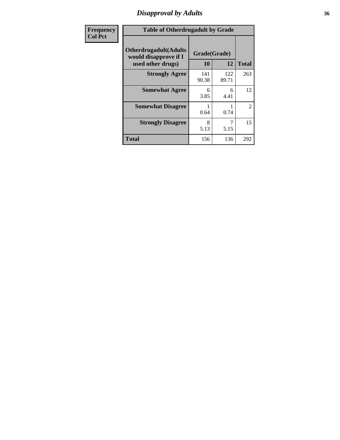## *Disapproval by Adults* **36**

| <b>Frequency</b> | <b>Table of Otherdrugadult by Grade</b>                                     |                    |              |                |
|------------------|-----------------------------------------------------------------------------|--------------------|--------------|----------------|
| <b>Col Pct</b>   | <b>Otherdrugadult</b> (Adults<br>would disapprove if I<br>used other drugs) | Grade(Grade)<br>10 | 12           | <b>Total</b>   |
|                  | <b>Strongly Agree</b>                                                       | 141<br>90.38       | 122<br>89.71 | 263            |
|                  | <b>Somewhat Agree</b>                                                       | 6<br>3.85          | 6<br>4.41    | 12             |
|                  | <b>Somewhat Disagree</b>                                                    | 0.64               | 0.74         | $\overline{2}$ |
|                  | <b>Strongly Disagree</b>                                                    | 8<br>5.13          | 5.15         | 15             |
|                  | <b>Total</b>                                                                | 156                | 136          | 292            |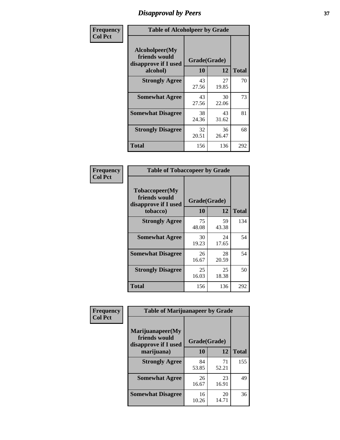# *Disapproval by Peers* **37**

| Frequency      | <b>Table of Alcoholpeer by Grade</b>                    |              |             |              |  |
|----------------|---------------------------------------------------------|--------------|-------------|--------------|--|
| <b>Col Pct</b> | Alcoholpeer(My<br>friends would<br>disapprove if I used | Grade(Grade) |             |              |  |
|                | alcohol)                                                | 10           | 12          | <b>Total</b> |  |
|                | <b>Strongly Agree</b>                                   | 43<br>27.56  | 27<br>19.85 | 70           |  |
|                | <b>Somewhat Agree</b>                                   | 43<br>27.56  | 30<br>22.06 | 73           |  |
|                | <b>Somewhat Disagree</b>                                | 38<br>24.36  | 43<br>31.62 | 81           |  |
|                | <b>Strongly Disagree</b>                                | 32<br>20.51  | 36<br>26.47 | 68           |  |
|                | Total                                                   | 156          | 136         | 292          |  |

| Frequency      | <b>Table of Tobaccopeer by Grade</b>                                |                    |             |              |  |
|----------------|---------------------------------------------------------------------|--------------------|-------------|--------------|--|
| <b>Col Pct</b> | Tobaccopeer(My<br>friends would<br>disapprove if I used<br>tobacco) | Grade(Grade)<br>10 | 12          | <b>Total</b> |  |
|                | <b>Strongly Agree</b>                                               | 75<br>48.08        | 59<br>43.38 | 134          |  |
|                | <b>Somewhat Agree</b>                                               | 30<br>19.23        | 24<br>17.65 | 54           |  |
|                | <b>Somewhat Disagree</b>                                            | 26<br>16.67        | 28<br>20.59 | 54           |  |
|                | <b>Strongly Disagree</b>                                            | 25<br>16.03        | 25<br>18.38 | 50           |  |
|                | <b>Total</b>                                                        | 156                | 136         | 292          |  |

| Frequency<br><b>Col Pct</b> | <b>Table of Marijuanapeer by Grade</b> |              |             |              |
|-----------------------------|----------------------------------------|--------------|-------------|--------------|
|                             | Marijuanapeer(My<br>friends would      | Grade(Grade) |             |              |
|                             | disapprove if I used<br>marijuana)     | 10           | 12          | <b>Total</b> |
|                             | <b>Strongly Agree</b>                  | 84<br>53.85  | 71<br>52.21 | 155          |
|                             | <b>Somewhat Agree</b>                  | 26<br>16.67  | 23<br>16.91 | 49           |
|                             | <b>Somewhat Disagree</b>               | 16<br>10.26  | 20<br>14.71 | 36           |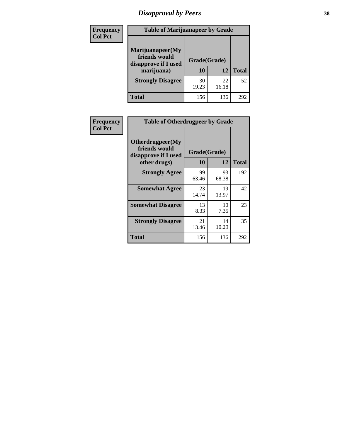# *Disapproval by Peers* **38**

| <b>Frequency</b> | <b>Table of Marijuanapeer by Grade</b>                                  |                           |             |              |  |
|------------------|-------------------------------------------------------------------------|---------------------------|-------------|--------------|--|
| <b>Col Pct</b>   | Marijuanapeer(My<br>friends would<br>disapprove if I used<br>marijuana) | Grade(Grade)<br><b>10</b> | 12          | <b>Total</b> |  |
|                  | <b>Strongly Disagree</b>                                                | 30<br>19.23               | 22<br>16.18 | 52           |  |
|                  | <b>Total</b>                                                            | 156                       | 136         | 292          |  |

| <b>Frequency</b> | <b>Table of Otherdrugpeer by Grade</b>                                    |                           |             |              |
|------------------|---------------------------------------------------------------------------|---------------------------|-------------|--------------|
| <b>Col Pct</b>   | Otherdrugpeer(My<br>friends would<br>disapprove if I used<br>other drugs) | Grade(Grade)<br><b>10</b> | 12          | <b>Total</b> |
|                  | <b>Strongly Agree</b>                                                     | 99                        | 93          | 192          |
|                  |                                                                           | 63.46                     | 68.38       |              |
|                  | <b>Somewhat Agree</b>                                                     | 23<br>14.74               | 19<br>13.97 | 42           |
|                  | <b>Somewhat Disagree</b>                                                  | 13<br>8.33                | 10<br>7.35  | 23           |
|                  | <b>Strongly Disagree</b>                                                  | 21<br>13.46               | 14<br>10.29 | 35           |
|                  | Total                                                                     | 156                       | 136         | 292          |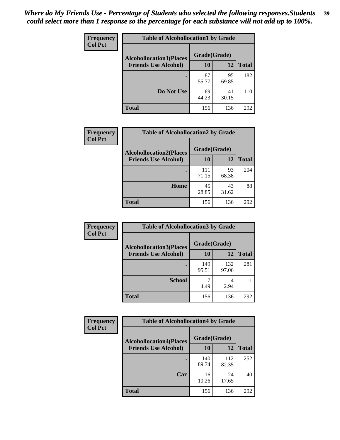| Frequency      | <b>Table of Alcohollocation1 by Grade</b> |              |             |              |
|----------------|-------------------------------------------|--------------|-------------|--------------|
| <b>Col Pct</b> | <b>Alcohollocation1(Places</b>            | Grade(Grade) |             |              |
|                | <b>Friends Use Alcohol)</b>               | 10           | 12          | <b>Total</b> |
|                |                                           | 87<br>55.77  | 95<br>69.85 | 182          |
|                | Do Not Use                                | 69<br>44.23  | 41<br>30.15 | 110          |
|                | <b>Total</b>                              | 156          | 136         | 292          |

| Frequency      | <b>Table of Alcohollocation2 by Grade</b>                     |                    |             |              |
|----------------|---------------------------------------------------------------|--------------------|-------------|--------------|
| <b>Col Pct</b> | <b>Alcohollocation2(Places</b><br><b>Friends Use Alcohol)</b> | Grade(Grade)<br>10 | <b>12</b>   | <b>Total</b> |
|                |                                                               | 111<br>71.15       | 93<br>68.38 | 204          |
|                | Home                                                          | 45<br>28.85        | 43<br>31.62 | 88           |
|                | <b>Total</b>                                                  | 156                | 136         | 292          |

| Frequency<br><b>Col Pct</b> | <b>Table of Alcohollocation 3 by Grade</b>                    |                    |              |              |
|-----------------------------|---------------------------------------------------------------|--------------------|--------------|--------------|
|                             | <b>Alcohollocation3(Places</b><br><b>Friends Use Alcohol)</b> | Grade(Grade)<br>10 | 12           | <b>Total</b> |
|                             |                                                               | 149<br>95.51       | 132<br>97.06 | 281          |
|                             | <b>School</b>                                                 | 4.49               | 4<br>2.94    | 11           |
|                             | <b>Total</b>                                                  | 156                | 136          | 292          |

| <b>Frequency</b> | <b>Table of Alcohollocation4 by Grade</b> |              |              |              |  |
|------------------|-------------------------------------------|--------------|--------------|--------------|--|
| <b>Col Pct</b>   | <b>Alcohollocation4(Places</b>            | Grade(Grade) |              |              |  |
|                  | <b>Friends Use Alcohol)</b>               | <b>10</b>    | 12           | <b>Total</b> |  |
|                  |                                           | 140<br>89.74 | 112<br>82.35 | 252          |  |
|                  | Car                                       | 16<br>10.26  | 24<br>17.65  | 40           |  |
|                  | <b>Total</b>                              | 156          | 136          | 292          |  |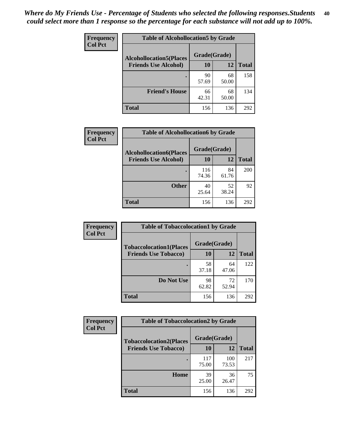| Frequency<br><b>Col Pct</b> | <b>Table of Alcohollocation5 by Grade</b> |              |             |              |
|-----------------------------|-------------------------------------------|--------------|-------------|--------------|
|                             | <b>Alcohollocation5(Places</b>            | Grade(Grade) |             |              |
|                             | <b>Friends Use Alcohol)</b>               | 10           | 12          | <b>Total</b> |
|                             |                                           | 90<br>57.69  | 68<br>50.00 | 158          |
|                             | <b>Friend's House</b>                     | 66<br>42.31  | 68<br>50.00 | 134          |
|                             | <b>Total</b>                              | 156          | 136         | 292          |

| <b>Frequency</b> | <b>Table of Alcohollocation6 by Grade</b> |              |             |              |
|------------------|-------------------------------------------|--------------|-------------|--------------|
| <b>Col Pct</b>   | <b>Alcohollocation6(Places</b>            | Grade(Grade) |             |              |
|                  | <b>Friends Use Alcohol)</b>               | 10           | 12          | <b>Total</b> |
|                  |                                           | 116<br>74.36 | 84<br>61.76 | 200          |
|                  | <b>Other</b>                              | 40<br>25.64  | 52<br>38.24 | 92           |
|                  | <b>Total</b>                              | 156          | 136         | 292          |

| Frequency      | <b>Table of Tobaccolocation1 by Grade</b> |              |             |              |
|----------------|-------------------------------------------|--------------|-------------|--------------|
| <b>Col Pct</b> | <b>Tobaccolocation1(Places</b>            | Grade(Grade) |             |              |
|                | <b>Friends Use Tobacco)</b>               | 10           | <b>12</b>   | <b>Total</b> |
|                |                                           | 58<br>37.18  | 64<br>47.06 | 122          |
|                | Do Not Use                                | 98<br>62.82  | 72<br>52.94 | 170          |
|                | <b>Total</b>                              | 156          | 136         | 292          |

| <b>Frequency</b> | <b>Table of Tobaccolocation2 by Grade</b> |              |              |              |
|------------------|-------------------------------------------|--------------|--------------|--------------|
| <b>Col Pct</b>   | <b>Tobaccolocation2(Places</b>            | Grade(Grade) |              |              |
|                  | <b>Friends Use Tobacco)</b>               | 10           | 12           | <b>Total</b> |
|                  |                                           | 117<br>75.00 | 100<br>73.53 | 217          |
|                  | Home                                      | 39<br>25.00  | 36<br>26.47  | 75           |
|                  | <b>Total</b>                              | 156          | 136          | 292          |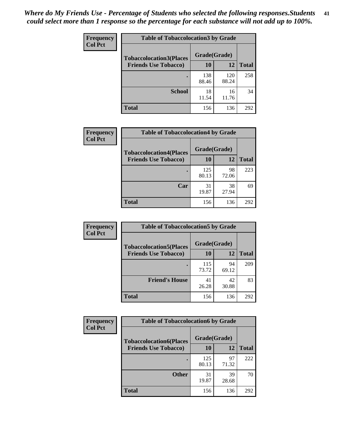| Frequency      | <b>Table of Tobaccolocation 3 by Grade</b> |              |              |              |  |
|----------------|--------------------------------------------|--------------|--------------|--------------|--|
| <b>Col Pct</b> | <b>Tobaccolocation3(Places</b>             | Grade(Grade) |              |              |  |
|                | <b>Friends Use Tobacco)</b>                | 10           | <b>12</b>    | <b>Total</b> |  |
|                |                                            | 138<br>88.46 | 120<br>88.24 | 258          |  |
|                | <b>School</b>                              | 18<br>11.54  | 16<br>11.76  | 34           |  |
|                | <b>Total</b>                               | 156          | 136          | 292          |  |

| Frequency      | <b>Table of Tobaccolocation4 by Grade</b> |              |             |              |
|----------------|-------------------------------------------|--------------|-------------|--------------|
| <b>Col Pct</b> | <b>Tobaccolocation4(Places</b>            | Grade(Grade) |             |              |
|                | <b>Friends Use Tobacco)</b>               | 10           | 12          | <b>Total</b> |
|                |                                           | 125<br>80.13 | 98<br>72.06 | 223          |
|                | Car                                       | 31<br>19.87  | 38<br>27.94 | 69           |
|                | <b>Total</b>                              | 156          | 136         | 292          |

| <b>Frequency</b> | <b>Table of Tobaccolocation5 by Grade</b> |              |             |              |
|------------------|-------------------------------------------|--------------|-------------|--------------|
| <b>Col Pct</b>   | <b>Tobaccolocation5(Places</b>            | Grade(Grade) |             |              |
|                  | <b>Friends Use Tobacco)</b>               | 10           | 12          | <b>Total</b> |
|                  |                                           | 115<br>73.72 | 94<br>69.12 | 209          |
|                  | <b>Friend's House</b>                     | 41<br>26.28  | 42<br>30.88 | 83           |
|                  | Total                                     | 156          | 136         | 292          |

| <b>Frequency</b><br><b>Col Pct</b> | <b>Table of Tobaccolocation6 by Grade</b> |              |             |              |  |
|------------------------------------|-------------------------------------------|--------------|-------------|--------------|--|
|                                    | <b>Tobaccolocation6(Places</b>            | Grade(Grade) |             |              |  |
|                                    | <b>Friends Use Tobacco)</b>               | 10           | 12          | <b>Total</b> |  |
|                                    |                                           | 125<br>80.13 | 97<br>71.32 | 222          |  |
|                                    | <b>Other</b>                              | 31<br>19.87  | 39<br>28.68 | 70           |  |
|                                    | <b>Total</b>                              | 156          | 136         | 292          |  |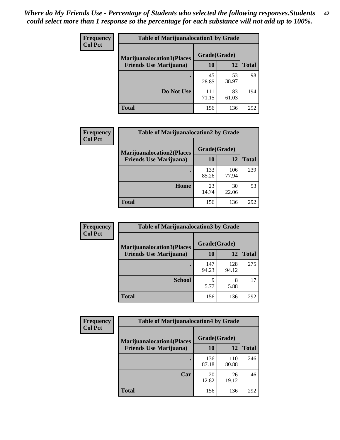| <b>Frequency</b> | <b>Table of Marijuanalocation1 by Grade</b> |              |             |              |
|------------------|---------------------------------------------|--------------|-------------|--------------|
| <b>Col Pct</b>   | <b>Marijuanalocation1(Places</b>            | Grade(Grade) |             |              |
|                  | <b>Friends Use Marijuana</b> )              | 10           | 12          | <b>Total</b> |
|                  |                                             | 45<br>28.85  | 53<br>38.97 | 98           |
|                  | Do Not Use                                  | 111<br>71.15 | 83<br>61.03 | 194          |
|                  | Total                                       | 156          | 136         | 292          |

| <b>Frequency</b> | <b>Table of Marijuanalocation2 by Grade</b>                        |                    |              |              |
|------------------|--------------------------------------------------------------------|--------------------|--------------|--------------|
| <b>Col Pct</b>   | <b>Marijuanalocation2(Places</b><br><b>Friends Use Marijuana</b> ) | Grade(Grade)<br>10 | 12           | <b>Total</b> |
|                  |                                                                    | 133<br>85.26       | 106<br>77.94 | 239          |
|                  | Home                                                               | 23<br>14.74        | 30<br>22.06  | 53           |
|                  | <b>Total</b>                                                       | 156                | 136          | 292          |

| Frequency<br><b>Col Pct</b> | <b>Table of Marijuanalocation3 by Grade</b> |              |              |              |
|-----------------------------|---------------------------------------------|--------------|--------------|--------------|
|                             | <b>Marijuanalocation3</b> (Places           | Grade(Grade) |              |              |
|                             | <b>Friends Use Marijuana</b> )              | <b>10</b>    | 12           | <b>Total</b> |
|                             |                                             | 147<br>94.23 | 128<br>94.12 | 275          |
|                             | <b>School</b>                               | q<br>5.77    | 8<br>5.88    | 17           |
|                             | <b>Total</b>                                | 156          | 136          | 292          |

| Frequency      | <b>Table of Marijuanalocation4 by Grade</b> |              |              |              |  |
|----------------|---------------------------------------------|--------------|--------------|--------------|--|
| <b>Col Pct</b> | <b>Marijuanalocation4(Places</b>            | Grade(Grade) |              |              |  |
|                | <b>Friends Use Marijuana</b> )              | <b>10</b>    | 12           | <b>Total</b> |  |
|                |                                             | 136<br>87.18 | 110<br>80.88 | 246          |  |
|                | Car                                         | 20<br>12.82  | 26<br>19.12  | 46           |  |
|                | <b>Total</b>                                | 156          | 136          | 292          |  |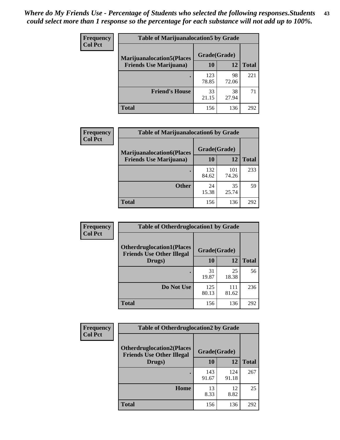| <b>Frequency</b> | <b>Table of Marijuanalocation5 by Grade</b> |              |             |              |
|------------------|---------------------------------------------|--------------|-------------|--------------|
| <b>Col Pct</b>   | <b>Marijuanalocation5</b> (Places           | Grade(Grade) |             |              |
|                  | <b>Friends Use Marijuana</b> )              | 10           | 12          | <b>Total</b> |
|                  |                                             | 123<br>78.85 | 98<br>72.06 | 221          |
|                  | <b>Friend's House</b>                       | 33<br>21.15  | 38<br>27.94 | 71           |
|                  | <b>Total</b>                                | 156          | 136         | 292          |

| <b>Frequency</b> | <b>Table of Marijuanalocation6 by Grade</b>                        |                    |              |              |
|------------------|--------------------------------------------------------------------|--------------------|--------------|--------------|
| <b>Col Pct</b>   | <b>Marijuanalocation6(Places</b><br><b>Friends Use Marijuana</b> ) | Grade(Grade)<br>10 | 12           | <b>Total</b> |
|                  |                                                                    | 132<br>84.62       | 101<br>74.26 | 233          |
|                  | <b>Other</b>                                                       | 24<br>15.38        | 35<br>25.74  | 59           |
|                  | <b>Total</b>                                                       | 156                | 136          | 292          |

| <b>Frequency</b> | <b>Table of Otherdruglocation1 by Grade</b>                          |              |              |              |
|------------------|----------------------------------------------------------------------|--------------|--------------|--------------|
| <b>Col Pct</b>   | <b>Otherdruglocation1(Places</b><br><b>Friends Use Other Illegal</b> | Grade(Grade) |              |              |
|                  | Drugs)                                                               | 10           | 12           | <b>Total</b> |
|                  |                                                                      | 31<br>19.87  | 25<br>18.38  | 56           |
|                  | Do Not Use                                                           | 125<br>80.13 | 111<br>81.62 | 236          |
|                  | <b>Total</b>                                                         | 156          | 136          | 292          |

| <b>Frequency</b> | <b>Table of Otherdruglocation2 by Grade</b>                          |              |              |              |
|------------------|----------------------------------------------------------------------|--------------|--------------|--------------|
| <b>Col Pct</b>   | <b>Otherdruglocation2(Places</b><br><b>Friends Use Other Illegal</b> | Grade(Grade) |              |              |
|                  | Drugs)                                                               | 10           | 12           | <b>Total</b> |
|                  |                                                                      | 143<br>91.67 | 124<br>91.18 | 267          |
|                  | Home                                                                 | 13<br>8.33   | 12<br>8.82   | 25           |
|                  | <b>Total</b>                                                         | 156          | 136          | 292          |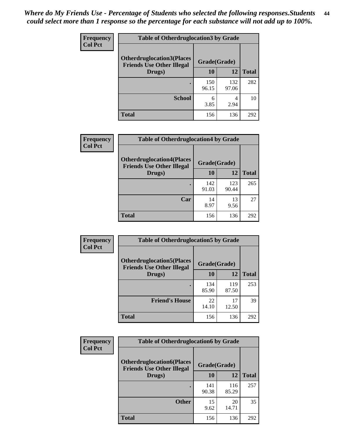| <b>Frequency</b> | <b>Table of Otherdruglocation 3 by Grade</b>                         |              |              |              |
|------------------|----------------------------------------------------------------------|--------------|--------------|--------------|
| <b>Col Pct</b>   | <b>Otherdruglocation3(Places</b><br><b>Friends Use Other Illegal</b> | Grade(Grade) |              |              |
|                  | Drugs)                                                               | 10           | 12           | <b>Total</b> |
|                  |                                                                      | 150<br>96.15 | 132<br>97.06 | 282          |
|                  | <b>School</b>                                                        | 6<br>3.85    | 4<br>2.94    | 10           |
|                  | <b>Total</b>                                                         | 156          | 136          | 292          |

| Frequency      | <b>Table of Otherdruglocation4 by Grade</b>                          |              |              |              |  |
|----------------|----------------------------------------------------------------------|--------------|--------------|--------------|--|
| <b>Col Pct</b> | <b>Otherdruglocation4(Places</b><br><b>Friends Use Other Illegal</b> | Grade(Grade) |              |              |  |
|                | Drugs)                                                               | 10           | 12           | <b>Total</b> |  |
|                |                                                                      | 142<br>91.03 | 123<br>90.44 | 265          |  |
|                | Car                                                                  | 14<br>8.97   | 13<br>9.56   | 27           |  |
|                | <b>Total</b>                                                         | 156          | 136          | 292          |  |

| Frequency      | <b>Table of Otherdruglocation5 by Grade</b>                          |              |              |              |
|----------------|----------------------------------------------------------------------|--------------|--------------|--------------|
| <b>Col Pct</b> | <b>Otherdruglocation5(Places</b><br><b>Friends Use Other Illegal</b> | Grade(Grade) |              |              |
|                | Drugs)                                                               | 10           | 12           | <b>Total</b> |
|                |                                                                      | 134<br>85.90 | 119<br>87.50 | 253          |
|                | <b>Friend's House</b>                                                | 22<br>14.10  | 17<br>12.50  | 39           |
|                | <b>Total</b>                                                         | 156          | 136          | 292          |

| Frequency      | <b>Table of Otherdruglocation6 by Grade</b>                          |              |              |              |
|----------------|----------------------------------------------------------------------|--------------|--------------|--------------|
| <b>Col Pct</b> | <b>Otherdruglocation6(Places</b><br><b>Friends Use Other Illegal</b> | Grade(Grade) |              |              |
|                | Drugs)                                                               | <b>10</b>    | 12           | <b>Total</b> |
|                |                                                                      | 141<br>90.38 | 116<br>85.29 | 257          |
|                | <b>Other</b>                                                         | 15<br>9.62   | 20<br>14.71  | 35           |
|                | <b>Total</b>                                                         | 156          | 136          | 292          |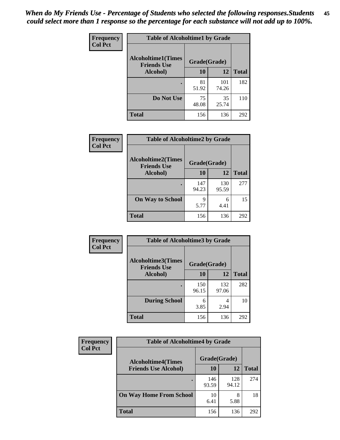| Frequency      | <b>Table of Alcoholtime1 by Grade</b> |              |              |              |
|----------------|---------------------------------------|--------------|--------------|--------------|
| <b>Col Pct</b> | <b>Alcoholtime1(Times</b>             | Grade(Grade) |              |              |
|                | <b>Friends Use</b><br>Alcohol)        | 10           | 12           | <b>Total</b> |
|                |                                       | 81<br>51.92  | 101<br>74.26 | 182          |
|                | Do Not Use                            | 75<br>48.08  | 35<br>25.74  | 110          |
|                | <b>Total</b>                          | 156          | 136          | 292          |

| Frequency      | <b>Table of Alcoholtime2 by Grade</b>           |              |              |              |
|----------------|-------------------------------------------------|--------------|--------------|--------------|
| <b>Col Pct</b> | <b>Alcoholtime2(Times</b><br><b>Friends Use</b> | Grade(Grade) |              |              |
|                | Alcohol)                                        | 10           | 12           | <b>Total</b> |
|                |                                                 | 147<br>94.23 | 130<br>95.59 | 277          |
|                | <b>On Way to School</b>                         | q<br>5.77    | 6<br>4.41    | 15           |
|                | <b>Total</b>                                    | 156          | 136          | 292          |

| Frequency      | <b>Table of Alcoholtime3 by Grade</b>           |              |              |              |
|----------------|-------------------------------------------------|--------------|--------------|--------------|
| <b>Col Pct</b> | <b>Alcoholtime3(Times</b><br><b>Friends Use</b> | Grade(Grade) |              |              |
|                | Alcohol)                                        | 10           | 12           | <b>Total</b> |
|                |                                                 | 150<br>96.15 | 132<br>97.06 | 282          |
|                | <b>During School</b>                            | 6<br>3.85    | 4<br>2.94    | 10           |
|                | Total                                           | 156          | 136          | 292          |

| <b>Frequency</b><br><b>Col Pct</b> | <b>Table of Alcoholtime4 by Grade</b> |              |              |              |
|------------------------------------|---------------------------------------|--------------|--------------|--------------|
|                                    | <b>Alcoholtime4(Times</b>             | Grade(Grade) |              |              |
|                                    | <b>Friends Use Alcohol)</b>           | 10           | 12           | <b>Total</b> |
|                                    |                                       | 146<br>93.59 | 128<br>94.12 | 274          |
|                                    | <b>On Way Home From School</b>        | 10<br>6.41   | 8<br>5.88    | 18           |
|                                    | <b>Total</b>                          | 156          | 136          | 292          |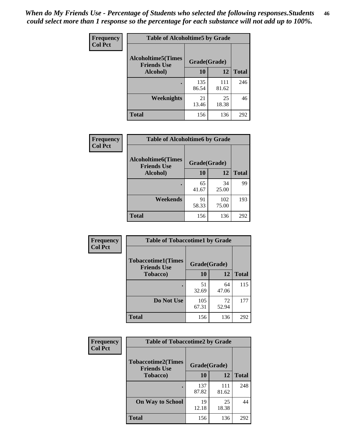*When do My Friends Use - Percentage of Students who selected the following responses.Students could select more than 1 response so the percentage for each substance will not add up to 100%.* **46**

| Frequency      | <b>Table of Alcoholtime5 by Grade</b>           |              |              |              |
|----------------|-------------------------------------------------|--------------|--------------|--------------|
| <b>Col Pct</b> | <b>Alcoholtime5(Times</b><br><b>Friends Use</b> | Grade(Grade) |              |              |
|                | Alcohol)                                        | 10           | 12           | <b>Total</b> |
|                |                                                 | 135<br>86.54 | 111<br>81.62 | 246          |
|                | Weeknights                                      | 21<br>13.46  | 25<br>18.38  | 46           |
|                | <b>Total</b>                                    | 156          | 136          | 292          |

| <b>Frequency</b> |                                                 | <b>Table of Alcoholtime6 by Grade</b> |              |              |  |  |
|------------------|-------------------------------------------------|---------------------------------------|--------------|--------------|--|--|
| <b>Col Pct</b>   | <b>Alcoholtime6(Times</b><br><b>Friends Use</b> | Grade(Grade)                          |              |              |  |  |
|                  | Alcohol)                                        | 10                                    | 12           | <b>Total</b> |  |  |
|                  |                                                 | 65<br>41.67                           | 34<br>25.00  | 99           |  |  |
|                  | Weekends                                        | 91<br>58.33                           | 102<br>75.00 | 193          |  |  |
|                  | <b>Total</b>                                    | 156                                   | 136          | 292          |  |  |

| Frequency      | <b>Table of Tobaccotime1 by Grade</b>           |              |             |              |
|----------------|-------------------------------------------------|--------------|-------------|--------------|
| <b>Col Pct</b> | <b>Tobaccotime1(Times</b><br><b>Friends Use</b> | Grade(Grade) |             |              |
|                | <b>Tobacco</b> )                                | 10           | 12          | <b>Total</b> |
|                | ٠                                               | 51<br>32.69  | 64<br>47.06 | 115          |
|                | Do Not Use                                      | 105<br>67.31 | 72<br>52.94 | 177          |
|                | <b>Total</b>                                    | 156          | 136         | 292          |

| <b>Frequency</b> | <b>Table of Tobaccotime2 by Grade</b>           |              |              |              |
|------------------|-------------------------------------------------|--------------|--------------|--------------|
| <b>Col Pct</b>   | <b>Tobaccotime2(Times</b><br><b>Friends Use</b> | Grade(Grade) |              |              |
|                  | <b>Tobacco</b> )                                | 10           | 12           | <b>Total</b> |
|                  |                                                 | 137<br>87.82 | 111<br>81.62 | 248          |
|                  | <b>On Way to School</b>                         | 19<br>12.18  | 25<br>18.38  | 44           |
|                  | <b>Total</b>                                    | 156          | 136          | 292          |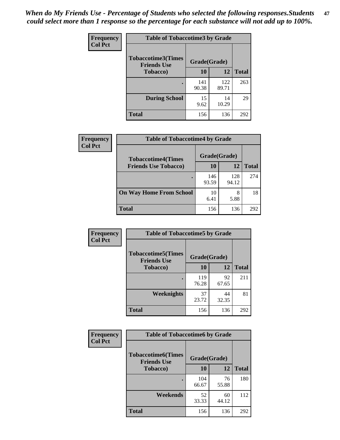*When do My Friends Use - Percentage of Students who selected the following responses.Students could select more than 1 response so the percentage for each substance will not add up to 100%.* **47**

| <b>Frequency</b> | <b>Table of Tobaccotime3 by Grade</b>           |              |              |              |  |
|------------------|-------------------------------------------------|--------------|--------------|--------------|--|
| <b>Col Pct</b>   | <b>Tobaccotime3(Times</b><br><b>Friends Use</b> | Grade(Grade) |              |              |  |
|                  | <b>Tobacco</b> )                                | 10           | 12           | <b>Total</b> |  |
|                  |                                                 | 141<br>90.38 | 122<br>89.71 | 263          |  |
|                  | <b>During School</b>                            | 15<br>9.62   | 14<br>10.29  | 29           |  |
|                  | <b>Total</b>                                    | 156          | 136          | 292          |  |

| <b>Frequency</b> | <b>Table of Tobaccotime4 by Grade</b> |              |              |              |
|------------------|---------------------------------------|--------------|--------------|--------------|
| <b>Col Pct</b>   | <b>Tobaccotime4(Times</b>             | Grade(Grade) |              |              |
|                  | <b>Friends Use Tobacco)</b>           | 10           | 12           | <b>Total</b> |
|                  |                                       | 146<br>93.59 | 128<br>94.12 | 274          |
|                  | <b>On Way Home From School</b>        | 10<br>6.41   | 8<br>5.88    | 18           |
|                  | <b>Total</b>                          | 156          | 136          | 292          |

| <b>Frequency</b> | <b>Table of Tobaccotime5 by Grade</b>            |              |             |              |
|------------------|--------------------------------------------------|--------------|-------------|--------------|
| <b>Col Pct</b>   | <b>Tobaccotime5</b> (Times<br><b>Friends Use</b> | Grade(Grade) |             |              |
|                  | Tobacco)                                         | 10           | 12          | <b>Total</b> |
|                  |                                                  | 119<br>76.28 | 92<br>67.65 | 211          |
|                  | <b>Weeknights</b>                                | 37<br>23.72  | 44<br>32.35 | 81           |
|                  | <b>Total</b>                                     | 156          | 136         | 292          |

| Frequency      | <b>Table of Tobaccotime6 by Grade</b>                           |              |             |              |  |
|----------------|-----------------------------------------------------------------|--------------|-------------|--------------|--|
| <b>Col Pct</b> | <b>Tobaccotime6(Times</b><br>Grade(Grade)<br><b>Friends Use</b> |              |             |              |  |
|                | <b>Tobacco</b> )                                                | 10           | 12          | <b>Total</b> |  |
|                | ٠                                                               | 104<br>66.67 | 76<br>55.88 | 180          |  |
|                | Weekends                                                        | 52<br>33.33  | 60<br>44.12 | 112          |  |
|                | <b>Total</b>                                                    | 156          | 136         | 292          |  |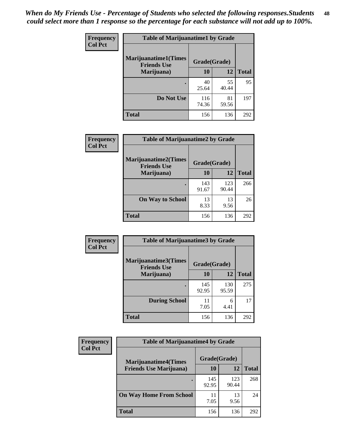| Frequency      | <b>Table of Marijuanatime1 by Grade</b>           |              |             |              |
|----------------|---------------------------------------------------|--------------|-------------|--------------|
| <b>Col Pct</b> | <b>Marijuanatime1(Times</b><br><b>Friends Use</b> | Grade(Grade) |             |              |
|                | Marijuana)                                        | 10           | 12          | <b>Total</b> |
|                |                                                   | 40<br>25.64  | 55<br>40.44 | 95           |
|                | Do Not Use                                        | 116<br>74.36 | 81<br>59.56 | 197          |
|                | <b>Total</b>                                      | 156          | 136         | 292          |

| <b>Frequency</b> | <b>Table of Marijuanatime2 by Grade</b>           |              |              |              |
|------------------|---------------------------------------------------|--------------|--------------|--------------|
| <b>Col Pct</b>   | <b>Marijuanatime2(Times</b><br><b>Friends Use</b> | Grade(Grade) |              |              |
|                  | Marijuana)                                        | 10           | 12           | <b>Total</b> |
|                  | ٠                                                 | 143<br>91.67 | 123<br>90.44 | 266          |
|                  | <b>On Way to School</b>                           | 13<br>8.33   | 13<br>9.56   | 26           |
|                  | <b>Total</b>                                      | 156          | 136          | 292          |

| Frequency      | <b>Table of Marijuanatime3 by Grade</b>    |              |              |              |  |
|----------------|--------------------------------------------|--------------|--------------|--------------|--|
| <b>Col Pct</b> | Marijuanatime3(Times<br><b>Friends Use</b> | Grade(Grade) |              |              |  |
|                | Marijuana)                                 | 10           | 12           | <b>Total</b> |  |
|                |                                            | 145<br>92.95 | 130<br>95.59 | 275          |  |
|                | <b>During School</b>                       | 11<br>7.05   | 6<br>4.41    | 17           |  |
|                | Total                                      | 156          | 136          | 292          |  |

| <b>Frequency</b> | <b>Table of Marijuanatime4 by Grade</b> |              |              |              |
|------------------|-----------------------------------------|--------------|--------------|--------------|
| <b>Col Pct</b>   | <b>Marijuanatime4(Times</b>             | Grade(Grade) |              |              |
|                  | <b>Friends Use Marijuana</b> )          | 10           | 12           | <b>Total</b> |
|                  |                                         | 145<br>92.95 | 123<br>90.44 | 268          |
|                  | <b>On Way Home From School</b>          | 11<br>7.05   | 13<br>9.56   | 24           |
|                  | <b>Total</b>                            | 156          | 136          | 292          |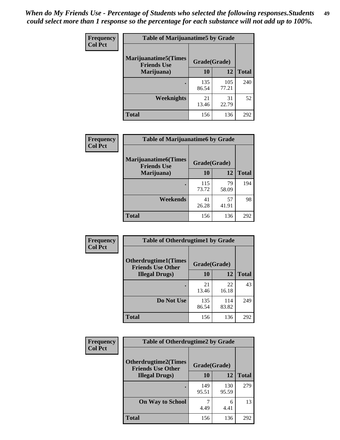| Frequency      | <b>Table of Marijuanatime5 by Grade</b>            |              |              |              |
|----------------|----------------------------------------------------|--------------|--------------|--------------|
| <b>Col Pct</b> | <b>Marijuanatime5</b> (Times<br><b>Friends Use</b> | Grade(Grade) |              |              |
|                | Marijuana)                                         | 10           | 12           | <b>Total</b> |
|                |                                                    | 135<br>86.54 | 105<br>77.21 | 240          |
|                | Weeknights                                         | 21<br>13.46  | 31<br>22.79  | 52           |
|                | <b>Total</b>                                       | 156          | 136          | 292          |

| <b>Frequency</b> | <b>Table of Marijuanatime6 by Grade</b>            |              |             |              |
|------------------|----------------------------------------------------|--------------|-------------|--------------|
| <b>Col Pct</b>   | <b>Marijuanatime6</b> (Times<br><b>Friends Use</b> | Grade(Grade) |             |              |
|                  | Marijuana)                                         | 10           | 12          | <b>Total</b> |
|                  |                                                    | 115<br>73.72 | 79<br>58.09 | 194          |
|                  | Weekends                                           | 41<br>26.28  | 57<br>41.91 | 98           |
|                  | <b>Total</b>                                       | 156          | 136         | 292          |

| <b>Frequency</b> | <b>Table of Otherdrugtime1 by Grade</b>                  |              |              |              |  |
|------------------|----------------------------------------------------------|--------------|--------------|--------------|--|
| <b>Col Pct</b>   | <b>Otherdrugtime1</b> (Times<br><b>Friends Use Other</b> | Grade(Grade) |              |              |  |
|                  | <b>Illegal Drugs</b> )                                   | 10           | 12           | <b>Total</b> |  |
|                  |                                                          | 21<br>13.46  | 22<br>16.18  | 43           |  |
|                  | Do Not Use                                               | 135<br>86.54 | 114<br>83.82 | 249          |  |
|                  | <b>Total</b>                                             | 156          | 136          | 292          |  |

| Frequency      | <b>Table of Otherdrugtime2 by Grade</b>                                 |              |              |              |  |  |
|----------------|-------------------------------------------------------------------------|--------------|--------------|--------------|--|--|
| <b>Col Pct</b> | <b>Otherdrugtime2(Times</b><br>Grade(Grade)<br><b>Friends Use Other</b> |              |              |              |  |  |
|                | <b>Illegal Drugs</b> )                                                  | 10           | 12           | <b>Total</b> |  |  |
|                |                                                                         | 149<br>95.51 | 130<br>95.59 | 279          |  |  |
|                | <b>On Way to School</b>                                                 | 4.49         | 6<br>4.41    | 13           |  |  |
|                | Total                                                                   | 156          | 136          | 292          |  |  |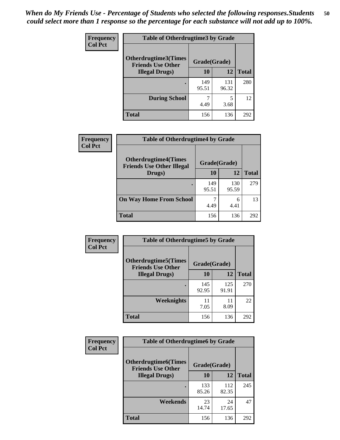| <b>Frequency</b> | <b>Table of Otherdrugtime3 by Grade</b>                  |              |              |              |  |  |
|------------------|----------------------------------------------------------|--------------|--------------|--------------|--|--|
| <b>Col Pct</b>   | <b>Otherdrugtime3</b> (Times<br><b>Friends Use Other</b> | Grade(Grade) |              |              |  |  |
|                  | <b>Illegal Drugs)</b>                                    | 10           | 12           | <b>Total</b> |  |  |
|                  |                                                          | 149<br>95.51 | 131<br>96.32 | 280          |  |  |
|                  | <b>During School</b>                                     | 4.49         | 5<br>3.68    | 12           |  |  |
|                  | <b>Total</b>                                             | 156          | 136          | 292          |  |  |

| Frequency      | <b>Table of Otherdrugtime4 by Grade</b>                         |              |              |              |  |  |
|----------------|-----------------------------------------------------------------|--------------|--------------|--------------|--|--|
| <b>Col Pct</b> | <b>Otherdrugtime4(Times</b><br><b>Friends Use Other Illegal</b> | Grade(Grade) |              |              |  |  |
|                | Drugs)                                                          | 10           | 12           | <b>Total</b> |  |  |
|                | $\bullet$                                                       | 149<br>95.51 | 130<br>95.59 | 279          |  |  |
|                | <b>On Way Home From School</b>                                  | 4.49         | 6<br>4.41    | 13           |  |  |
|                | Total                                                           | 156          | 136          | 292          |  |  |

| <b>Frequency</b><br><b>Col Pct</b> | <b>Table of Otherdrugtime5 by Grade</b>                  |              |              |              |  |  |  |
|------------------------------------|----------------------------------------------------------|--------------|--------------|--------------|--|--|--|
|                                    | <b>Otherdrugtime5</b> (Times<br><b>Friends Use Other</b> | Grade(Grade) |              |              |  |  |  |
|                                    | <b>Illegal Drugs</b> )                                   | 10           | 12           | <b>Total</b> |  |  |  |
|                                    |                                                          | 145<br>92.95 | 125<br>91.91 | 270          |  |  |  |
|                                    | <b>Weeknights</b>                                        | 11<br>7.05   | 11<br>8.09   | 22           |  |  |  |
|                                    | Total                                                    | 156          | 136          | 292          |  |  |  |

| <b>Frequency</b> | <b>Table of Otherdrugtime6 by Grade</b>                 |              |              |              |  |  |
|------------------|---------------------------------------------------------|--------------|--------------|--------------|--|--|
| <b>Col Pct</b>   | <b>Otherdrugtime6(Times</b><br><b>Friends Use Other</b> | Grade(Grade) |              |              |  |  |
|                  | <b>Illegal Drugs</b> )                                  | 10           | 12           | <b>Total</b> |  |  |
|                  |                                                         | 133<br>85.26 | 112<br>82.35 | 245          |  |  |
|                  | Weekends                                                | 23<br>14.74  | 24<br>17.65  | 47           |  |  |
|                  | <b>Total</b>                                            | 156          | 136          | 292          |  |  |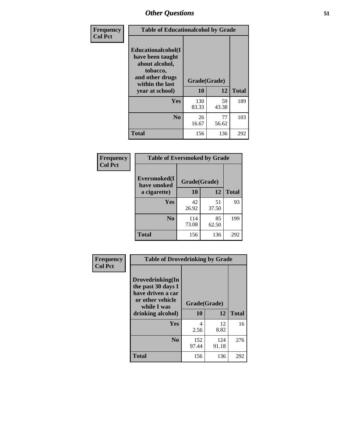| Frequency      | <b>Table of Educationalcohol by Grade</b>                                                                  |              |             |              |  |  |
|----------------|------------------------------------------------------------------------------------------------------------|--------------|-------------|--------------|--|--|
| <b>Col Pct</b> | Educationalcohol(I<br>have been taught<br>about alcohol,<br>tobacco,<br>and other drugs<br>within the last | Grade(Grade) |             |              |  |  |
|                | year at school)                                                                                            | 10           | 12          | <b>Total</b> |  |  |
|                | Yes                                                                                                        | 130<br>83.33 | 59<br>43.38 | 189          |  |  |
|                | N <sub>0</sub>                                                                                             | 26<br>16.67  | 77<br>56.62 | 103          |  |  |
|                | <b>Total</b>                                                                                               | 156          | 136         | 292          |  |  |

| Frequency      | <b>Table of Eversmoked by Grade</b> |              |             |              |  |  |  |
|----------------|-------------------------------------|--------------|-------------|--------------|--|--|--|
| <b>Col Pct</b> | Eversmoked(I<br>have smoked         | Grade(Grade) |             |              |  |  |  |
|                | a cigarette)                        | 10           | 12          | <b>Total</b> |  |  |  |
|                | <b>Yes</b>                          | 42<br>26.92  | 51<br>37.50 | 93           |  |  |  |
|                | N <sub>0</sub>                      | 114<br>73.08 | 85<br>62.50 | 199          |  |  |  |
|                | <b>Total</b>                        | 156          | 136         | 292          |  |  |  |

| Frequency      | <b>Table of Drovedrinking by Grade</b>                                                                              |                    |              |              |  |  |  |
|----------------|---------------------------------------------------------------------------------------------------------------------|--------------------|--------------|--------------|--|--|--|
| <b>Col Pct</b> | Drovedrinking(In<br>the past 30 days I<br>have driven a car<br>or other vehicle<br>while I was<br>drinking alcohol) | Grade(Grade)<br>10 | 12           | <b>Total</b> |  |  |  |
|                | <b>Yes</b>                                                                                                          | 4<br>2.56          | 12<br>8.82   | 16           |  |  |  |
|                | N <sub>0</sub>                                                                                                      | 152<br>97.44       | 124<br>91.18 | 276          |  |  |  |
|                | <b>Total</b>                                                                                                        | 156                | 136          | 292          |  |  |  |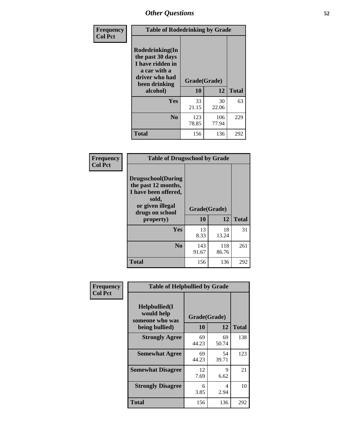| Frequency<br><b>Col Pct</b> | <b>Table of Rodedrinking by Grade</b>                                                                                  |                    |              |     |  |  |  |
|-----------------------------|------------------------------------------------------------------------------------------------------------------------|--------------------|--------------|-----|--|--|--|
|                             | Rodedrinking(In<br>the past 30 days<br>I have ridden in<br>a car with a<br>driver who had<br>been drinking<br>alcohol) | Grade(Grade)<br>10 | <b>Total</b> |     |  |  |  |
|                             | <b>Yes</b>                                                                                                             | 33<br>21.15        | 30<br>22.06  | 63  |  |  |  |
|                             | N <sub>0</sub>                                                                                                         | 123<br>78.85       | 106<br>77.94 | 229 |  |  |  |
|                             | <b>Total</b>                                                                                                           | 156                | 136          | 292 |  |  |  |

#### **Frequency Col Pct**

| <b>Table of Drugsschool by Grade</b>                                                                                      |              |              |              |  |  |  |
|---------------------------------------------------------------------------------------------------------------------------|--------------|--------------|--------------|--|--|--|
| <b>Drugsschool</b> (During<br>the past 12 months,<br>I have been offered,<br>sold,<br>or given illegal<br>drugs on school | Grade(Grade) |              |              |  |  |  |
| property)                                                                                                                 | 10           | 12           | <b>Total</b> |  |  |  |
| <b>Yes</b>                                                                                                                | 13<br>8.33   | 18<br>13.24  | 31           |  |  |  |
| N <sub>0</sub>                                                                                                            | 143<br>91.67 | 118<br>86.76 | 261          |  |  |  |
|                                                                                                                           |              |              |              |  |  |  |

| Frequency      | <b>Table of Helpbullied by Grade</b>           |              |             |              |  |  |  |
|----------------|------------------------------------------------|--------------|-------------|--------------|--|--|--|
| <b>Col Pct</b> | Helpbullied(I<br>would help<br>someone who was | Grade(Grade) |             |              |  |  |  |
|                | being bullied)                                 | 10           | 12          | <b>Total</b> |  |  |  |
|                | <b>Strongly Agree</b>                          | 69<br>44.23  | 69<br>50.74 | 138          |  |  |  |
|                | <b>Somewhat Agree</b>                          | 69<br>44.23  | 54<br>39.71 | 123          |  |  |  |
|                | <b>Somewhat Disagree</b>                       | 12<br>7.69   | 9<br>6.62   | 21           |  |  |  |
|                | <b>Strongly Disagree</b>                       | 6<br>3.85    | 4<br>2.94   | 10           |  |  |  |
|                | <b>Total</b>                                   | 156          | 136         | 292          |  |  |  |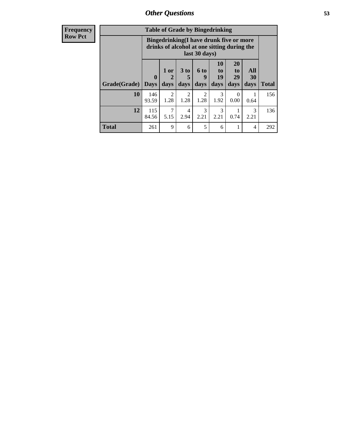| <b>Frequency</b> | <b>Table of Grade by Bingedrinking</b> |                                                                                                         |                                |                        |                        |                               |                               |                          |              |
|------------------|----------------------------------------|---------------------------------------------------------------------------------------------------------|--------------------------------|------------------------|------------------------|-------------------------------|-------------------------------|--------------------------|--------------|
| <b>Row Pct</b>   |                                        | Bingedrinking(I have drunk five or more<br>drinks of alcohol at one sitting during the<br>last 30 days) |                                |                        |                        |                               |                               |                          |              |
|                  | Grade(Grade)                           | $\mathbf{0}$<br><b>Days</b>                                                                             | 1 or<br>$\overline{2}$<br>days | 3 to<br>days           | 6 to<br>9<br>days      | <b>10</b><br>to<br>19<br>days | <b>20</b><br>to<br>29<br>days | <b>All</b><br>30<br>days | <b>Total</b> |
|                  | 10                                     | 146<br>93.59                                                                                            | $\overline{2}$<br>1.28         | $\mathfrak{D}$<br>1.28 | $\mathfrak{D}$<br>1.28 | 3<br>1.92                     | $\Omega$<br>0.00              | 0.64                     | 156          |
|                  | 12                                     | 115<br>84.56                                                                                            | 7<br>5.15                      | $\overline{4}$<br>2.94 | 3<br>2.21              | 3<br>2.21                     | 0.74                          | 3<br>2.21                | 136          |
|                  | <b>Total</b>                           | 261                                                                                                     | 9                              | 6                      | 5                      | 6                             | 1                             | $\overline{4}$           | 292          |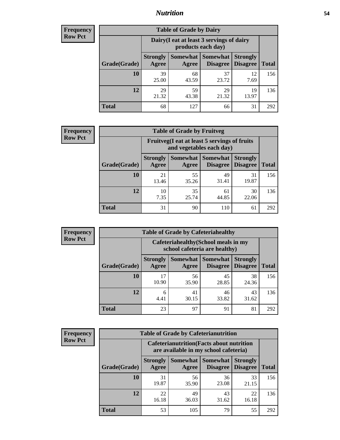### *Nutrition* **54**

| <b>Frequency</b><br>Row Pct |
|-----------------------------|
|                             |

| <b>Table of Grade by Dairy</b> |                          |                                                                 |                             |                                    |              |  |
|--------------------------------|--------------------------|-----------------------------------------------------------------|-----------------------------|------------------------------------|--------------|--|
|                                |                          | Dairy (I eat at least 3 servings of dairy<br>products each day) |                             |                                    |              |  |
| Grade(Grade)                   | <b>Strongly</b><br>Agree | Somewhat<br>Agree                                               | <b>Somewhat</b><br>Disagree | <b>Strongly</b><br><b>Disagree</b> | <b>Total</b> |  |
| 10                             | 39<br>25.00              | 68<br>43.59                                                     | 37<br>23.72                 | 12<br>7.69                         | 156          |  |
| 12                             | 29<br>21.32              | 59<br>43.38                                                     | 29<br>21.32                 | 19<br>13.97                        | 136          |  |
| <b>Total</b>                   | 68                       | 127                                                             | 66                          | 31                                 | 292          |  |

| <b>Frequency</b> |  |
|------------------|--|
| <b>Row Pct</b>   |  |

|                                                                          |                          | <b>Table of Grade by Fruitveg</b> |                             |                                    |              |
|--------------------------------------------------------------------------|--------------------------|-----------------------------------|-----------------------------|------------------------------------|--------------|
| Fruitveg(I eat at least 5 servings of fruits<br>and vegetables each day) |                          |                                   |                             |                                    |              |
| Grade(Grade)                                                             | <b>Strongly</b><br>Agree | Somewhat<br>Agree                 | <b>Somewhat</b><br>Disagree | <b>Strongly</b><br><b>Disagree</b> | <b>Total</b> |
| 10                                                                       | 21<br>13.46              | 55<br>35.26                       | 49<br>31.41                 | 31<br>19.87                        | 156          |
| 12                                                                       | 10<br>7.35               | 35<br>25.74                       | 61<br>44.85                 | 30<br>22.06                        | 136          |
| <b>Total</b>                                                             | 31                       | 90                                | 110                         | 61                                 | 292          |

| <b>Frequency</b> |
|------------------|
| <b>Row Pct</b>   |

| <b>Table of Grade by Cafeteriahealthy</b> |                          |                                                                       |                             |                                    |              |  |  |
|-------------------------------------------|--------------------------|-----------------------------------------------------------------------|-----------------------------|------------------------------------|--------------|--|--|
|                                           |                          | Cafeteriahealthy (School meals in my<br>school cafeteria are healthy) |                             |                                    |              |  |  |
| Grade(Grade)                              | <b>Strongly</b><br>Agree | Somewhat  <br>Agree                                                   | <b>Somewhat</b><br>Disagree | <b>Strongly</b><br><b>Disagree</b> | <b>Total</b> |  |  |
| 10                                        | 17<br>10.90              | 56<br>35.90                                                           | 45<br>28.85                 | 38<br>24.36                        | 156          |  |  |
| 12                                        | 6<br>4.41                | 41<br>30.15                                                           | 46<br>33.82                 | 43<br>31.62                        | 136          |  |  |
| <b>Total</b>                              | 23                       | 97                                                                    | 91                          | 81                                 | 292          |  |  |

| <b>Frequency</b> |
|------------------|
| <b>Row Pct</b>   |

| <b>Table of Grade by Cafeterianutrition</b>                                               |                          |             |                                   |                                    |              |  |
|-------------------------------------------------------------------------------------------|--------------------------|-------------|-----------------------------------|------------------------------------|--------------|--|
| <b>Cafeterianutrition</b> (Facts about nutrition<br>are available in my school cafeteria) |                          |             |                                   |                                    |              |  |
| Grade(Grade)                                                                              | <b>Strongly</b><br>Agree | Agree       | Somewhat   Somewhat  <br>Disagree | <b>Strongly</b><br><b>Disagree</b> | <b>Total</b> |  |
| 10                                                                                        | 31<br>19.87              | 56<br>35.90 | 36<br>23.08                       | 33<br>21.15                        | 156          |  |
| 12                                                                                        | 22<br>16.18              | 49<br>36.03 | 43<br>31.62                       | 22<br>16.18                        | 136          |  |
| <b>Total</b>                                                                              | 53                       | 105         | 79                                | 55                                 | 292          |  |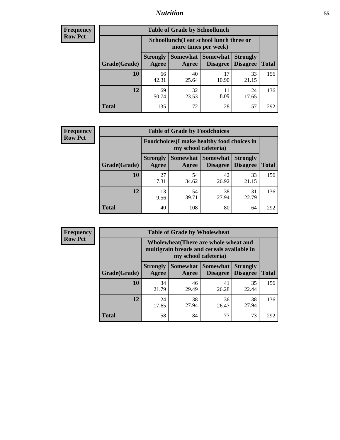### *Nutrition* **55**

| Frequency |
|-----------|
| Row Pct   |

| <b>Table of Grade by Schoollunch</b> |                                                                 |             |                                 |                                    |              |  |  |
|--------------------------------------|-----------------------------------------------------------------|-------------|---------------------------------|------------------------------------|--------------|--|--|
|                                      | Schoollunch(I eat school lunch three or<br>more times per week) |             |                                 |                                    |              |  |  |
| Grade(Grade)                         | <b>Strongly</b><br>Agree                                        | Agree       | Somewhat   Somewhat<br>Disagree | <b>Strongly</b><br><b>Disagree</b> | <b>Total</b> |  |  |
| 10                                   | 66<br>42.31                                                     | 40<br>25.64 | 17<br>10.90                     | 33<br>21.15                        | 156          |  |  |
| 12                                   | 69<br>50.74                                                     | 32<br>23.53 | 11<br>8.09                      | 24<br>17.65                        | 136          |  |  |
| <b>Total</b>                         | 135                                                             | 72          | 28                              | 57                                 | 292          |  |  |

| <b>Frequency</b> |  |
|------------------|--|
| <b>Row Pct</b>   |  |

| <b>Table of Grade by Foodchoices</b>                                |                          |             |                                               |                                    |              |  |
|---------------------------------------------------------------------|--------------------------|-------------|-----------------------------------------------|------------------------------------|--------------|--|
| Foodchoices (I make healthy food choices in<br>my school cafeteria) |                          |             |                                               |                                    |              |  |
| Grade(Grade)                                                        | <b>Strongly</b><br>Agree | Agree       | <b>Somewhat   Somewhat</b><br><b>Disagree</b> | <b>Strongly</b><br><b>Disagree</b> | <b>Total</b> |  |
| 10                                                                  | 27<br>17.31              | 54<br>34.62 | 42<br>26.92                                   | 33<br>21.15                        | 156          |  |
| 12                                                                  | 13<br>9.56               | 54<br>39.71 | 38<br>27.94                                   | 31<br>22.79                        | 136          |  |
| <b>Total</b>                                                        | 40                       | 108         | 80                                            | 64                                 | 292          |  |

| Frequency      | <b>Table of Grade by Wholewheat</b> |                                                                                                             |                   |                                    |                                    |              |  |  |
|----------------|-------------------------------------|-------------------------------------------------------------------------------------------------------------|-------------------|------------------------------------|------------------------------------|--------------|--|--|
| <b>Row Pct</b> |                                     | Wholewheat (There are whole wheat and<br>multigrain breads and cereals available in<br>my school cafeteria) |                   |                                    |                                    |              |  |  |
|                | Grade(Grade)                        | <b>Strongly</b><br>Agree                                                                                    | Somewhat<br>Agree | <b>Somewhat</b><br><b>Disagree</b> | <b>Strongly</b><br><b>Disagree</b> | <b>Total</b> |  |  |
|                | 10                                  | 34<br>21.79                                                                                                 | 46<br>29.49       | 41<br>26.28                        | 35<br>22.44                        | 156          |  |  |
|                | 12                                  | 24<br>17.65                                                                                                 | 38<br>27.94       | 36<br>26.47                        | 38<br>27.94                        | 136          |  |  |
|                | <b>Total</b>                        | 58                                                                                                          | 84                | 77                                 | 73                                 | 292          |  |  |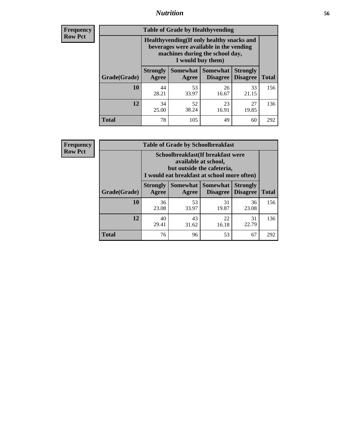### *Nutrition* **56**

**Frequency Row Pct**

| <b>Table of Grade by Healthyvending</b> |                                                                                                                                               |                     |                                    |                                    |              |  |
|-----------------------------------------|-----------------------------------------------------------------------------------------------------------------------------------------------|---------------------|------------------------------------|------------------------------------|--------------|--|
|                                         | Healthyvending (If only healthy snacks and<br>beverages were available in the vending<br>machines during the school day,<br>I would buy them) |                     |                                    |                                    |              |  |
| Grade(Grade)                            | <b>Strongly</b><br>Agree                                                                                                                      | Somewhat  <br>Agree | <b>Somewhat</b><br><b>Disagree</b> | <b>Strongly</b><br><b>Disagree</b> | <b>Total</b> |  |
| 10                                      | 44<br>28.21                                                                                                                                   | 53<br>33.97         | 26<br>16.67                        | 33<br>21.15                        | 156          |  |
| 12                                      | 34<br>25.00                                                                                                                                   | 52<br>38.24         | 23<br>16.91                        | 27<br>19.85                        | 136          |  |
| <b>Total</b>                            | 78                                                                                                                                            | 105                 | 49                                 | 60                                 | 292          |  |

**Frequency Row Pct**

| <b>Table of Grade by Schoolbreakfast</b> |                                                                                                                                         |             |                                 |                                    |              |  |  |
|------------------------------------------|-----------------------------------------------------------------------------------------------------------------------------------------|-------------|---------------------------------|------------------------------------|--------------|--|--|
|                                          | Schoolbreakfast (If breakfast were<br>available at school,<br>but outside the cafeteria,<br>I would eat breakfast at school more often) |             |                                 |                                    |              |  |  |
| Grade(Grade)                             | <b>Strongly</b><br>Agree                                                                                                                | Agree       | Somewhat   Somewhat<br>Disagree | <b>Strongly</b><br><b>Disagree</b> | <b>Total</b> |  |  |
| 10                                       | 36<br>23.08                                                                                                                             | 53<br>33.97 | 31<br>19.87                     | 36<br>23.08                        | 156          |  |  |
| 12                                       | 40<br>29.41                                                                                                                             | 43<br>31.62 | 22<br>16.18                     | 31<br>22.79                        | 136          |  |  |
| <b>Total</b>                             | 76                                                                                                                                      | 96          | 53                              | 67                                 | 292          |  |  |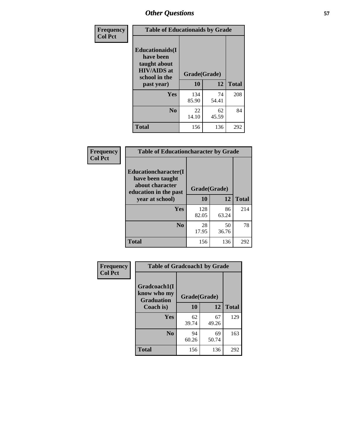| Frequency<br><b>Col Pct</b> | <b>Table of Educationaids by Grade</b>                                                                    |                    |             |              |  |
|-----------------------------|-----------------------------------------------------------------------------------------------------------|--------------------|-------------|--------------|--|
|                             | <b>Educationaids</b> (I<br>have been<br>taught about<br><b>HIV/AIDS</b> at<br>school in the<br>past year) | Grade(Grade)<br>10 | 12          | <b>Total</b> |  |
|                             | Yes                                                                                                       | 134<br>85.90       | 74<br>54.41 | 208          |  |
|                             | N <sub>0</sub>                                                                                            | 22<br>14.10        | 62<br>45.59 | 84           |  |
|                             | <b>Total</b>                                                                                              | 156                | 136         | 292          |  |

| <b>Frequency</b> | <b>Table of Educationcharacter by Grade</b>                                                             |              |             |              |
|------------------|---------------------------------------------------------------------------------------------------------|--------------|-------------|--------------|
| <b>Col Pct</b>   | Educationcharacter(I<br>have been taught<br>about character<br>education in the past<br>year at school) | Grade(Grade) |             |              |
|                  |                                                                                                         | 10           | 12          | <b>Total</b> |
|                  | Yes                                                                                                     | 128<br>82.05 | 86<br>63.24 | 214          |
|                  | N <sub>0</sub>                                                                                          | 28<br>17.95  | 50<br>36.76 | 78           |
|                  | <b>Total</b>                                                                                            | 156          | 136         | 292          |

| Frequency      | <b>Table of Gradcoach1 by Grade</b>              |              |             |              |
|----------------|--------------------------------------------------|--------------|-------------|--------------|
| <b>Col Pct</b> | Gradcoach1(I<br>know who my<br><b>Graduation</b> | Grade(Grade) |             |              |
|                | Coach is)                                        | 10           | 12          | <b>Total</b> |
|                | Yes                                              | 62<br>39.74  | 67<br>49.26 | 129          |
|                | N <sub>0</sub>                                   | 94<br>60.26  | 69<br>50.74 | 163          |
|                | <b>Total</b>                                     | 156          | 136         | 292          |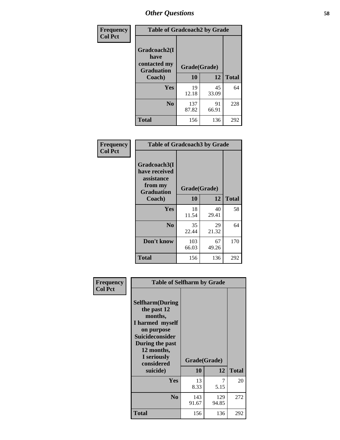| Frequency      | <b>Table of Gradcoach2 by Grade</b> |              |             |              |
|----------------|-------------------------------------|--------------|-------------|--------------|
| <b>Col Pct</b> |                                     |              |             |              |
|                | Gradcoach2(I<br>have                |              |             |              |
|                | contacted my<br><b>Graduation</b>   | Grade(Grade) |             |              |
|                | Coach)                              | 10           | 12          | <b>Total</b> |
|                | Yes                                 | 19<br>12.18  | 45<br>33.09 | 64           |
|                | N <sub>0</sub>                      | 137<br>87.82 | 91<br>66.91 | 228          |
|                | <b>Total</b>                        | 156          | 136         | 292          |

| Frequency<br><b>Col Pct</b> | <b>Table of Gradcoach3 by Grade</b>                    |              |             |              |
|-----------------------------|--------------------------------------------------------|--------------|-------------|--------------|
|                             | Gradcoach3(I<br>have received<br>assistance<br>from my | Grade(Grade) |             |              |
|                             | <b>Graduation</b><br>Coach)                            | 10           | 12          | <b>Total</b> |
|                             | Yes                                                    | 18<br>11.54  | 40<br>29.41 | 58           |
|                             | N <sub>0</sub>                                         | 35<br>22.44  | 29<br>21.32 | 64           |
|                             | Don't know                                             | 103<br>66.03 | 67<br>49.26 | 170          |
|                             | <b>Total</b>                                           | 156          | 136         | 292          |

| Frequency      | <b>Table of Selfharm by Grade</b>                                                                                                                                                      |                    |              |              |
|----------------|----------------------------------------------------------------------------------------------------------------------------------------------------------------------------------------|--------------------|--------------|--------------|
| <b>Col Pct</b> | <b>Selfharm</b> (During<br>the past 12<br>months,<br>I harmed myself<br>on purpose<br><b>Suicideconsider</b><br>During the past<br>12 months,<br>I seriously<br>considered<br>suicide) | Grade(Grade)<br>10 | 12           | <b>Total</b> |
|                | Yes                                                                                                                                                                                    | 13<br>8.33         | 7<br>5.15    | 20           |
|                | N <sub>0</sub>                                                                                                                                                                         | 143<br>91.67       | 129<br>94.85 | 272          |
|                | Total                                                                                                                                                                                  | 156                | 136          | 292          |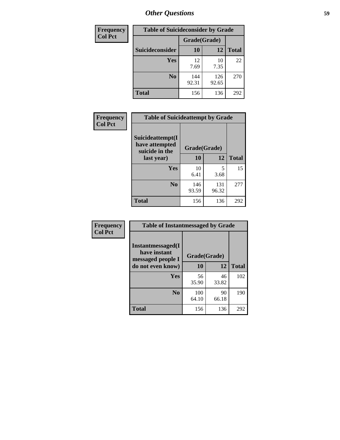| <b>Frequency</b> | <b>Table of Suicideconsider by Grade</b> |              |              |              |
|------------------|------------------------------------------|--------------|--------------|--------------|
| <b>Col Pct</b>   |                                          | Grade(Grade) |              |              |
|                  | <b>Suicideconsider</b>                   | <b>10</b>    | 12           | <b>Total</b> |
|                  | <b>Yes</b>                               | 12<br>7.69   | 10<br>7.35   | 22           |
|                  | N <sub>0</sub>                           | 144<br>92.31 | 126<br>92.65 | 270          |
|                  | <b>Total</b>                             | 156          | 136          | 292          |

| Frequency      | <b>Table of Suicideattempt by Grade</b>              |              |       |              |
|----------------|------------------------------------------------------|--------------|-------|--------------|
| <b>Col Pct</b> | Suicideattempt(I<br>have attempted<br>suicide in the | Grade(Grade) |       |              |
|                | last year)                                           | 10           | 12    | <b>Total</b> |
|                | Yes                                                  | 10           | 5     | 15           |
|                |                                                      | 6.41         | 3.68  |              |
|                | N <sub>0</sub>                                       | 146          | 131   | 277          |
|                |                                                      | 93.59        | 96.32 |              |
|                | <b>Total</b>                                         | 156          | 136   | 292          |

| Frequency      | <b>Table of Instantmessaged by Grade</b>               |              |             |              |
|----------------|--------------------------------------------------------|--------------|-------------|--------------|
| <b>Col Pct</b> | Instantmessaged(I<br>have instant<br>messaged people I | Grade(Grade) |             |              |
|                | do not even know)                                      | 10           | 12          | <b>Total</b> |
|                | Yes                                                    | 56<br>35.90  | 46<br>33.82 | 102          |
|                | N <sub>0</sub>                                         | 100<br>64.10 | 90<br>66.18 | 190          |
|                | <b>Total</b>                                           | 156          | 136         | 292          |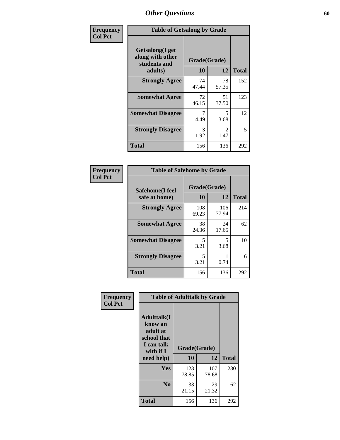| Frequency      | <b>Table of Getsalong by Grade</b>                          |              |                        |              |  |  |  |
|----------------|-------------------------------------------------------------|--------------|------------------------|--------------|--|--|--|
| <b>Col Pct</b> | <b>Getsalong</b> (I get<br>along with other<br>students and | Grade(Grade) |                        |              |  |  |  |
|                | adults)                                                     | 10           | 12                     | <b>Total</b> |  |  |  |
|                | <b>Strongly Agree</b>                                       | 74<br>47.44  | 78<br>57.35            | 152          |  |  |  |
|                | <b>Somewhat Agree</b>                                       | 72<br>46.15  | 51<br>37.50            | 123          |  |  |  |
|                | <b>Somewhat Disagree</b>                                    | 7<br>4.49    | 5<br>3.68              | 12           |  |  |  |
|                | <b>Strongly Disagree</b>                                    | 3<br>1.92    | $\mathfrak{D}$<br>1.47 | 5            |  |  |  |
|                | <b>Total</b>                                                | 156          | 136                    | 292          |  |  |  |

| Frequency      | <b>Table of Safehome by Grade</b> |                    |              |              |
|----------------|-----------------------------------|--------------------|--------------|--------------|
| <b>Col Pct</b> | Safehome(I feel<br>safe at home)  | Grade(Grade)<br>10 | 12           | <b>Total</b> |
|                | <b>Strongly Agree</b>             | 108<br>69.23       | 106<br>77.94 | 214          |
|                | <b>Somewhat Agree</b>             | 38<br>24.36        | 24<br>17.65  | 62           |
|                | <b>Somewhat Disagree</b>          | 5<br>3.21          | 5<br>3.68    | 10           |
|                | <b>Strongly Disagree</b>          | 5<br>3.21          | 0.74         | 6            |
|                | <b>Total</b>                      | 156                | 136          | 292          |

| Frequency<br><b>Col Pct</b> | <b>Table of Adulttalk by Grade</b>                                                   |              |              |              |  |  |  |
|-----------------------------|--------------------------------------------------------------------------------------|--------------|--------------|--------------|--|--|--|
|                             | <b>Adulttalk</b> (I<br>know an<br>adult at<br>school that<br>I can talk<br>with if I | Grade(Grade) |              |              |  |  |  |
|                             | need help)                                                                           | 10           | 12           | <b>Total</b> |  |  |  |
|                             | Yes                                                                                  | 123<br>78.85 | 107<br>78.68 | 230          |  |  |  |
|                             | N <sub>0</sub>                                                                       | 33<br>21.15  | 29<br>21.32  | 62           |  |  |  |
|                             | <b>Total</b>                                                                         | 156          | 136          | 292          |  |  |  |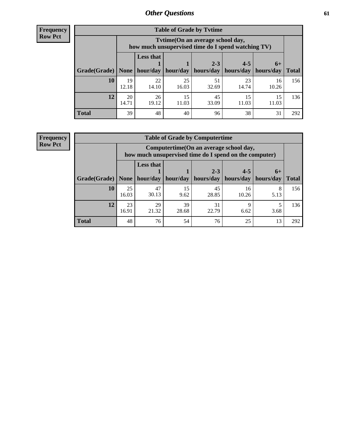**Frequency Row Pct**

r

| <b>Table of Grade by Tvtime</b> |             |                                                                                        |             |             |                       |             |              |  |  |  |
|---------------------------------|-------------|----------------------------------------------------------------------------------------|-------------|-------------|-----------------------|-------------|--------------|--|--|--|
|                                 |             | Tvtime(On an average school day,<br>how much unsupervised time do I spend watching TV) |             |             |                       |             |              |  |  |  |
|                                 |             | <b>Less that</b>                                                                       |             | $2 - 3$     | $4 - 5$               | $6+$        |              |  |  |  |
| Grade(Grade)   None             |             | hour/day                                                                               | hour/day    | hours/day   | hours/day   hours/day |             | <b>Total</b> |  |  |  |
| 10                              | 19<br>12.18 | 22<br>14.10                                                                            | 25<br>16.03 | 51<br>32.69 | 23<br>14.74           | 16<br>10.26 | 156          |  |  |  |
| 12                              | 20<br>14.71 | 26<br>19.12                                                                            | 15<br>11.03 | 45<br>33.09 | 15<br>11.03           | 15<br>11.03 | 136          |  |  |  |
| <b>Total</b>                    | 39          | 48                                                                                     | 40          | 96          | 38                    | 31          | 292          |  |  |  |

**Frequency Row Pct**

| <b>Table of Grade by Computertime</b> |             |                                                                                                  |            |                      |                      |                   |              |  |  |  |
|---------------------------------------|-------------|--------------------------------------------------------------------------------------------------|------------|----------------------|----------------------|-------------------|--------------|--|--|--|
|                                       |             | Computertime(On an average school day,<br>how much unsupervised time do I spend on the computer) |            |                      |                      |                   |              |  |  |  |
| Grade(Grade)                          | None        | <b>Less that</b><br>hour/day                                                                     | hour/day   | $2 - 3$<br>hours/day | $4 - 5$<br>hours/day | $6+$<br>hours/day | <b>Total</b> |  |  |  |
| 10                                    | 25<br>16.03 | 47<br>30.13                                                                                      | 15<br>9.62 | 45<br>28.85          | 16<br>10.26          | 8<br>5.13         | 156          |  |  |  |
| 12                                    | 23<br>16.91 | 29<br>39<br>31<br>Q<br>21.32<br>22.79<br>28.68<br>6.62<br>3.68                                   |            |                      |                      |                   |              |  |  |  |
| <b>Total</b>                          | 48          | 76                                                                                               | 54         | 76                   | 25                   | 13                | 292          |  |  |  |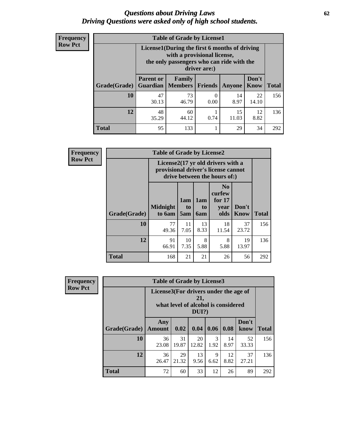#### *Questions about Driving Laws* **62** *Driving Questions were asked only of high school students.*

| <b>Frequency</b> |
|------------------|
| <b>Row Pct</b>   |

| <b>Table of Grade by License1</b> |                                     |                                                                                                                                           |                |            |                      |              |  |  |  |  |
|-----------------------------------|-------------------------------------|-------------------------------------------------------------------------------------------------------------------------------------------|----------------|------------|----------------------|--------------|--|--|--|--|
|                                   |                                     | License1(During the first 6 months of driving<br>with a provisional license,<br>the only passengers who can ride with the<br>driver are:) |                |            |                      |              |  |  |  |  |
| Grade(Grade)                      | <b>Parent or</b><br><b>Guardian</b> | Family<br><b>Members</b>                                                                                                                  | <b>Friends</b> | Anyone     | Don't<br><b>Know</b> | <b>Total</b> |  |  |  |  |
| 10                                | 47<br>30.13                         | 73<br>46.79                                                                                                                               | 0.00           | 14<br>8.97 | 22<br>14.10          | 156          |  |  |  |  |
| 12                                | 48<br>35.29                         | 12<br>60<br>15<br>8.82<br>11.03<br>44.12<br>0.74                                                                                          |                |            |                      |              |  |  |  |  |
| Total                             | 95                                  | 133                                                                                                                                       |                | 29         | 34                   | 292          |  |  |  |  |

| <b>Frequency</b> |                     | <b>Table of Grade by License2</b> |                                                                                                          |                                     |                                                      |                      |              |  |  |
|------------------|---------------------|-----------------------------------|----------------------------------------------------------------------------------------------------------|-------------------------------------|------------------------------------------------------|----------------------|--------------|--|--|
| <b>Row Pct</b>   |                     |                                   | License2(17 yr old drivers with a<br>provisional driver's license cannot<br>drive between the hours of:) |                                     |                                                      |                      |              |  |  |
|                  | <b>Grade(Grade)</b> | <b>Midnight</b><br>to 6am         | 1am<br>to<br>5am                                                                                         | 1am<br>t <sub>0</sub><br><b>6am</b> | N <sub>0</sub><br>curfew<br>for $17$<br>year<br>olds | Don't<br><b>Know</b> | <b>Total</b> |  |  |
|                  | 10                  | 77<br>49.36                       | 11<br>7.05                                                                                               | 13<br>8.33                          | 18<br>11.54                                          | 37<br>23.72          | 156          |  |  |
|                  | 12                  | 91<br>66.91                       | 136                                                                                                      |                                     |                                                      |                      |              |  |  |
|                  | <b>Total</b>        | 168                               | 21                                                                                                       | 21                                  | 26                                                   | 56                   | 292          |  |  |

| Frequency      |              | <b>Table of Grade by License3</b> |                                                                                                 |             |                       |            |               |              |
|----------------|--------------|-----------------------------------|-------------------------------------------------------------------------------------------------|-------------|-----------------------|------------|---------------|--------------|
| <b>Row Pct</b> |              |                                   | License3(For drivers under the age of<br>21,<br>what level of alcohol is considered<br>$DUI$ ?) |             |                       |            |               |              |
|                | Grade(Grade) | Any<br><b>Amount</b>              | 0.02                                                                                            | 0.04        | 0.06                  | 0.08       | Don't<br>know | <b>Total</b> |
|                | 10           | 36<br>23.08                       | 31<br>19.87                                                                                     | 20<br>12.82 | $\mathcal{R}$<br>1.92 | 14<br>8.97 | 52<br>33.33   | 156          |
|                | 12           | 36<br>26.47                       | 29<br>21.32                                                                                     | 13<br>9.56  | 9<br>6.62             | 12<br>8.82 | 37<br>27.21   | 136          |
|                | <b>Total</b> | 72                                | 60                                                                                              | 33          | 12                    | 26         | 89            | 292          |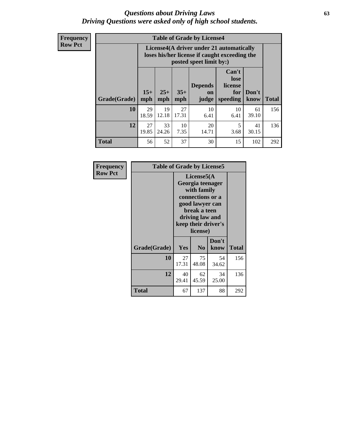#### *Questions about Driving Laws* **63** *Driving Questions were asked only of high school students.*

**Frequency Row Pct**

| <b>Table of Grade by License4</b> |             |                                                                                                                                                                                                                                                                                       |             |            |            |             |     |  |  |
|-----------------------------------|-------------|---------------------------------------------------------------------------------------------------------------------------------------------------------------------------------------------------------------------------------------------------------------------------------------|-------------|------------|------------|-------------|-----|--|--|
|                                   |             | License4(A driver under 21 automatically<br>loses his/her license if caught exceeding the<br>posted speet limit by:)<br>Can't<br>lose<br><b>Depends</b><br>license<br>$15+$<br>$25+$<br>$35+$<br>Don't<br>for<br><b>on</b><br><b>Total</b><br>mph<br>speeding<br>know<br>mph<br>judge |             |            |            |             |     |  |  |
| Grade(Grade)                      | mph         |                                                                                                                                                                                                                                                                                       |             |            |            |             |     |  |  |
| 10                                | 29<br>18.59 | 19<br>12.18                                                                                                                                                                                                                                                                           | 27<br>17.31 | 10<br>6.41 | 10<br>6.41 | 61<br>39.10 | 156 |  |  |
| 12                                | 27<br>19.85 | 33<br>10<br>20<br>5<br>41<br>7.35<br>24.26<br>14.71<br>3.68<br>30.15                                                                                                                                                                                                                  |             |            |            |             |     |  |  |
| <b>Total</b>                      | 56          | 52                                                                                                                                                                                                                                                                                    | 37          | 30         | 15         | 102         | 292 |  |  |

| Frequency      | <b>Table of Grade by License5</b> |             |                                                                                                                                                             |               |       |  |  |
|----------------|-----------------------------------|-------------|-------------------------------------------------------------------------------------------------------------------------------------------------------------|---------------|-------|--|--|
| <b>Row Pct</b> |                                   |             | License5(A)<br>Georgia teenager<br>with family<br>connections or a<br>good lawyer can<br>break a teen<br>driving law and<br>keep their driver's<br>license) |               |       |  |  |
|                | Grade(Grade)                      | <b>Yes</b>  | N <sub>0</sub>                                                                                                                                              | Don't<br>know | Total |  |  |
|                | 10                                | 27<br>17.31 | 75<br>48.08                                                                                                                                                 | 54<br>34.62   | 156   |  |  |
|                | 12                                | 40<br>29.41 | 62<br>45.59                                                                                                                                                 | 34<br>25.00   | 136   |  |  |
|                | <b>Total</b>                      | 67          | 137                                                                                                                                                         | 88            | 292   |  |  |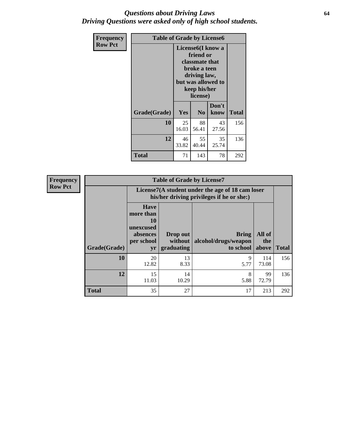#### *Questions about Driving Laws* **64** *Driving Questions were asked only of high school students.*

| <b>Frequency</b> | <b>Table of Grade by License6</b> |                                                                                                                                                 |                |               |              |
|------------------|-----------------------------------|-------------------------------------------------------------------------------------------------------------------------------------------------|----------------|---------------|--------------|
| <b>Row Pct</b>   |                                   | License <sub>6</sub> (I know a<br>friend or<br>classmate that<br>broke a teen<br>driving law,<br>but was allowed to<br>keep his/her<br>license) |                |               |              |
|                  | Grade(Grade)                      | Yes                                                                                                                                             | N <sub>0</sub> | Don't<br>know | <b>Total</b> |
|                  | 10                                | 25<br>16.03                                                                                                                                     | 88<br>56.41    | 43<br>27.56   | 156          |
|                  | 12                                | 46<br>33.82                                                                                                                                     | 136            |               |              |
|                  | Total                             | 71                                                                                                                                              | 143            | 78            | 292          |

| <b>Frequency</b> |              |                                                                             | <b>Table of Grade by License7</b>                                                             |                                                   |                        |              |  |
|------------------|--------------|-----------------------------------------------------------------------------|-----------------------------------------------------------------------------------------------|---------------------------------------------------|------------------------|--------------|--|
| <b>Row Pct</b>   |              |                                                                             | License7(A student under the age of 18 cam loser<br>his/her driving privileges if he or she:) |                                                   |                        |              |  |
|                  | Grade(Grade) | <b>Have</b><br>more than<br>10<br>unexcused<br>absences<br>per school<br>yr | Drop out<br>without  <br>graduating                                                           | <b>Bring</b><br>alcohol/drugs/weapon<br>to school | All of<br>the<br>above | <b>Total</b> |  |
|                  | 10           | 20<br>12.82                                                                 | 13<br>8.33                                                                                    | 9<br>5.77                                         | 114<br>73.08           | 156          |  |
|                  | 12           | 15<br>11.03                                                                 | 14<br>10.29                                                                                   | 8<br>5.88                                         | 99<br>72.79            | 136          |  |
|                  | <b>Total</b> | 35                                                                          | 27                                                                                            | 17                                                | 213                    | 292          |  |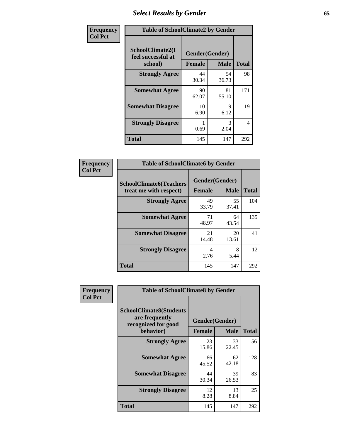# *Select Results by Gender* **65**

| Frequency      | <b>Table of SchoolClimate2 by Gender</b> |                                 |             |                |
|----------------|------------------------------------------|---------------------------------|-------------|----------------|
| <b>Col Pct</b> | SchoolClimate2(I<br>feel successful at   | Gender(Gender)<br><b>Female</b> | <b>Male</b> | <b>Total</b>   |
|                | school)<br><b>Strongly Agree</b>         | 44<br>30.34                     | 54<br>36.73 | 98             |
|                | <b>Somewhat Agree</b>                    | 90<br>62.07                     | 81<br>55.10 | 171            |
|                | <b>Somewhat Disagree</b>                 | 10<br>6.90                      | 9<br>6.12   | 19             |
|                | <b>Strongly Disagree</b>                 | 0.69                            | 3<br>2.04   | $\overline{4}$ |
|                | <b>Total</b>                             | 145                             | 147         | 292            |

| <b>Frequency</b> | <b>Table of SchoolClimate6 by Gender</b> |                |             |              |  |
|------------------|------------------------------------------|----------------|-------------|--------------|--|
| <b>Col Pct</b>   | <b>SchoolClimate6(Teachers</b>           | Gender(Gender) |             |              |  |
|                  | treat me with respect)                   | <b>Female</b>  | <b>Male</b> | <b>Total</b> |  |
|                  | <b>Strongly Agree</b>                    | 49<br>33.79    | 55<br>37.41 | 104          |  |
|                  | <b>Somewhat Agree</b>                    | 71<br>48.97    | 64<br>43.54 | 135          |  |
|                  | <b>Somewhat Disagree</b>                 | 21<br>14.48    | 20<br>13.61 | 41           |  |
|                  | <b>Strongly Disagree</b>                 | 4<br>2.76      | 8<br>5.44   | 12           |  |
|                  | <b>Total</b>                             | 145            | 147         | 292          |  |

| Frequency      | <b>Table of SchoolClimate8 by Gender</b>                                             |                                 |             |              |
|----------------|--------------------------------------------------------------------------------------|---------------------------------|-------------|--------------|
| <b>Col Pct</b> | <b>SchoolClimate8(Students</b><br>are frequently<br>recognized for good<br>behavior) | Gender(Gender)<br><b>Female</b> | <b>Male</b> | <b>Total</b> |
|                | <b>Strongly Agree</b>                                                                | 23                              | 33          | 56           |
|                |                                                                                      | 15.86                           | 22.45       |              |
|                | <b>Somewhat Agree</b>                                                                | 66<br>45.52                     | 62<br>42.18 | 128          |
|                | <b>Somewhat Disagree</b>                                                             | 44<br>30.34                     | 39<br>26.53 | 83           |
|                | <b>Strongly Disagree</b>                                                             | 12<br>8.28                      | 13<br>8.84  | 25           |
|                | <b>Total</b>                                                                         | 145                             | 147         | 292          |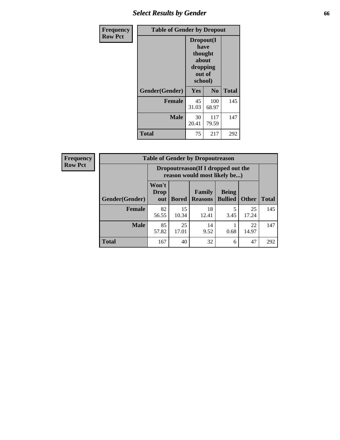# *Select Results by Gender* **66**

| Frequency      | <b>Table of Gender by Dropout</b> |                                                                        |                |              |
|----------------|-----------------------------------|------------------------------------------------------------------------|----------------|--------------|
| <b>Row Pct</b> |                                   | Dropout(I<br>have<br>thought<br>about<br>dropping<br>out of<br>school) |                |              |
|                | Gender(Gender)                    | Yes                                                                    | N <sub>0</sub> | <b>Total</b> |
|                | <b>Female</b>                     | 45<br>31.03                                                            | 100<br>68.97   | 145          |
|                | <b>Male</b>                       | 30<br>20.41                                                            | 117<br>79.59   | 147          |
|                | <b>Total</b>                      | 75                                                                     | 217            | 292          |

| <b>Frequency</b> | <b>Table of Gender by Dropoutreason</b> |                                                                    |              |                          |                                |              |              |
|------------------|-----------------------------------------|--------------------------------------------------------------------|--------------|--------------------------|--------------------------------|--------------|--------------|
| <b>Row Pct</b>   |                                         | Dropoutreason(If I dropped out the<br>reason would most likely be) |              |                          |                                |              |              |
|                  | <b>Gender(Gender)</b>                   | Won't<br><b>Drop</b><br>out                                        | <b>Bored</b> | Family<br><b>Reasons</b> | <b>Being</b><br><b>Bullied</b> | <b>Other</b> | <b>Total</b> |
|                  | <b>Female</b>                           | 82<br>56.55                                                        | 15<br>10.34  | 18<br>12.41              | 3.45                           | 25<br>17.24  | 145          |
|                  | <b>Male</b>                             | 85<br>57.82                                                        | 25<br>17.01  | 14<br>9.52               | 0.68                           | 22<br>14.97  | 147          |
|                  | <b>Total</b>                            | 167                                                                | 40           | 32                       | 6                              | 47           | 292          |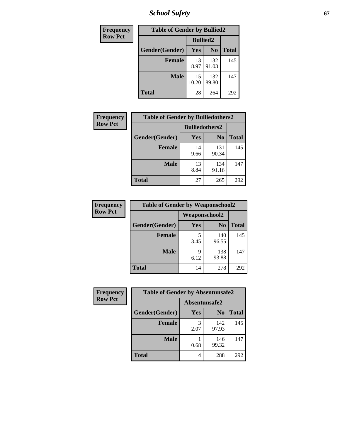*School Safety* **67**

| Frequency      | <b>Table of Gender by Bullied2</b> |                 |                |              |
|----------------|------------------------------------|-----------------|----------------|--------------|
| <b>Row Pct</b> |                                    | <b>Bullied2</b> |                |              |
|                | Gender(Gender)                     | <b>Yes</b>      | N <sub>0</sub> | <b>Total</b> |
|                | <b>Female</b>                      | 13<br>8.97      | 132<br>91.03   | 145          |
|                | <b>Male</b>                        | 15<br>10.20     | 132<br>89.80   | 147          |
|                | <b>Total</b>                       | 28              | 264            | 292          |

| Frequency      | <b>Table of Gender by Bulliedothers2</b> |                       |                |              |
|----------------|------------------------------------------|-----------------------|----------------|--------------|
| <b>Row Pct</b> |                                          | <b>Bulliedothers2</b> |                |              |
|                | Gender(Gender)                           | Yes                   | N <sub>0</sub> | <b>Total</b> |
|                | <b>Female</b>                            | 14<br>9.66            | 131<br>90.34   | 145          |
|                | <b>Male</b>                              | 13<br>8.84            | 134<br>91.16   | 147          |
|                | <b>Total</b>                             | 27                    | 265            | 292          |

| <b>Frequency</b> | <b>Table of Gender by Weaponschool2</b> |               |                |              |
|------------------|-----------------------------------------|---------------|----------------|--------------|
| <b>Row Pct</b>   |                                         | Weaponschool2 |                |              |
|                  | Gender(Gender)                          | Yes           | N <sub>0</sub> | <b>Total</b> |
|                  | <b>Female</b>                           | 5<br>3.45     | 140<br>96.55   | 145          |
|                  | <b>Male</b>                             | 9<br>6.12     | 138<br>93.88   | 147          |
|                  | <b>Total</b>                            | 14            | 278            | 292          |

| Frequency      | <b>Table of Gender by Absentunsafe2</b> |               |                |              |
|----------------|-----------------------------------------|---------------|----------------|--------------|
| <b>Row Pct</b> |                                         | Absentunsafe2 |                |              |
|                | Gender(Gender)                          | Yes           | N <sub>0</sub> | <b>Total</b> |
|                | <b>Female</b>                           | 2.07          | 142<br>97.93   | 145          |
|                | <b>Male</b>                             | 0.68          | 146<br>99.32   | 147          |
|                | <b>Total</b>                            | 4             | 288            | 292          |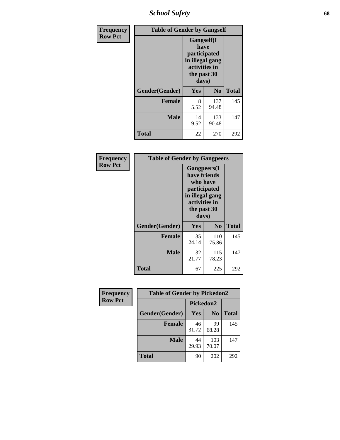*School Safety* **68**

| Frequency      | <b>Table of Gender by Gangself</b> |                                                                                                |              |              |
|----------------|------------------------------------|------------------------------------------------------------------------------------------------|--------------|--------------|
| <b>Row Pct</b> |                                    | Gangself(I<br>have<br>participated<br>in illegal gang<br>activities in<br>the past 30<br>days) |              |              |
|                | Gender(Gender)                     | Yes                                                                                            | $\bf No$     | <b>Total</b> |
|                | <b>Female</b>                      | 8<br>5.52                                                                                      | 137<br>94.48 | 145          |
|                | <b>Male</b>                        | 14<br>9.52                                                                                     | 133<br>90.48 | 147          |
|                | <b>Total</b>                       | 22                                                                                             | 270          | 292          |

| Frequency      | <b>Table of Gender by Gangpeers</b> |                                                                                                                             |                |              |
|----------------|-------------------------------------|-----------------------------------------------------------------------------------------------------------------------------|----------------|--------------|
| <b>Row Pct</b> |                                     | <b>Gangpeers</b> (I<br>have friends<br>who have<br>participated<br>in illegal gang<br>activities in<br>the past 30<br>days) |                |              |
|                | Gender(Gender)                      | Yes                                                                                                                         | N <sub>0</sub> | <b>Total</b> |
|                | <b>Female</b>                       | 35<br>24.14                                                                                                                 | 110<br>75.86   | 145          |
|                | <b>Male</b>                         | 32<br>21.77                                                                                                                 | 115<br>78.23   | 147          |
|                | <b>Total</b>                        | 67                                                                                                                          | 225            | 292          |

| Frequency      | <b>Table of Gender by Pickedon2</b> |             |                |              |
|----------------|-------------------------------------|-------------|----------------|--------------|
| <b>Row Pct</b> |                                     | Pickedon2   |                |              |
|                | Gender(Gender)                      | Yes         | N <sub>0</sub> | <b>Total</b> |
|                | <b>Female</b>                       | 46<br>31.72 | 99<br>68.28    | 145          |
|                | <b>Male</b>                         | 44<br>29.93 | 103<br>70.07   | 147          |
|                | <b>Total</b>                        | 90          | 202            | 292          |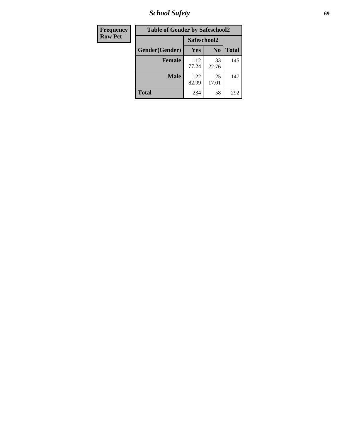*School Safety* **69**

| Frequency      | <b>Table of Gender by Safeschool2</b> |              |                |              |  |
|----------------|---------------------------------------|--------------|----------------|--------------|--|
| <b>Row Pct</b> |                                       | Safeschool2  |                |              |  |
|                | Gender(Gender)                        | Yes          | N <sub>0</sub> | <b>Total</b> |  |
|                | <b>Female</b>                         | 112<br>77.24 | 33<br>22.76    | 145          |  |
|                | <b>Male</b>                           | 122<br>82.99 | 25<br>17.01    | 147          |  |
|                | <b>Total</b>                          | 234          | 58             | 292          |  |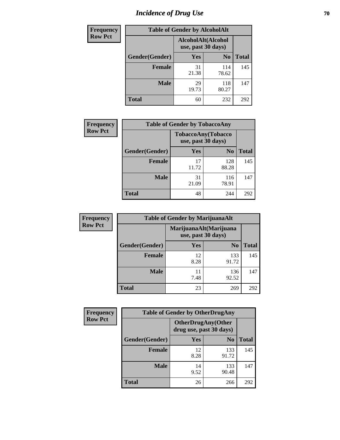# *Incidence of Drug Use* **70**

| <b>Frequency</b> | <b>Table of Gender by AlcoholAlt</b> |                                          |                |              |  |
|------------------|--------------------------------------|------------------------------------------|----------------|--------------|--|
| <b>Row Pct</b>   |                                      | AlcoholAlt(Alcohol<br>use, past 30 days) |                |              |  |
|                  | Gender(Gender)                       | <b>Yes</b>                               | N <sub>0</sub> | <b>Total</b> |  |
|                  | <b>Female</b>                        | 31<br>21.38                              | 114<br>78.62   | 145          |  |
|                  | <b>Male</b>                          | 29<br>19.73                              | 118<br>80.27   | 147          |  |
|                  | <b>Total</b>                         | 60                                       | 232            | 292          |  |

| <b>Frequency</b> | <b>Table of Gender by TobaccoAny</b> |                    |                    |              |  |
|------------------|--------------------------------------|--------------------|--------------------|--------------|--|
| <b>Row Pct</b>   |                                      | use, past 30 days) | TobaccoAny(Tobacco |              |  |
|                  | Gender(Gender)                       | Yes                | N <sub>0</sub>     | <b>Total</b> |  |
|                  | <b>Female</b>                        | 17<br>11.72        | 128<br>88.28       | 145          |  |
|                  | <b>Male</b>                          | 31<br>21.09        | 116<br>78.91       | 147          |  |
|                  | <b>Total</b>                         | 48                 | 244                | 292          |  |

| <b>Frequency</b> | <b>Table of Gender by MarijuanaAlt</b> |            |                                              |       |  |
|------------------|----------------------------------------|------------|----------------------------------------------|-------|--|
| <b>Row Pct</b>   |                                        |            | MarijuanaAlt(Marijuana<br>use, past 30 days) |       |  |
|                  | Gender(Gender)                         | <b>Yes</b> | N <sub>0</sub>                               | Total |  |
|                  | Female                                 | 12<br>8.28 | 133<br>91.72                                 | 145   |  |
|                  | <b>Male</b>                            | 11<br>7.48 | 136<br>92.52                                 | 147   |  |
|                  | <b>Total</b>                           | 23         | 269                                          | 292   |  |

| <b>Frequency</b> | <b>Table of Gender by OtherDrugAny</b> |                                                      |                |              |
|------------------|----------------------------------------|------------------------------------------------------|----------------|--------------|
| <b>Row Pct</b>   |                                        | <b>OtherDrugAny(Other</b><br>drug use, past 30 days) |                |              |
|                  | Gender(Gender)                         | <b>Yes</b>                                           | N <sub>0</sub> | <b>Total</b> |
|                  | <b>Female</b>                          | 12<br>8.28                                           | 133<br>91.72   | 145          |
|                  | <b>Male</b>                            | 14<br>9.52                                           | 133<br>90.48   | 147          |
|                  | <b>Total</b>                           | 26                                                   | 266            | 292          |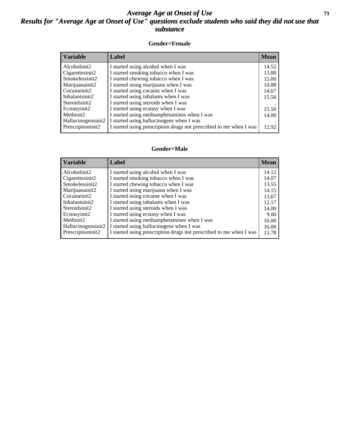#### *Average Age at Onset of Use* **71** *Results for "Average Age at Onset of Use" questions exclude students who said they did not use that substance*

#### **Gender=Female**

| Label                                                              | <b>Mean</b> |
|--------------------------------------------------------------------|-------------|
| I started using alcohol when I was                                 | 14.52       |
| I started smoking tobacco when I was                               | 13.88       |
| I started chewing tobacco when I was                               | 15.00       |
| I started using marijuana when I was                               | 14.88       |
| I started using cocaine when I was                                 | 14.67       |
| I started using inhalants when I was                               | 15.50       |
| I started using steroids when I was                                |             |
| I started using ecstasy when I was                                 | 15.50       |
| I started using methamphetamines when I was                        | 14.00       |
| I started using hallucinogens when I was                           |             |
| I started using prescription drugs not prescribed to me when I was | 12.92       |
|                                                                    |             |

#### **Gender=Male**

| <b>Variable</b>                                                                                                        | Label                                                                                                                                                                                                                                                                                                                 | <b>Mean</b>                                                 |
|------------------------------------------------------------------------------------------------------------------------|-----------------------------------------------------------------------------------------------------------------------------------------------------------------------------------------------------------------------------------------------------------------------------------------------------------------------|-------------------------------------------------------------|
| Alcoholinit2<br>Cigarettesinit2<br>Smokelessinit2<br>Marijuanainit2<br>Cocaineinit2<br>Inhalantsinit2<br>Steroidsinit2 | I started using alcohol when I was<br>I started smoking tobacco when I was<br>I started chewing tobacco when I was<br>I started using marijuana when I was<br>I started using cocaine when I was<br>I started using inhalants when I was<br>I started using steroids when I was<br>I started using ecstasy when I was | 14.12<br>14.07<br>13.55<br>14.15<br>13.67<br>12.17<br>14.00 |
| Ecstasyinit2<br>Methinit2<br>Hallucinogensinit2<br>Prescriptioninit2                                                   | I started using methamphetamines when I was<br>I started using hallucinogens when I was<br>I started using prescription drugs not prescribed to me when I was                                                                                                                                                         | 9.00<br>16.00<br>16.00<br>13.78                             |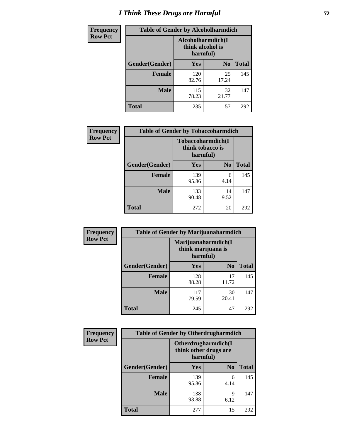# *I Think These Drugs are Harmful* **72**

| <b>Frequency</b> | <b>Table of Gender by Alcoholharmdich</b> |                                                    |                |              |
|------------------|-------------------------------------------|----------------------------------------------------|----------------|--------------|
| <b>Row Pct</b>   |                                           | Alcoholharmdich(I)<br>think alcohol is<br>harmful) |                |              |
|                  | Gender(Gender)                            | <b>Yes</b>                                         | N <sub>0</sub> | <b>Total</b> |
|                  | Female                                    | 120<br>82.76                                       | 25<br>17.24    | 145          |
|                  | <b>Male</b>                               | 115<br>78.23                                       | 32<br>21.77    | 147          |
|                  | Total                                     | 235                                                | 57             | 292          |

| Frequency      | <b>Table of Gender by Tobaccoharmdich</b> |                              |                   |              |
|----------------|-------------------------------------------|------------------------------|-------------------|--------------|
| <b>Row Pct</b> |                                           | think tobacco is<br>harmful) | Tobaccoharmdich(I |              |
|                | Gender(Gender)                            | Yes                          | N <sub>0</sub>    | <b>Total</b> |
|                | <b>Female</b>                             | 139<br>95.86                 | 6<br>4.14         | 145          |
|                | <b>Male</b>                               | 133<br>90.48                 | 14<br>9.52        | 147          |
|                | <b>Total</b>                              | 272                          | 20                | 292          |

| Frequency      | <b>Table of Gender by Marijuanaharmdich</b> |              |                                           |              |  |
|----------------|---------------------------------------------|--------------|-------------------------------------------|--------------|--|
| <b>Row Pct</b> |                                             | harmful)     | Marijuanaharmdich(I<br>think marijuana is |              |  |
|                | Gender(Gender)                              | <b>Yes</b>   | N <sub>0</sub>                            | <b>Total</b> |  |
|                | <b>Female</b>                               | 128<br>88.28 | 17<br>11.72                               | 145          |  |
|                | <b>Male</b>                                 | 117<br>79.59 | 30<br>20.41                               | 147          |  |
|                | <b>Total</b>                                | 245          | 47                                        | 292          |  |

| Frequency      | <b>Table of Gender by Otherdrugharmdich</b> |                                                          |                |              |  |
|----------------|---------------------------------------------|----------------------------------------------------------|----------------|--------------|--|
| <b>Row Pct</b> |                                             | Otherdrugharmdich(I<br>think other drugs are<br>harmful) |                |              |  |
|                | Gender(Gender)                              | <b>Yes</b>                                               | N <sub>0</sub> | <b>Total</b> |  |
|                | <b>Female</b>                               | 139<br>95.86                                             | 6<br>4.14      | 145          |  |
|                | <b>Male</b>                                 | 138<br>93.88                                             | 9<br>6.12      | 147          |  |
|                | <b>Total</b>                                | 277                                                      | 15             | 292          |  |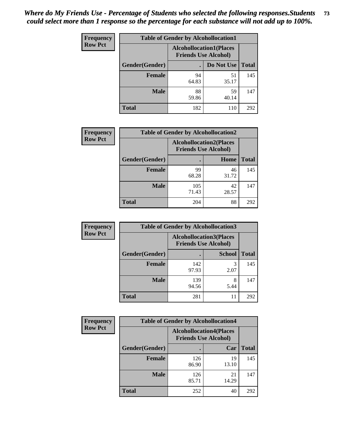| <b>Frequency</b> | <b>Table of Gender by Alcohollocation1</b> |                                                               |             |              |
|------------------|--------------------------------------------|---------------------------------------------------------------|-------------|--------------|
| <b>Row Pct</b>   |                                            | <b>Alcohollocation1(Places</b><br><b>Friends Use Alcohol)</b> |             |              |
|                  | Gender(Gender)                             |                                                               | Do Not Use  | <b>Total</b> |
|                  | <b>Female</b>                              | 94<br>64.83                                                   | 51<br>35.17 | 145          |
|                  | <b>Male</b>                                | 88<br>59.86                                                   | 59<br>40.14 | 147          |
|                  | <b>Total</b>                               | 182                                                           | 110         | 292          |

| <b>Frequency</b> | <b>Table of Gender by Alcohollocation2</b> |                                                               |             |              |
|------------------|--------------------------------------------|---------------------------------------------------------------|-------------|--------------|
| <b>Row Pct</b>   |                                            | <b>Alcohollocation2(Places</b><br><b>Friends Use Alcohol)</b> |             |              |
|                  | Gender(Gender)                             |                                                               | Home        | <b>Total</b> |
|                  | <b>Female</b>                              | 99<br>68.28                                                   | 46<br>31.72 | 145          |
|                  | <b>Male</b>                                | 105<br>71.43                                                  | 42<br>28.57 | 147          |
|                  | <b>Total</b>                               | 204                                                           | 88          | 292          |

| Frequency      | <b>Table of Gender by Alcohollocation3</b> |                                                               |               |              |
|----------------|--------------------------------------------|---------------------------------------------------------------|---------------|--------------|
| <b>Row Pct</b> |                                            | <b>Alcohollocation3(Places</b><br><b>Friends Use Alcohol)</b> |               |              |
|                | Gender(Gender)                             |                                                               | <b>School</b> | <b>Total</b> |
|                | <b>Female</b>                              | 142<br>97.93                                                  | 3<br>2.07     | 145          |
|                | <b>Male</b>                                | 139<br>94.56                                                  | 8<br>5.44     | 147          |
|                | <b>Total</b>                               | 281                                                           | 11            | 292          |

| <b>Frequency</b> | <b>Table of Gender by Alcohollocation4</b> |                                                               |             |              |
|------------------|--------------------------------------------|---------------------------------------------------------------|-------------|--------------|
| <b>Row Pct</b>   |                                            | <b>Alcohollocation4(Places</b><br><b>Friends Use Alcohol)</b> |             |              |
|                  | Gender(Gender)                             |                                                               | Car         | <b>Total</b> |
|                  | <b>Female</b>                              | 126<br>86.90                                                  | 19<br>13.10 | 145          |
|                  | <b>Male</b>                                | 126<br>85.71                                                  | 21<br>14.29 | 147          |
|                  | <b>Total</b>                               | 252                                                           | 40          | 292          |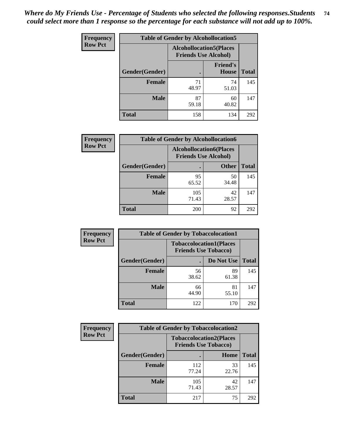| <b>Frequency</b> |                | <b>Table of Gender by Alcohollocation5</b>                     |                                 |              |
|------------------|----------------|----------------------------------------------------------------|---------------------------------|--------------|
| <b>Row Pct</b>   |                | <b>Alcohollocation5</b> (Places<br><b>Friends Use Alcohol)</b> |                                 |              |
|                  | Gender(Gender) | $\bullet$                                                      | <b>Friend's</b><br><b>House</b> | <b>Total</b> |
|                  | <b>Female</b>  | 71<br>48.97                                                    | 74<br>51.03                     | 145          |
|                  | <b>Male</b>    | 87<br>59.18                                                    | 60<br>40.82                     | 147          |
|                  | <b>Total</b>   | 158                                                            | 134                             | 292          |

| Frequency      | <b>Table of Gender by Alcohollocation6</b> |                                                               |              |              |  |
|----------------|--------------------------------------------|---------------------------------------------------------------|--------------|--------------|--|
| <b>Row Pct</b> |                                            | <b>Alcohollocation6(Places</b><br><b>Friends Use Alcohol)</b> |              |              |  |
|                | Gender(Gender)                             |                                                               | <b>Other</b> | <b>Total</b> |  |
|                | Female                                     | 95<br>65.52                                                   | 50<br>34.48  | 145          |  |
|                | <b>Male</b>                                | 105<br>71.43                                                  | 42<br>28.57  | 147          |  |
|                | <b>Total</b>                               | 200                                                           | 92           | 292          |  |

| Frequency      | <b>Table of Gender by Tobaccolocation1</b> |                                                               |             |              |  |
|----------------|--------------------------------------------|---------------------------------------------------------------|-------------|--------------|--|
| <b>Row Pct</b> |                                            | <b>Tobaccolocation1(Places</b><br><b>Friends Use Tobacco)</b> |             |              |  |
|                | Gender(Gender)                             |                                                               | Do Not Use  | <b>Total</b> |  |
|                | Female                                     | 56<br>38.62                                                   | 89<br>61.38 | 145          |  |
|                | <b>Male</b>                                | 66<br>44.90                                                   | 81<br>55.10 | 147          |  |
|                | <b>Total</b>                               | 122                                                           | 170         | 292          |  |

| <b>Frequency</b> | <b>Table of Gender by Tobaccolocation2</b> |                                                               |             |              |
|------------------|--------------------------------------------|---------------------------------------------------------------|-------------|--------------|
| <b>Row Pct</b>   |                                            | <b>Tobaccolocation2(Places</b><br><b>Friends Use Tobacco)</b> |             |              |
|                  | Gender(Gender)                             |                                                               | Home        | <b>Total</b> |
|                  | Female                                     | 112<br>77.24                                                  | 33<br>22.76 | 145          |
|                  | <b>Male</b>                                | 105<br>71.43                                                  | 42<br>28.57 | 147          |
|                  | <b>Total</b>                               | 217                                                           | 75          | 292          |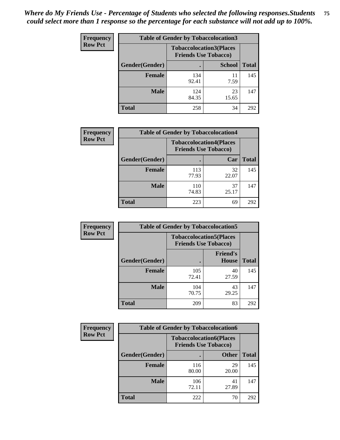| <b>Frequency</b> | <b>Table of Gender by Tobaccolocation3</b> |                                                               |               |              |
|------------------|--------------------------------------------|---------------------------------------------------------------|---------------|--------------|
| <b>Row Pct</b>   |                                            | <b>Tobaccolocation3(Places</b><br><b>Friends Use Tobacco)</b> |               |              |
|                  | Gender(Gender)                             |                                                               | <b>School</b> | <b>Total</b> |
|                  | <b>Female</b>                              | 134<br>92.41                                                  | 11<br>7.59    | 145          |
|                  | <b>Male</b>                                | 124<br>84.35                                                  | 23<br>15.65   | 147          |
|                  | <b>Total</b>                               | 258                                                           | 34            | 292          |

| <b>Frequency</b> | <b>Table of Gender by Tobaccolocation4</b> |                                                               |             |              |
|------------------|--------------------------------------------|---------------------------------------------------------------|-------------|--------------|
| <b>Row Pct</b>   |                                            | <b>Tobaccolocation4(Places</b><br><b>Friends Use Tobacco)</b> |             |              |
|                  | Gender(Gender)                             |                                                               | Car         | <b>Total</b> |
|                  | Female                                     | 113<br>77.93                                                  | 32<br>22.07 | 145          |
|                  | <b>Male</b>                                | 110<br>74.83                                                  | 37<br>25.17 | 147          |
|                  | <b>Total</b>                               | 223                                                           | 69          | 292          |

| <b>Frequency</b> | <b>Table of Gender by Tobaccolocation5</b> |                                                               |                                 |              |
|------------------|--------------------------------------------|---------------------------------------------------------------|---------------------------------|--------------|
| <b>Row Pct</b>   |                                            | <b>Tobaccolocation5(Places</b><br><b>Friends Use Tobacco)</b> |                                 |              |
|                  | <b>Gender(Gender)</b>                      |                                                               | <b>Friend's</b><br><b>House</b> | <b>Total</b> |
|                  | <b>Female</b>                              | 105<br>72.41                                                  | 40<br>27.59                     | 145          |
|                  | <b>Male</b>                                | 104<br>70.75                                                  | 43<br>29.25                     | 147          |
|                  | <b>Total</b>                               | 209                                                           | 83                              | 292          |

| <b>Frequency</b> | <b>Table of Gender by Tobaccolocation6</b> |                                                               |              |              |
|------------------|--------------------------------------------|---------------------------------------------------------------|--------------|--------------|
| <b>Row Pct</b>   |                                            | <b>Tobaccolocation6(Places</b><br><b>Friends Use Tobacco)</b> |              |              |
|                  | Gender(Gender)                             |                                                               | <b>Other</b> | <b>Total</b> |
|                  | Female                                     | 116<br>80.00                                                  | 29<br>20.00  | 145          |
|                  | <b>Male</b>                                | 106<br>72.11                                                  | 41<br>27.89  | 147          |
|                  | <b>Total</b>                               | 222                                                           | 70           | 292          |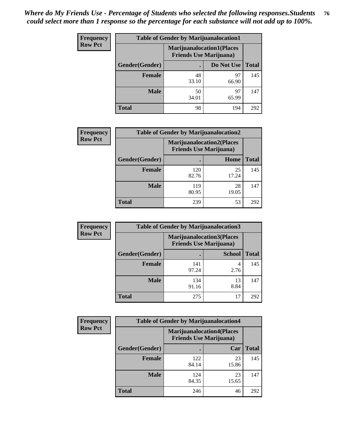| <b>Frequency</b> | <b>Table of Gender by Marijuanalocation1</b> |                                                                    |             |              |
|------------------|----------------------------------------------|--------------------------------------------------------------------|-------------|--------------|
| <b>Row Pct</b>   |                                              | <b>Marijuanalocation1(Places</b><br><b>Friends Use Marijuana</b> ) |             |              |
|                  | Gender(Gender)                               |                                                                    | Do Not Use  | <b>Total</b> |
|                  | <b>Female</b>                                | 48<br>33.10                                                        | 97<br>66.90 | 145          |
|                  | <b>Male</b>                                  | 50<br>34.01                                                        | 97<br>65.99 | 147          |
|                  | <b>Total</b>                                 | 98                                                                 | 194         | 292          |

| <b>Frequency</b> | <b>Table of Gender by Marijuanalocation2</b> |                                                                    |             |              |
|------------------|----------------------------------------------|--------------------------------------------------------------------|-------------|--------------|
| <b>Row Pct</b>   |                                              | <b>Marijuanalocation2(Places</b><br><b>Friends Use Marijuana</b> ) |             |              |
|                  | Gender(Gender)                               |                                                                    | Home        | <b>Total</b> |
|                  | Female                                       | 120<br>82.76                                                       | 25<br>17.24 | 145          |
|                  | <b>Male</b>                                  | 119<br>80.95                                                       | 28<br>19.05 | 147          |
|                  | <b>Total</b>                                 | 239                                                                | 53          | 292          |

| Frequency      | <b>Table of Gender by Marijuanalocation3</b> |              |                                                                     |              |
|----------------|----------------------------------------------|--------------|---------------------------------------------------------------------|--------------|
| <b>Row Pct</b> |                                              |              | <b>Marijuanalocation3(Places)</b><br><b>Friends Use Marijuana</b> ) |              |
|                | Gender(Gender)                               |              | <b>School</b>                                                       | <b>Total</b> |
|                | Female                                       | 141<br>97.24 | 2.76                                                                | 145          |
|                | <b>Male</b>                                  | 134<br>91.16 | 13<br>8.84                                                          | 147          |
|                | <b>Total</b>                                 | 275          | 17                                                                  | 292          |

| <b>Frequency</b> | <b>Table of Gender by Marijuanalocation4</b> |                                |                                  |              |
|------------------|----------------------------------------------|--------------------------------|----------------------------------|--------------|
| <b>Row Pct</b>   |                                              | <b>Friends Use Marijuana</b> ) | <b>Marijuanalocation4(Places</b> |              |
|                  | Gender(Gender)                               |                                | Car                              | <b>Total</b> |
|                  | <b>Female</b>                                | 122<br>84.14                   | 23<br>15.86                      | 145          |
|                  | <b>Male</b>                                  | 124<br>84.35                   | 23<br>15.65                      | 147          |
|                  | <b>Total</b>                                 | 246                            | 46                               | 292          |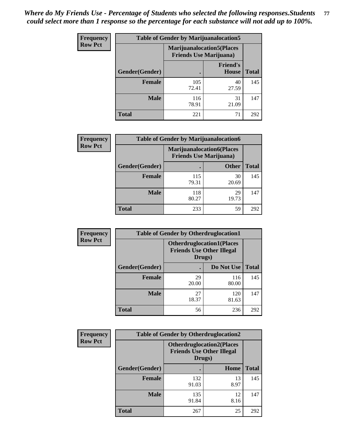| <b>Frequency</b> | <b>Table of Gender by Marijuanalocation5</b> |                                                                     |                          |              |
|------------------|----------------------------------------------|---------------------------------------------------------------------|--------------------------|--------------|
| <b>Row Pct</b>   |                                              | <b>Marijuanalocation5</b> (Places<br><b>Friends Use Marijuana</b> ) |                          |              |
|                  | Gender(Gender)                               |                                                                     | <b>Friend's</b><br>House | <b>Total</b> |
|                  | <b>Female</b>                                | 105<br>72.41                                                        | 40<br>27.59              | 145          |
|                  | <b>Male</b>                                  | 116<br>78.91                                                        | 31<br>21.09              | 147          |
|                  | <b>Total</b>                                 | 221                                                                 | 71                       | 292          |

| Frequency      | <b>Table of Gender by Marijuanalocation6</b> |                                                                    |              |              |
|----------------|----------------------------------------------|--------------------------------------------------------------------|--------------|--------------|
| <b>Row Pct</b> |                                              | <b>Marijuanalocation6(Places</b><br><b>Friends Use Marijuana</b> ) |              |              |
|                | Gender(Gender)                               |                                                                    | <b>Other</b> | <b>Total</b> |
|                | <b>Female</b>                                | 115<br>79.31                                                       | 30<br>20.69  | 145          |
|                | <b>Male</b>                                  | 118<br>80.27                                                       | 29<br>19.73  | 147          |
|                | <b>Total</b>                                 | 233                                                                | 59           | 292          |

| <b>Frequency</b> | <b>Table of Gender by Otherdruglocation1</b> |                                                                                |              |              |
|------------------|----------------------------------------------|--------------------------------------------------------------------------------|--------------|--------------|
| <b>Row Pct</b>   |                                              | <b>Otherdruglocation1(Places</b><br><b>Friends Use Other Illegal</b><br>Drugs) |              |              |
|                  | Gender(Gender)                               |                                                                                | Do Not Use   | <b>Total</b> |
|                  | <b>Female</b>                                | 29<br>20.00                                                                    | 116<br>80.00 | 145          |
|                  | <b>Male</b>                                  | 27<br>18.37                                                                    | 120<br>81.63 | 147          |
|                  | <b>Total</b>                                 | 56                                                                             | 236          | 292          |

| Frequency      | <b>Table of Gender by Otherdruglocation2</b> |                                                                                |            |              |
|----------------|----------------------------------------------|--------------------------------------------------------------------------------|------------|--------------|
| <b>Row Pct</b> |                                              | <b>Otherdruglocation2(Places</b><br><b>Friends Use Other Illegal</b><br>Drugs) |            |              |
|                | Gender(Gender)                               |                                                                                | Home       | <b>Total</b> |
|                | Female                                       | 132<br>91.03                                                                   | 13<br>8.97 | 145          |
|                | <b>Male</b>                                  | 135<br>91.84                                                                   | 12<br>8.16 | 147          |
|                | <b>Total</b>                                 | 267                                                                            | 25         | 292          |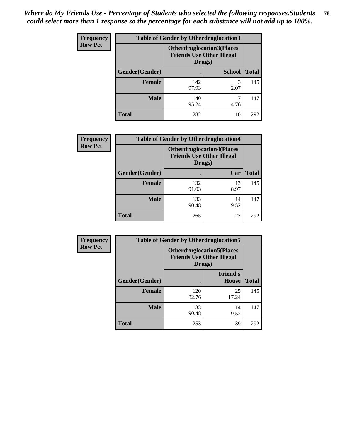| <b>Frequency</b> | <b>Table of Gender by Otherdruglocation3</b> |                                                                                |               |              |
|------------------|----------------------------------------------|--------------------------------------------------------------------------------|---------------|--------------|
| <b>Row Pct</b>   |                                              | <b>Otherdruglocation3(Places</b><br><b>Friends Use Other Illegal</b><br>Drugs) |               |              |
|                  | Gender(Gender)                               |                                                                                | <b>School</b> | <b>Total</b> |
|                  | <b>Female</b>                                | 142<br>97.93                                                                   | 3<br>2.07     | 145          |
|                  | <b>Male</b>                                  | 140<br>95.24                                                                   | 4.76          | 147          |
|                  | <b>Total</b>                                 | 282                                                                            | 10            | 292          |

| Frequency      | <b>Table of Gender by Otherdruglocation4</b> |                                            |                                  |              |
|----------------|----------------------------------------------|--------------------------------------------|----------------------------------|--------------|
| <b>Row Pct</b> |                                              | <b>Friends Use Other Illegal</b><br>Drugs) | <b>Otherdruglocation4(Places</b> |              |
|                | Gender(Gender)                               |                                            | Car                              | <b>Total</b> |
|                | Female                                       | 132<br>91.03                               | 13<br>8.97                       | 145          |
|                | <b>Male</b>                                  | 133<br>90.48                               | 14<br>9.52                       | 147          |
|                | <b>Total</b>                                 | 265                                        | 27                               | 292          |

| Frequency      | <b>Table of Gender by Otherdruglocation5</b> |                                                                                |                                 |              |
|----------------|----------------------------------------------|--------------------------------------------------------------------------------|---------------------------------|--------------|
| <b>Row Pct</b> |                                              | <b>Otherdruglocation5(Places</b><br><b>Friends Use Other Illegal</b><br>Drugs) |                                 |              |
|                | Gender(Gender)                               |                                                                                | <b>Friend's</b><br><b>House</b> | <b>Total</b> |
|                | <b>Female</b>                                | 120<br>82.76                                                                   | 25<br>17.24                     | 145          |
|                | <b>Male</b>                                  | 133<br>90.48                                                                   | 14<br>9.52                      | 147          |
|                | <b>Total</b>                                 | 253                                                                            | 39                              | 292          |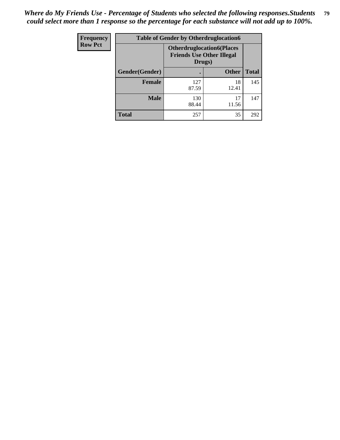| <b>Frequency</b> | <b>Table of Gender by Otherdruglocation6</b> |                                            |                                  |              |
|------------------|----------------------------------------------|--------------------------------------------|----------------------------------|--------------|
| <b>Row Pct</b>   |                                              | <b>Friends Use Other Illegal</b><br>Drugs) | <b>Otherdruglocation6(Places</b> |              |
|                  | Gender(Gender)                               |                                            | <b>Other</b>                     | <b>Total</b> |
|                  | <b>Female</b>                                | 127<br>87.59                               | 18<br>12.41                      | 145          |
|                  | <b>Male</b>                                  | 130<br>88.44                               | 17<br>11.56                      | 147          |
|                  | <b>Total</b>                                 | 257                                        | 35                               | 292          |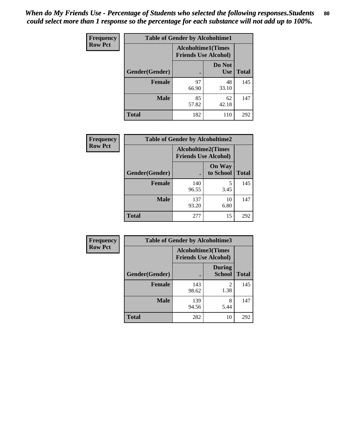| <b>Frequency</b> | <b>Table of Gender by Alcoholtime1</b> |                                                          |                      |              |
|------------------|----------------------------------------|----------------------------------------------------------|----------------------|--------------|
| <b>Row Pct</b>   |                                        | <b>Alcoholtime1(Times</b><br><b>Friends Use Alcohol)</b> |                      |              |
|                  | Gender(Gender)                         | $\bullet$                                                | Do Not<br><b>Use</b> | <b>Total</b> |
|                  | <b>Female</b>                          | 97<br>66.90                                              | 48<br>33.10          | 145          |
|                  | <b>Male</b>                            | 85<br>57.82                                              | 62<br>42.18          | 147          |
|                  | <b>Total</b>                           | 182                                                      | 110                  | 292          |

| <b>Frequency</b> | <b>Table of Gender by Alcoholtime2</b> |                                                          |                            |              |
|------------------|----------------------------------------|----------------------------------------------------------|----------------------------|--------------|
| <b>Row Pct</b>   |                                        | <b>Alcoholtime2(Times</b><br><b>Friends Use Alcohol)</b> |                            |              |
|                  | Gender(Gender)                         |                                                          | <b>On Way</b><br>to School | <b>Total</b> |
|                  | <b>Female</b>                          | 140<br>96.55                                             | 5<br>3.45                  | 145          |
|                  | <b>Male</b>                            | 137<br>93.20                                             | 10<br>6.80                 | 147          |
|                  | <b>Total</b>                           | 277                                                      | 15                         | 292          |

| Frequency      | <b>Table of Gender by Alcoholtime3</b> |                                                   |                                |              |
|----------------|----------------------------------------|---------------------------------------------------|--------------------------------|--------------|
| <b>Row Pct</b> |                                        | Alcoholtime3(Times<br><b>Friends Use Alcohol)</b> |                                |              |
|                | Gender(Gender)                         |                                                   | <b>During</b><br><b>School</b> | <b>Total</b> |
|                | Female                                 | 143<br>98.62                                      | 2<br>1.38                      | 145          |
|                | <b>Male</b>                            | 139<br>94.56                                      | 8<br>5.44                      | 147          |
|                | <b>Total</b>                           | 282                                               | 10                             | 292          |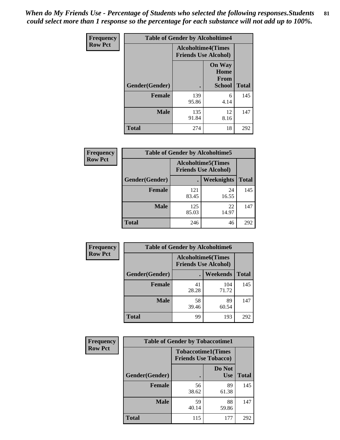*When do My Friends Use - Percentage of Students who selected the following responses.Students could select more than 1 response so the percentage for each substance will not add up to 100%.* **81**

| <b>Frequency</b> | <b>Table of Gender by Alcoholtime4</b> |                                                          |                                                       |              |
|------------------|----------------------------------------|----------------------------------------------------------|-------------------------------------------------------|--------------|
| <b>Row Pct</b>   |                                        | <b>Alcoholtime4(Times</b><br><b>Friends Use Alcohol)</b> |                                                       |              |
|                  | Gender(Gender)                         |                                                          | <b>On Way</b><br>Home<br><b>From</b><br><b>School</b> | <b>Total</b> |
|                  | <b>Female</b>                          | 139<br>95.86                                             | 6<br>4.14                                             | 145          |
|                  | <b>Male</b>                            | 135<br>91.84                                             | 12<br>8.16                                            | 147          |
|                  | <b>Total</b>                           | 274                                                      | 18                                                    | 292          |

| <b>Frequency</b> | <b>Table of Gender by Alcoholtime5</b> |                                                           |             |              |
|------------------|----------------------------------------|-----------------------------------------------------------|-------------|--------------|
| <b>Row Pct</b>   |                                        | <b>Alcoholtime5</b> (Times<br><b>Friends Use Alcohol)</b> |             |              |
|                  | Gender(Gender)                         |                                                           | Weeknights  | <b>Total</b> |
|                  | <b>Female</b>                          | 121<br>83.45                                              | 24<br>16.55 | 145          |
|                  | <b>Male</b>                            | 125<br>85.03                                              | 22<br>14.97 | 147          |
|                  | <b>Total</b>                           | 246                                                       | 46          | 292          |

| <b>Frequency</b> | <b>Table of Gender by Alcoholtime6</b> |             |                                                          |              |  |
|------------------|----------------------------------------|-------------|----------------------------------------------------------|--------------|--|
| <b>Row Pct</b>   |                                        |             | <b>Alcoholtime6(Times</b><br><b>Friends Use Alcohol)</b> |              |  |
|                  | Gender(Gender)                         |             | <b>Weekends</b>                                          | <b>Total</b> |  |
|                  | Female                                 | 41<br>28.28 | 104<br>71.72                                             | 145          |  |
|                  | <b>Male</b>                            | 58<br>39.46 | 89<br>60.54                                              | 147          |  |
|                  | <b>Total</b>                           | 99          | 193                                                      | 292          |  |

| Frequency      | <b>Table of Gender by Tobaccotime1</b> |                                                          |                      |              |
|----------------|----------------------------------------|----------------------------------------------------------|----------------------|--------------|
| <b>Row Pct</b> |                                        | <b>Tobaccotime1(Times</b><br><b>Friends Use Tobacco)</b> |                      |              |
|                | Gender(Gender)                         |                                                          | Do Not<br><b>Use</b> | <b>Total</b> |
|                | Female                                 | 56<br>38.62                                              | 89<br>61.38          | 145          |
|                | <b>Male</b>                            | 59<br>40.14                                              | 88<br>59.86          | 147          |
|                | <b>Total</b>                           | 115                                                      | 177                  | 292          |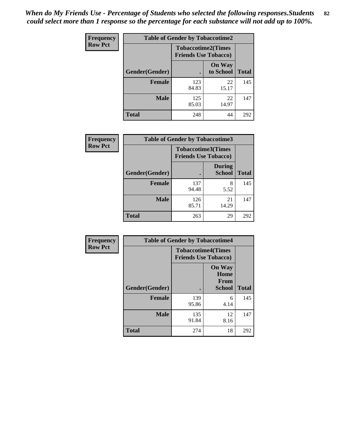*When do My Friends Use - Percentage of Students who selected the following responses.Students could select more than 1 response so the percentage for each substance will not add up to 100%.* **82**

| Frequency      | <b>Table of Gender by Tobaccotime2</b> |                                                          |                            |              |
|----------------|----------------------------------------|----------------------------------------------------------|----------------------------|--------------|
| <b>Row Pct</b> |                                        | <b>Tobaccotime2(Times</b><br><b>Friends Use Tobacco)</b> |                            |              |
|                | Gender(Gender)                         | $\bullet$                                                | <b>On Way</b><br>to School | <b>Total</b> |
|                | <b>Female</b>                          | 123<br>84.83                                             | 22<br>15.17                | 145          |
|                | <b>Male</b>                            | 125<br>85.03                                             | 22<br>14.97                | 147          |
|                | <b>Total</b>                           | 248                                                      | 44                         | 292          |

| Frequency      | <b>Table of Gender by Tobaccotime3</b> |                                                          |                                |              |
|----------------|----------------------------------------|----------------------------------------------------------|--------------------------------|--------------|
| <b>Row Pct</b> |                                        | <b>Tobaccotime3(Times</b><br><b>Friends Use Tobacco)</b> |                                |              |
|                | Gender(Gender)                         |                                                          | <b>During</b><br><b>School</b> | <b>Total</b> |
|                | Female                                 | 137<br>94.48                                             | 8<br>5.52                      | 145          |
|                | <b>Male</b>                            | 126<br>85.71                                             | 21<br>14.29                    | 147          |
|                | <b>Total</b>                           | 263                                                      | 29                             | 292          |

| <b>Frequency</b> | <b>Table of Gender by Tobaccotime4</b> |                                                          |                                                       |              |
|------------------|----------------------------------------|----------------------------------------------------------|-------------------------------------------------------|--------------|
| <b>Row Pct</b>   |                                        | <b>Tobaccotime4(Times</b><br><b>Friends Use Tobacco)</b> |                                                       |              |
|                  | Gender(Gender)                         |                                                          | <b>On Way</b><br>Home<br><b>From</b><br><b>School</b> | <b>Total</b> |
|                  | <b>Female</b>                          | 139<br>95.86                                             | 6<br>4.14                                             | 145          |
|                  | <b>Male</b>                            | 135<br>91.84                                             | 12<br>8.16                                            | 147          |
|                  | <b>Total</b>                           | 274                                                      | 18                                                    | 292          |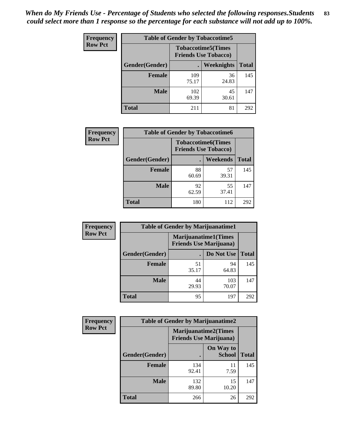| Frequency      | <b>Table of Gender by Tobaccotime5</b> |              |                                                          |              |  |
|----------------|----------------------------------------|--------------|----------------------------------------------------------|--------------|--|
| <b>Row Pct</b> |                                        |              | <b>Tobaccotime5(Times</b><br><b>Friends Use Tobacco)</b> |              |  |
|                | Gender(Gender)                         |              | Weeknights                                               | <b>Total</b> |  |
|                | <b>Female</b>                          | 109<br>75.17 | 36<br>24.83                                              | 145          |  |
|                | <b>Male</b>                            | 102<br>69.39 | 45<br>30.61                                              | 147          |  |
|                | <b>Total</b>                           | 211          | 81                                                       | 292          |  |

| <b>Frequency</b> | <b>Table of Gender by Tobaccotime6</b> |                                                          |             |              |
|------------------|----------------------------------------|----------------------------------------------------------|-------------|--------------|
| <b>Row Pct</b>   |                                        | <b>Tobaccotime6(Times</b><br><b>Friends Use Tobacco)</b> |             |              |
|                  | Gender(Gender)                         |                                                          | Weekends    | <b>Total</b> |
|                  | Female                                 | 88<br>60.69                                              | 57<br>39.31 | 145          |
|                  | <b>Male</b>                            | 92<br>62.59                                              | 55<br>37.41 | 147          |
|                  | <b>Total</b>                           | 180                                                      | 112         | 292          |

| <b>Frequency</b> | <b>Table of Gender by Marijuanatime1</b> |                                                               |              |              |  |
|------------------|------------------------------------------|---------------------------------------------------------------|--------------|--------------|--|
| <b>Row Pct</b>   |                                          | <b>Marijuanatime1(Times</b><br><b>Friends Use Marijuana</b> ) |              |              |  |
|                  | Gender(Gender)                           |                                                               | Do Not Use   | <b>Total</b> |  |
|                  | <b>Female</b>                            | 51<br>35.17                                                   | 94<br>64.83  | 145          |  |
|                  | <b>Male</b>                              | 44<br>29.93                                                   | 103<br>70.07 | 147          |  |
|                  | <b>Total</b>                             | 95                                                            | 197          | 292          |  |

| <b>Frequency</b> | <b>Table of Gender by Marijuanatime2</b> |                                                               |                            |              |
|------------------|------------------------------------------|---------------------------------------------------------------|----------------------------|--------------|
| <b>Row Pct</b>   |                                          | <b>Marijuanatime2(Times</b><br><b>Friends Use Marijuana</b> ) |                            |              |
|                  | Gender(Gender)                           |                                                               | On Way to<br><b>School</b> | <b>Total</b> |
|                  | Female                                   | 134<br>92.41                                                  | 11<br>7.59                 | 145          |
|                  | <b>Male</b>                              | 132<br>89.80                                                  | 15<br>10.20                | 147          |
|                  | <b>Total</b>                             | 266                                                           | 26                         | 292          |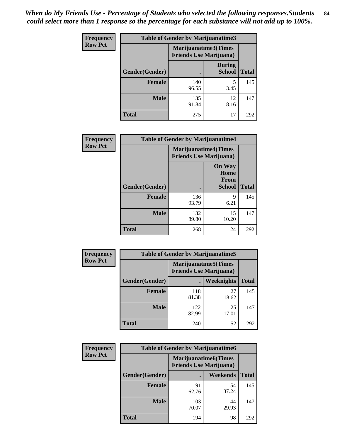*When do My Friends Use - Percentage of Students who selected the following responses.Students could select more than 1 response so the percentage for each substance will not add up to 100%.* **84**

| <b>Frequency</b> | Table of Gender by Marijuanatime3 |                                                        |                                |              |
|------------------|-----------------------------------|--------------------------------------------------------|--------------------------------|--------------|
| <b>Row Pct</b>   |                                   | Marijuanatime3(Times<br><b>Friends Use Marijuana</b> ) |                                |              |
|                  | Gender(Gender)                    |                                                        | <b>During</b><br><b>School</b> | <b>Total</b> |
|                  | <b>Female</b>                     | 140<br>96.55                                           | 5<br>3.45                      | 145          |
|                  | <b>Male</b>                       | 135<br>91.84                                           | 12<br>8.16                     | 147          |
|                  | <b>Total</b>                      | 275                                                    | 17                             | 292          |

| Frequency      | <b>Table of Gender by Marijuanatime4</b> |                                                               |                                                |              |
|----------------|------------------------------------------|---------------------------------------------------------------|------------------------------------------------|--------------|
| <b>Row Pct</b> |                                          | <b>Marijuanatime4(Times</b><br><b>Friends Use Marijuana</b> ) |                                                |              |
|                | Gender(Gender)                           |                                                               | <b>On Way</b><br>Home<br>From<br><b>School</b> | <b>Total</b> |
|                | <b>Female</b>                            | 136<br>93.79                                                  | 9<br>6.21                                      | 145          |
|                | <b>Male</b>                              | 132<br>89.80                                                  | 15<br>10.20                                    | 147          |
|                | <b>Total</b>                             | 268                                                           | 24                                             | 292          |

| Frequency      | <b>Table of Gender by Marijuanatime5</b> |                                                                |                   |              |
|----------------|------------------------------------------|----------------------------------------------------------------|-------------------|--------------|
| <b>Row Pct</b> |                                          | <b>Marijuanatime5</b> (Times<br><b>Friends Use Marijuana</b> ) |                   |              |
|                | Gender(Gender)                           |                                                                | <b>Weeknights</b> | <b>Total</b> |
|                | <b>Female</b>                            | 118<br>81.38                                                   | 27<br>18.62       | 145          |
|                | <b>Male</b>                              | 122<br>82.99                                                   | 25<br>17.01       | 147          |
|                | <b>Total</b>                             | 240                                                            | 52                | 292          |

| <b>Frequency</b> | <b>Table of Gender by Marijuanatime6</b> |              |                                                               |              |
|------------------|------------------------------------------|--------------|---------------------------------------------------------------|--------------|
| <b>Row Pct</b>   |                                          |              | <b>Marijuanatime6(Times</b><br><b>Friends Use Marijuana</b> ) |              |
|                  | Gender(Gender)                           |              | Weekends                                                      | <b>Total</b> |
|                  | <b>Female</b>                            | 91<br>62.76  | 54<br>37.24                                                   | 145          |
|                  | <b>Male</b>                              | 103<br>70.07 | 44<br>29.93                                                   | 147          |
|                  | <b>Total</b>                             | 194          | 98                                                            | 292          |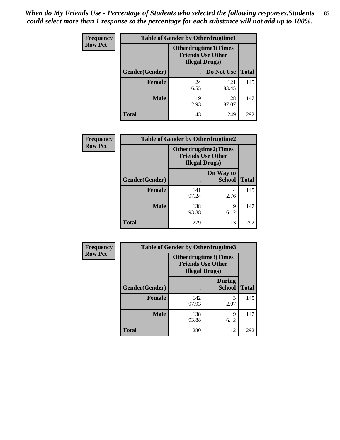*When do My Friends Use - Percentage of Students who selected the following responses.Students could select more than 1 response so the percentage for each substance will not add up to 100%.* **85**

| <b>Frequency</b> | <b>Table of Gender by Otherdrugtime1</b> |                                                                                   |              |              |  |
|------------------|------------------------------------------|-----------------------------------------------------------------------------------|--------------|--------------|--|
| <b>Row Pct</b>   |                                          | <b>Otherdrugtime1(Times</b><br><b>Friends Use Other</b><br><b>Illegal Drugs</b> ) |              |              |  |
|                  | Gender(Gender)                           |                                                                                   | Do Not Use   | <b>Total</b> |  |
|                  | <b>Female</b>                            | 24<br>16.55                                                                       | 121<br>83.45 | 145          |  |
|                  | <b>Male</b>                              | 19<br>12.93                                                                       | 128<br>87.07 | 147          |  |
|                  | <b>Total</b>                             | 43                                                                                | 249          | 292          |  |

| Frequency      | <b>Table of Gender by Otherdrugtime2</b> |                                                                                   |                            |              |
|----------------|------------------------------------------|-----------------------------------------------------------------------------------|----------------------------|--------------|
| <b>Row Pct</b> |                                          | <b>Otherdrugtime2(Times</b><br><b>Friends Use Other</b><br><b>Illegal Drugs</b> ) |                            |              |
|                | <b>Gender</b> (Gender)                   |                                                                                   | On Way to<br><b>School</b> | <b>Total</b> |
|                | <b>Female</b>                            | 141<br>97.24                                                                      | 4<br>2.76                  | 145          |
|                | <b>Male</b>                              | 138<br>93.88                                                                      | 9<br>6.12                  | 147          |
|                | <b>Total</b>                             | 279                                                                               | 13                         | 292          |

| Frequency      | <b>Table of Gender by Otherdrugtime3</b> |                        |                                                  |              |
|----------------|------------------------------------------|------------------------|--------------------------------------------------|--------------|
| <b>Row Pct</b> |                                          | <b>Illegal Drugs</b> ) | Otherdrugtime3(Times<br><b>Friends Use Other</b> |              |
|                | Gender(Gender)                           |                        | <b>During</b><br><b>School</b>                   | <b>Total</b> |
|                | <b>Female</b>                            | 142<br>97.93           | 3<br>2.07                                        | 145          |
|                | <b>Male</b>                              | 138<br>93.88           | Q<br>6.12                                        | 147          |
|                | <b>Total</b>                             | 280                    | 12                                               | 292          |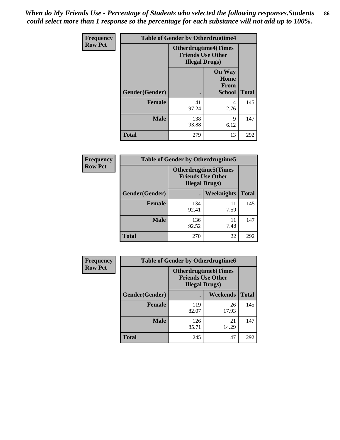*When do My Friends Use - Percentage of Students who selected the following responses.Students could select more than 1 response so the percentage for each substance will not add up to 100%.* **86**

| <b>Frequency</b> | <b>Table of Gender by Otherdrugtime4</b> |                                                    |                                                |              |
|------------------|------------------------------------------|----------------------------------------------------|------------------------------------------------|--------------|
| <b>Row Pct</b>   |                                          | <b>Friends Use Other</b><br><b>Illegal Drugs</b> ) | <b>Otherdrugtime4(Times</b>                    |              |
|                  | Gender(Gender)                           |                                                    | <b>On Way</b><br>Home<br><b>From</b><br>School | <b>Total</b> |
|                  | <b>Female</b>                            | 141<br>97.24                                       | 4<br>2.76                                      | 145          |
|                  | <b>Male</b>                              | 138<br>93.88                                       | 9<br>6.12                                      | 147          |
|                  | <b>Total</b>                             | 279                                                | 13                                             | 292          |

| Frequency      | <b>Table of Gender by Otherdrugtime5</b> |                                                                                    |            |              |
|----------------|------------------------------------------|------------------------------------------------------------------------------------|------------|--------------|
| <b>Row Pct</b> |                                          | <b>Otherdrugtime5</b> (Times<br><b>Friends Use Other</b><br><b>Illegal Drugs</b> ) |            |              |
|                | Gender(Gender)                           |                                                                                    | Weeknights | <b>Total</b> |
|                | <b>Female</b>                            | 134<br>92.41                                                                       | 11<br>7.59 | 145          |
|                | <b>Male</b>                              | 136<br>92.52                                                                       | 11<br>7.48 | 147          |
|                | <b>Total</b>                             | 270                                                                                | 22         | 292          |

| <b>Frequency</b> | <b>Table of Gender by Otherdrugtime6</b> |                                                                                   |             |              |  |
|------------------|------------------------------------------|-----------------------------------------------------------------------------------|-------------|--------------|--|
| <b>Row Pct</b>   |                                          | <b>Otherdrugtime6(Times</b><br><b>Friends Use Other</b><br><b>Illegal Drugs</b> ) |             |              |  |
|                  | Gender(Gender)                           |                                                                                   | Weekends    | <b>Total</b> |  |
|                  | <b>Female</b>                            | 119<br>82.07                                                                      | 26<br>17.93 | 145          |  |
|                  | <b>Male</b>                              | 126<br>85.71                                                                      | 21<br>14.29 | 147          |  |
|                  | <b>Total</b>                             | 245                                                                               | 47          | 292          |  |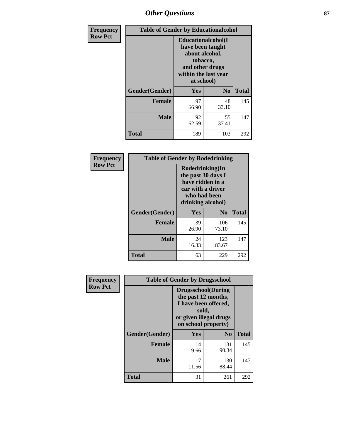# *Other Questions* **87**

| <b>Frequency</b> | <b>Table of Gender by Educationalcohol</b> |                                                                                                                                       |                |              |  |
|------------------|--------------------------------------------|---------------------------------------------------------------------------------------------------------------------------------------|----------------|--------------|--|
| <b>Row Pct</b>   |                                            | <b>Educationalcohol</b> (I<br>have been taught<br>about alcohol,<br>tobacco,<br>and other drugs<br>within the last year<br>at school) |                |              |  |
|                  | Gender(Gender)                             | <b>Yes</b>                                                                                                                            | N <sub>0</sub> | <b>Total</b> |  |
|                  | <b>Female</b>                              | 97<br>66.90                                                                                                                           | 48<br>33.10    | 145          |  |
|                  | <b>Male</b>                                | 92<br>62.59                                                                                                                           | 55<br>37.41    | 147          |  |
|                  | <b>Total</b>                               | 189                                                                                                                                   | 103            | 292          |  |

| Frequency      | <b>Table of Gender by Rodedrinking</b> |                                                                                                                     |              |              |  |
|----------------|----------------------------------------|---------------------------------------------------------------------------------------------------------------------|--------------|--------------|--|
| <b>Row Pct</b> |                                        | Rodedrinking(In<br>the past 30 days I<br>have ridden in a<br>car with a driver<br>who had been<br>drinking alcohol) |              |              |  |
|                | Gender(Gender)                         | Yes                                                                                                                 | $\bf N_0$    | <b>Total</b> |  |
|                | <b>Female</b>                          | 39<br>26.90                                                                                                         | 106<br>73.10 | 145          |  |
|                | <b>Male</b>                            | 24<br>16.33                                                                                                         | 123<br>83.67 | 147          |  |
|                | <b>Total</b>                           | 63                                                                                                                  | 229          | 292          |  |

| Frequency      | <b>Table of Gender by Drugsschool</b> |                                                                                                                                     |                |              |  |
|----------------|---------------------------------------|-------------------------------------------------------------------------------------------------------------------------------------|----------------|--------------|--|
| <b>Row Pct</b> |                                       | <b>Drugsschool</b> (During<br>the past 12 months,<br>I have been offered,<br>sold,<br>or given illegal drugs<br>on school property) |                |              |  |
|                | Gender(Gender)                        | Yes                                                                                                                                 | N <sub>0</sub> | <b>Total</b> |  |
|                | <b>Female</b>                         | 14<br>9.66                                                                                                                          | 131<br>90.34   | 145          |  |
|                | <b>Male</b>                           | 17<br>11.56                                                                                                                         | 130<br>88.44   | 147          |  |
|                | <b>Total</b>                          | 31                                                                                                                                  | 261            | 292          |  |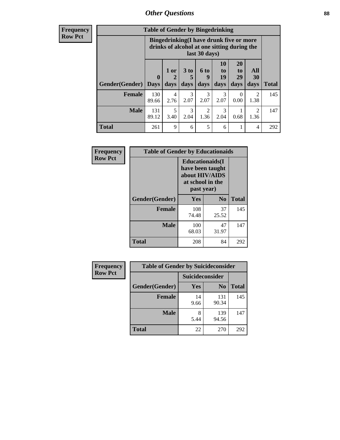### *Other Questions* **88**

**Frequency Row Pct**

| <b>Table of Gender by Bingedrinking</b> |                         |                                                                                                         |                   |                        |                        |                               |                        |              |
|-----------------------------------------|-------------------------|---------------------------------------------------------------------------------------------------------|-------------------|------------------------|------------------------|-------------------------------|------------------------|--------------|
|                                         |                         | Bingedrinking(I have drunk five or more<br>drinks of alcohol at one sitting during the<br>last 30 days) |                   |                        |                        |                               |                        |              |
| <b>Gender</b> (Gender)                  | $\bf{0}$<br><b>Days</b> | 1 or<br>days                                                                                            | 3 to<br>5<br>days | 6 to<br>9<br>days      | 10<br>to<br>19<br>days | <b>20</b><br>to<br>29<br>days | All<br>30<br>days      | <b>Total</b> |
| <b>Female</b>                           | 130<br>89.66            | 4<br>2.76                                                                                               | 3<br>2.07         | 3<br>2.07              | 3<br>2.07              | $\Omega$<br>0.00              | $\mathfrak{D}$<br>1.38 | 145          |
| <b>Male</b>                             | 131<br>89.12            | 5<br>3.40                                                                                               | 3<br>2.04         | $\overline{c}$<br>1.36 | 3<br>2.04              | 0.68                          | $\mathfrak{D}$<br>1.36 | 147          |
| <b>Total</b>                            | 261                     | 9                                                                                                       | 6                 | 5                      | 6                      |                               | 4                      | 292          |

| Frequency      | <b>Table of Gender by Educationaids</b> |                                                                                                 |             |              |  |
|----------------|-----------------------------------------|-------------------------------------------------------------------------------------------------|-------------|--------------|--|
| <b>Row Pct</b> |                                         | <b>Educationaids</b> (I<br>have been taught<br>about HIV/AIDS<br>at school in the<br>past year) |             |              |  |
|                | Gender(Gender)                          | Yes                                                                                             | $\bf N_0$   | <b>Total</b> |  |
|                | <b>Female</b>                           | 108<br>74.48                                                                                    | 37<br>25.52 | 145          |  |
|                | <b>Male</b>                             | 100<br>68.03                                                                                    | 47<br>31.97 | 147          |  |
|                | <b>Total</b>                            | 208                                                                                             | 84          | 292          |  |

| <b>Frequency</b> | <b>Table of Gender by Suicideconsider</b> |                 |                |              |  |
|------------------|-------------------------------------------|-----------------|----------------|--------------|--|
| <b>Row Pct</b>   |                                           | Suicideconsider |                |              |  |
|                  | Gender(Gender)                            | Yes             | N <sub>0</sub> | <b>Total</b> |  |
|                  | <b>Female</b>                             | 14<br>9.66      | 131<br>90.34   | 145          |  |
|                  | <b>Male</b>                               | 8<br>5.44       | 139<br>94.56   | 147          |  |
|                  | Total                                     | 22              | 270            | 292          |  |